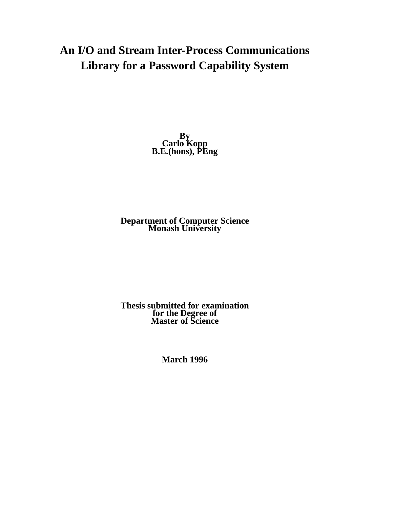# **An I/O and Stream Inter-Process Communications Library for a Password Capability System**

**By Carlo Kopp B.E.(hons), PEng**

**Department of Computer Science Monash University**

**Thesis submitted for examination for the Degree of Master of Science**

**March 1996**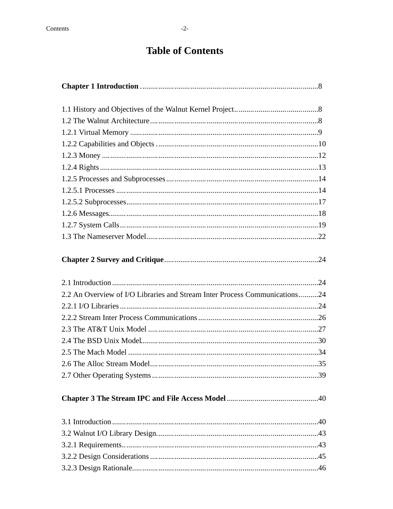# **Table of Contents**

| 2.2 An Overview of I/O Libraries and Stream Inter Process Communications24 |  |
|----------------------------------------------------------------------------|--|
|                                                                            |  |
|                                                                            |  |
|                                                                            |  |
|                                                                            |  |
|                                                                            |  |
|                                                                            |  |
|                                                                            |  |
|                                                                            |  |
|                                                                            |  |
|                                                                            |  |
|                                                                            |  |
|                                                                            |  |
|                                                                            |  |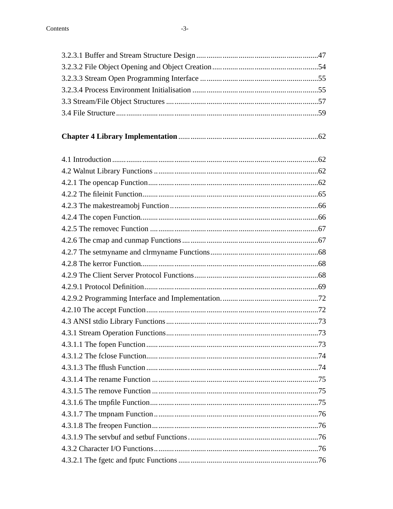| ents | $-3-$ |  |
|------|-------|--|
|      |       |  |
|      |       |  |
|      |       |  |
|      |       |  |
|      |       |  |
|      |       |  |
|      |       |  |
|      |       |  |
|      |       |  |
|      |       |  |
|      |       |  |
|      |       |  |
|      |       |  |
|      |       |  |
|      |       |  |
|      |       |  |
|      |       |  |
|      |       |  |
|      |       |  |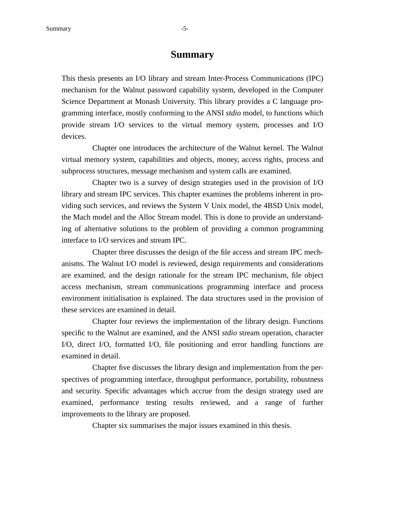# **Summary**

This thesis presents an I/O library and stream Inter-Process Communications (IPC) mechanism for the Walnut password capability system, developed in the Computer Science Department at Monash University. This library provides a C language programming interface, mostly conforming to the ANSI *stdio* model, to functions which provide stream I/O services to the virtual memory system, processes and I/O devices.

Chapter one introduces the architecture of the Walnut kernel. The Walnut virtual memory system, capabilities and objects, money, access rights, process and subprocess structures, message mechanism and system calls are examined.

Chapter two is a survey of design strategies used in the provision of I/O library and stream IPC services. This chapter examines the problems inherent in providing such services, and reviews the System V Unix model, the 4BSD Unix model, the Mach model and the Alloc Stream model. This is done to provide an understanding of alternative solutions to the problem of providing a common programming interface to I/O services and stream IPC.

Chapter three discusses the design of the file access and stream IPC mechanisms. The Walnut I/O model is reviewed, design requirements and considerations are examined, and the design rationale for the stream IPC mechanism, file object access mechanism, stream communications programming interface and process environment initialisation is explained. The data structures used in the provision of these services are examined in detail.

Chapter four reviews the implementation of the library design. Functions specific to the Walnut are examined, and the ANSI *stdio* stream operation, character I/O, direct I/O, formatted I/O, file positioning and error handling functions are examined in detail.

Chapter five discusses the library design and implementation from the perspectives of programming interface, throughput performance, portability, robustness and security. Specific advantages which accrue from the design strategy used are examined, performance testing results reviewed, and a range of further improvements to the library are proposed.

Chapter six summarises the major issues examined in this thesis.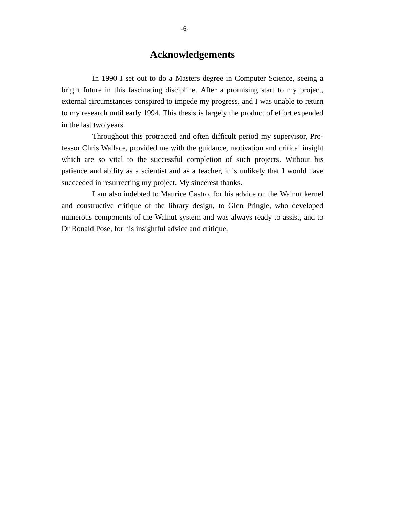# **Acknowledgements**

In 1990 I set out to do a Masters degree in Computer Science, seeing a bright future in this fascinating discipline. After a promising start to my project, external circumstances conspired to impede my progress, and I was unable to return to my research until early 1994. This thesis is largely the product of effort expended in the last two years.

Throughout this protracted and often difficult period my supervisor, Professor Chris Wallace, provided me with the guidance, motivation and critical insight which are so vital to the successful completion of such projects. Without his patience and ability as a scientist and as a teacher, it is unlikely that I would have succeeded in resurrecting my project. My sincerest thanks.

I am also indebted to Maurice Castro, for his advice on the Walnut kernel and constructive critique of the library design, to Glen Pringle, who developed numerous components of the Walnut system and was always ready to assist, and to Dr Ronald Pose, for his insightful advice and critique.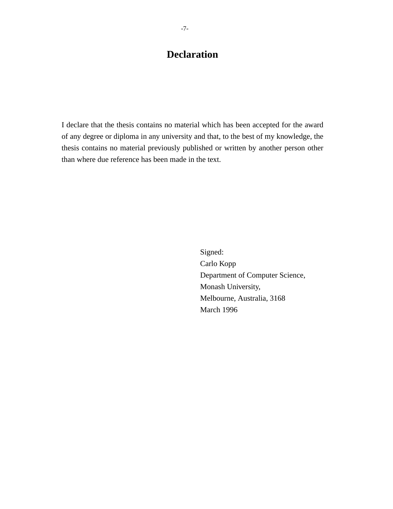# **Declaration**

I declare that the thesis contains no material which has been accepted for the award of any degree or diploma in any university and that, to the best of my knowledge, the thesis contains no material previously published or written by another person other than where due reference has been made in the text.

> Signed: Carlo Kopp Department of Computer Science, Monash University, Melbourne, Australia, 3168 March 1996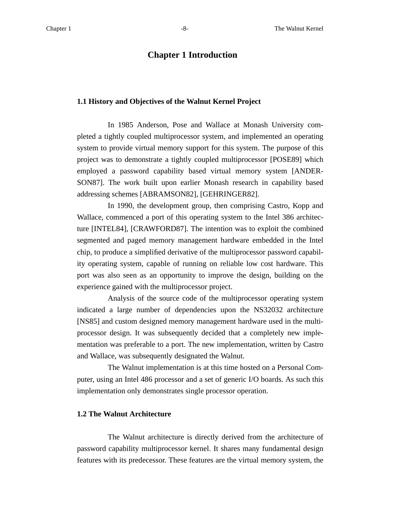# **Chapter 1 Introduction**

#### **1.1 History and Objectives of the Walnut Kernel Project**

In 1985 Anderson, Pose and Wallace at Monash University completed a tightly coupled multiprocessor system, and implemented an operating system to provide virtual memory support for this system. The purpose of this project was to demonstrate a tightly coupled multiprocessor [POSE89] which employed a password capability based virtual memory system [ANDER-SON87]. The work built upon earlier Monash research in capability based addressing schemes [ABRAMSON82], [GEHRINGER82].

In 1990, the development group, then comprising Castro, Kopp and Wallace, commenced a port of this operating system to the Intel 386 architecture [INTEL84], [CRAWFORD87]. The intention was to exploit the combined segmented and paged memory management hardware embedded in the Intel chip, to produce a simplified derivative of the multiprocessor password capability operating system, capable of running on reliable low cost hardware. This port was also seen as an opportunity to improve the design, building on the experience gained with the multiprocessor project.

Analysis of the source code of the multiprocessor operating system indicated a large number of dependencies upon the NS32032 architecture [NS85] and custom designed memory management hardware used in the multiprocessor design. It was subsequently decided that a completely new implementation was preferable to a port. The new implementation, written by Castro and Wallace, was subsequently designated the Walnut.

The Walnut implementation is at this time hosted on a Personal Computer, using an Intel 486 processor and a set of generic I/O boards. As such this implementation only demonstrates single processor operation.

#### **1.2 The Walnut Architecture**

The Walnut architecture is directly derived from the architecture of password capability multiprocessor kernel. It shares many fundamental design features with its predecessor. These features are the virtual memory system, the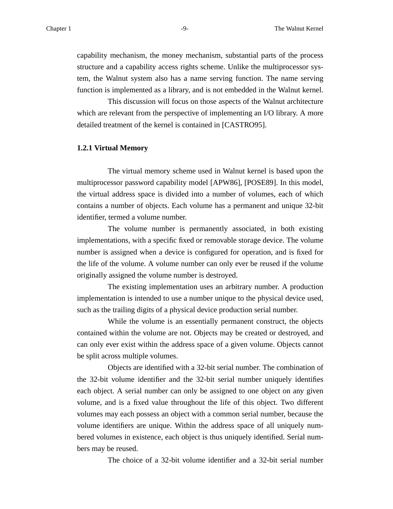capability mechanism, the money mechanism, substantial parts of the process structure and a capability access rights scheme. Unlike the multiprocessor system, the Walnut system also has a name serving function. The name serving function is implemented as a library, and is not embedded in the Walnut kernel.

This discussion will focus on those aspects of the Walnut architecture which are relevant from the perspective of implementing an I/O library. A more detailed treatment of the kernel is contained in [CASTRO95].

#### **1.2.1 Virtual Memory**

The virtual memory scheme used in Walnut kernel is based upon the multiprocessor password capability model [APW86], [POSE89]. In this model, the virtual address space is divided into a number of volumes, each of which contains a number of objects. Each volume has a permanent and unique 32-bit identifier, termed a volume number.

The volume number is permanently associated, in both existing implementations, with a specific fixed or removable storage device. The volume number is assigned when a device is configured for operation, and is fixed for the life of the volume. A volume number can only ever be reused if the volume originally assigned the volume number is destroyed.

The existing implementation uses an arbitrary number. A production implementation is intended to use a number unique to the physical device used, such as the trailing digits of a physical device production serial number.

While the volume is an essentially permanent construct, the objects contained within the volume are not. Objects may be created or destroyed, and can only ever exist within the address space of a given volume. Objects cannot be split across multiple volumes.

Objects are identified with a 32-bit serial number. The combination of the 32-bit volume identifier and the 32-bit serial number uniquely identifies each object. A serial number can only be assigned to one object on any given volume, and is a fixed value throughout the life of this object. Two different volumes may each possess an object with a common serial number, because the volume identifiers are unique. Within the address space of all uniquely numbered volumes in existence, each object is thus uniquely identified. Serial numbers may be reused.

The choice of a 32-bit volume identifier and a 32-bit serial number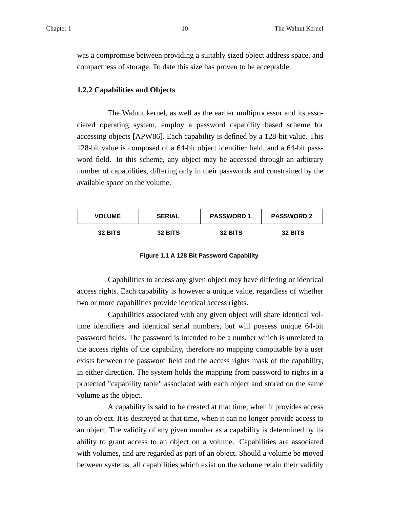was a compromise between providing a suitably sized object address space, and compactness of storage. To date this size has proven to be acceptable.

#### **1.2.2 Capabilities and Objects**

The Walnut kernel, as well as the earlier multiprocessor and its associated operating system, employ a password capability based scheme for accessing objects [APW86]. Each capability is defined by a 128-bit value. This 128-bit value is composed of a 64-bit object identifier field, and a 64-bit password field. In this scheme, any object may be accessed through an arbitrary number of capabilities, differing only in their passwords and constrained by the available space on the volume.

| <b>VOLUME</b> | <b>SERIAL</b> | <b>PASSWORD 1</b> | <b>PASSWORD 2</b> |
|---------------|---------------|-------------------|-------------------|
| 32 BITS       | 32 BITS       | 32 BITS           | 32 BITS           |

|  |  |  |  | Figure 1.1 A 128 Bit Password Capability |
|--|--|--|--|------------------------------------------|
|--|--|--|--|------------------------------------------|

Capabilities to access any given object may have differing or identical access rights. Each capability is however a unique value, regardless of whether two or more capabilities provide identical access rights.

Capabilities associated with any given object will share identical volume identifiers and identical serial numbers, but will possess unique 64-bit password fields. The password is intended to be a number which is unrelated to the access rights of the capability, therefore no mapping computable by a user exists between the password field and the access rights mask of the capability, in either direction. The system holds the mapping from password to rights in a protected "capability table" associated with each object and stored on the same volume as the object.

A capability is said to be created at that time, when it provides access to an object. It is destroyed at that time, when it can no longer provide access to an object. The validity of any given number as a capability is determined by its ability to grant access to an object on a volume. Capabilities are associated with volumes, and are regarded as part of an object. Should a volume be moved between systems, all capabilities which exist on the volume retain their validity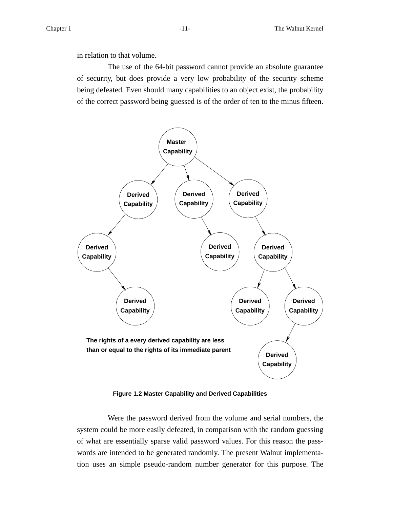in relation to that volume.

The use of the 64-bit password cannot provide an absolute guarantee of security, but does provide a very low probability of the security scheme being defeated. Even should many capabilities to an object exist, the probability of the correct password being guessed is of the order of ten to the minus fifteen.



**Figure 1.2 Master Capability and Derived Capabilities**

Were the password derived from the volume and serial numbers, the system could be more easily defeated, in comparison with the random guessing of what are essentially sparse valid password values. For this reason the passwords are intended to be generated randomly. The present Walnut implementation uses an simple pseudo-random number generator for this purpose. The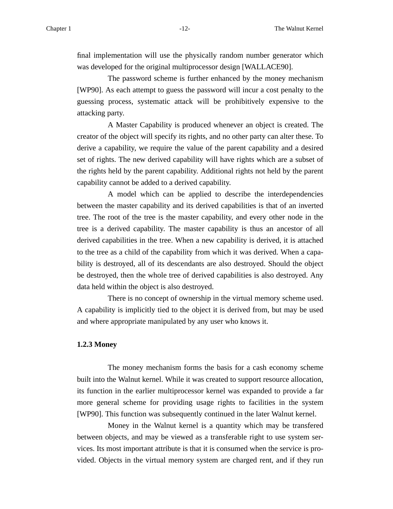final implementation will use the physically random number generator which was developed for the original multiprocessor design [WALLACE90].

The password scheme is further enhanced by the money mechanism [WP90]. As each attempt to guess the password will incur a cost penalty to the guessing process, systematic attack will be prohibitively expensive to the attacking party.

A Master Capability is produced whenever an object is created. The creator of the object will specify its rights, and no other party can alter these. To derive a capability, we require the value of the parent capability and a desired set of rights. The new derived capability will have rights which are a subset of the rights held by the parent capability. Additional rights not held by the parent capability cannot be added to a derived capability.

A model which can be applied to describe the interdependencies between the master capability and its derived capabilities is that of an inverted tree. The root of the tree is the master capability, and every other node in the tree is a derived capability. The master capability is thus an ancestor of all derived capabilities in the tree. When a new capability is derived, it is attached to the tree as a child of the capability from which it was derived. When a capability is destroyed, all of its descendants are also destroyed. Should the object be destroyed, then the whole tree of derived capabilities is also destroyed. Any data held within the object is also destroyed.

There is no concept of ownership in the virtual memory scheme used. A capability is implicitly tied to the object it is derived from, but may be used and where appropriate manipulated by any user who knows it.

#### **1.2.3 Money**

The money mechanism forms the basis for a cash economy scheme built into the Walnut kernel. While it was created to support resource allocation, its function in the earlier multiprocessor kernel was expanded to provide a far more general scheme for providing usage rights to facilities in the system [WP90]. This function was subsequently continued in the later Walnut kernel.

Money in the Walnut kernel is a quantity which may be transfered between objects, and may be viewed as a transferable right to use system services. Its most important attribute is that it is consumed when the service is provided. Objects in the virtual memory system are charged rent, and if they run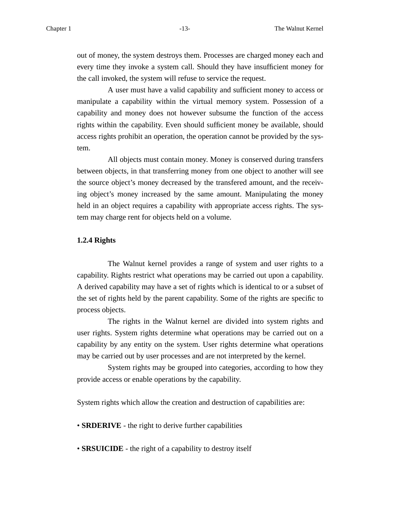out of money, the system destroys them. Processes are charged money each and every time they invoke a system call. Should they have insufficient money for the call invoked, the system will refuse to service the request.

A user must have a valid capability and sufficient money to access or manipulate a capability within the virtual memory system. Possession of a capability and money does not however subsume the function of the access rights within the capability. Even should sufficient money be available, should access rights prohibit an operation, the operation cannot be provided by the system.

All objects must contain money. Money is conserved during transfers between objects, in that transferring money from one object to another will see the source object's money decreased by the transfered amount, and the receiving object's money increased by the same amount. Manipulating the money held in an object requires a capability with appropriate access rights. The system may charge rent for objects held on a volume.

#### **1.2.4 Rights**

The Walnut kernel provides a range of system and user rights to a capability. Rights restrict what operations may be carried out upon a capability. A derived capability may have a set of rights which is identical to or a subset of the set of rights held by the parent capability. Some of the rights are specific to process objects.

The rights in the Walnut kernel are divided into system rights and user rights. System rights determine what operations may be carried out on a capability by any entity on the system. User rights determine what operations may be carried out by user processes and are not interpreted by the kernel.

System rights may be grouped into categories, according to how they provide access or enable operations by the capability.

System rights which allow the creation and destruction of capabilities are:

• **SRDERIVE** - the right to derive further capabilities

• **SRSUICIDE** - the right of a capability to destroy itself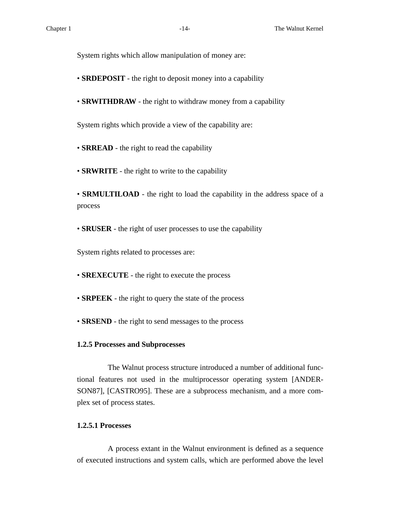System rights which allow manipulation of money are:

- **SRDEPOSIT** the right to deposit money into a capability
- **SRWITHDRAW** the right to withdraw money from a capability

System rights which provide a view of the capability are:

• **SRREAD** - the right to read the capability

• **SRWRITE** - the right to write to the capability

• **SRMULTILOAD** - the right to load the capability in the address space of a process

• **SRUSER** - the right of user processes to use the capability

System rights related to processes are:

• **SREXECUTE** - the right to execute the process

- **SRPEEK** the right to query the state of the process
- **SRSEND** the right to send messages to the process

#### **1.2.5 Processes and Subprocesses**

The Walnut process structure introduced a number of additional functional features not used in the multiprocessor operating system [ANDER-SON87], [CASTRO95]. These are a subprocess mechanism, and a more complex set of process states.

## **1.2.5.1 Processes**

A process extant in the Walnut environment is defined as a sequence of executed instructions and system calls, which are performed above the level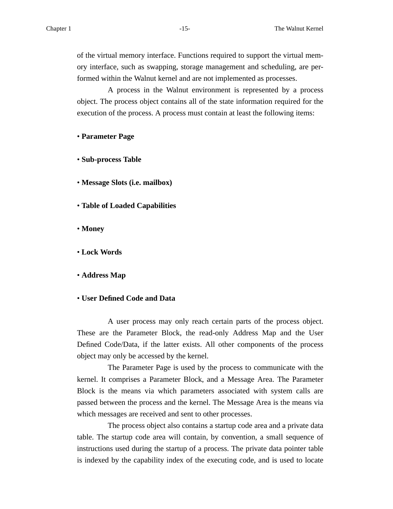of the virtual memory interface. Functions required to support the virtual memory interface, such as swapping, storage management and scheduling, are performed within the Walnut kernel and are not implemented as processes.

A process in the Walnut environment is represented by a process object. The process object contains all of the state information required for the execution of the process. A process must contain at least the following items:

#### • **Parameter Page**

• **Sub-process Table**

- **Message Slots (i.e. mailbox)**
- **Table of Loaded Capabilities**
- **Money**
- **Lock Words**
- **Address Map**

#### • **User Defined Code and Data**

A user process may only reach certain parts of the process object. These are the Parameter Block, the read-only Address Map and the User Defined Code/Data, if the latter exists. All other components of the process object may only be accessed by the kernel.

The Parameter Page is used by the process to communicate with the kernel. It comprises a Parameter Block, and a Message Area. The Parameter Block is the means via which parameters associated with system calls are passed between the process and the kernel. The Message Area is the means via which messages are received and sent to other processes.

The process object also contains a startup code area and a private data table. The startup code area will contain, by convention, a small sequence of instructions used during the startup of a process. The private data pointer table is indexed by the capability index of the executing code, and is used to locate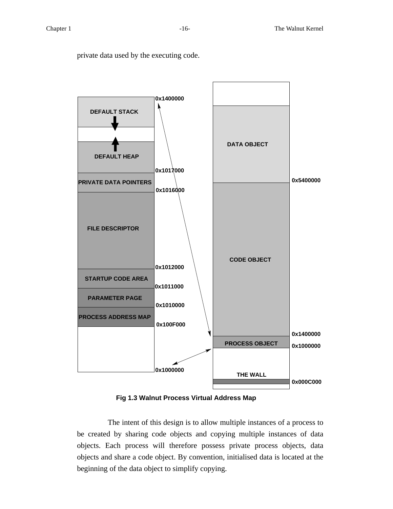private data used by the executing code.



**Fig 1.3 Walnut Process Virtual Address Map**

The intent of this design is to allow multiple instances of a process to be created by sharing code objects and copying multiple instances of data objects. Each process will therefore possess private process objects, data objects and share a code object. By convention, initialised data is located at the beginning of the data object to simplify copying.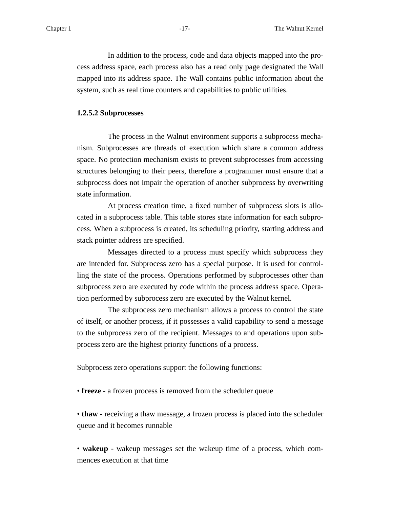In addition to the process, code and data objects mapped into the process address space, each process also has a read only page designated the Wall mapped into its address space. The Wall contains public information about the system, such as real time counters and capabilities to public utilities.

#### **1.2.5.2 Subprocesses**

The process in the Walnut environment supports a subprocess mechanism. Subprocesses are threads of execution which share a common address space. No protection mechanism exists to prevent subprocesses from accessing structures belonging to their peers, therefore a programmer must ensure that a subprocess does not impair the operation of another subprocess by overwriting state information.

At process creation time, a fixed number of subprocess slots is allocated in a subprocess table. This table stores state information for each subprocess. When a subprocess is created, its scheduling priority, starting address and stack pointer address are specified.

Messages directed to a process must specify which subprocess they are intended for. Subprocess zero has a special purpose. It is used for controlling the state of the process. Operations performed by subprocesses other than subprocess zero are executed by code within the process address space. Operation performed by subprocess zero are executed by the Walnut kernel.

The subprocess zero mechanism allows a process to control the state of itself, or another process, if it possesses a valid capability to send a message to the subprocess zero of the recipient. Messages to and operations upon subprocess zero are the highest priority functions of a process.

Subprocess zero operations support the following functions:

• **freeze** - a frozen process is removed from the scheduler queue

• **thaw** - receiving a thaw message, a frozen process is placed into the scheduler queue and it becomes runnable

• **wakeup** - wakeup messages set the wakeup time of a process, which commences execution at that time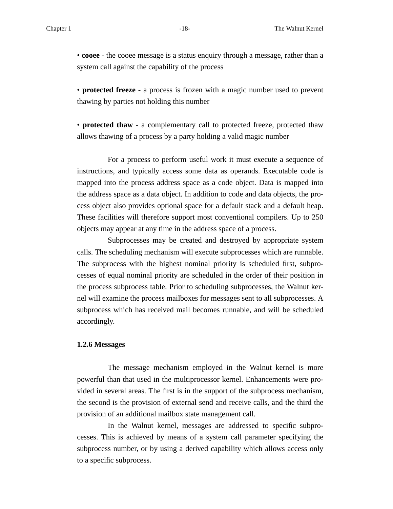• **cooee** - the cooee message is a status enquiry through a message, rather than a system call against the capability of the process

• **protected freeze** - a process is frozen with a magic number used to prevent thawing by parties not holding this number

• **protected thaw** - a complementary call to protected freeze, protected thaw allows thawing of a process by a party holding a valid magic number

For a process to perform useful work it must execute a sequence of instructions, and typically access some data as operands. Executable code is mapped into the process address space as a code object. Data is mapped into the address space as a data object. In addition to code and data objects, the process object also provides optional space for a default stack and a default heap. These facilities will therefore support most conventional compilers. Up to 250 objects may appear at any time in the address space of a process.

Subprocesses may be created and destroyed by appropriate system calls. The scheduling mechanism will execute subprocesses which are runnable. The subprocess with the highest nominal priority is scheduled first, subprocesses of equal nominal priority are scheduled in the order of their position in the process subprocess table. Prior to scheduling subprocesses, the Walnut kernel will examine the process mailboxes for messages sent to all subprocesses. A subprocess which has received mail becomes runnable, and will be scheduled accordingly.

#### **1.2.6 Messages**

The message mechanism employed in the Walnut kernel is more powerful than that used in the multiprocessor kernel. Enhancements were provided in several areas. The first is in the support of the subprocess mechanism, the second is the provision of external send and receive calls, and the third the provision of an additional mailbox state management call.

In the Walnut kernel, messages are addressed to specific subprocesses. This is achieved by means of a system call parameter specifying the subprocess number, or by using a derived capability which allows access only to a specific subprocess.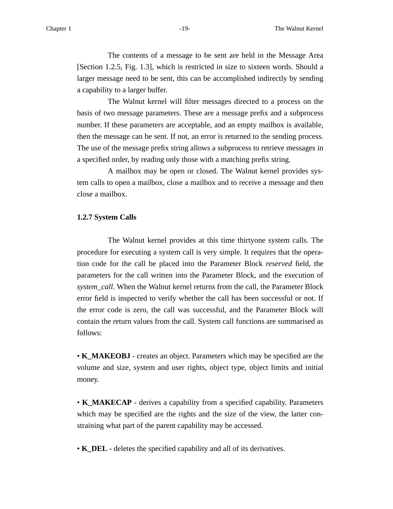The contents of a message to be sent are held in the Message Area [Section 1.2.5, Fig. 1.3], which is restricted in size to sixteen words. Should a larger message need to be sent, this can be accomplished indirectly by sending a capability to a larger buffer.

The Walnut kernel will filter messages directed to a process on the basis of two message parameters. These are a message prefix and a subprocess number. If these parameters are acceptable, and an empty mailbox is available, then the message can be sent. If not, an error is returned to the sending process. The use of the message prefix string allows a subprocess to retrieve messages in a specified order, by reading only those with a matching prefix string.

A mailbox may be open or closed. The Walnut kernel provides system calls to open a mailbox, close a mailbox and to receive a message and then close a mailbox.

#### **1.2.7 System Calls**

The Walnut kernel provides at this time thirtyone system calls. The procedure for executing a system call is very simple. It requires that the operation code for the call be placed into the Parameter Block *reserved* field, the parameters for the call written into the Parameter Block, and the execution of *system\_call*. When the Walnut kernel returns from the call, the Parameter Block error field is inspected to verify whether the call has been successful or not. If the error code is zero, the call was successful, and the Parameter Block will contain the return values from the call. System call functions are summarised as follows:

• **K\_MAKEOBJ** - creates an object. Parameters which may be specified are the volume and size, system and user rights, object type, object limits and initial money.

• **K\_MAKECAP** - derives a capability from a specified capability. Parameters which may be specified are the rights and the size of the view, the latter constraining what part of the parent capability may be accessed.

• **K\_DEL** - deletes the specified capability and all of its derivatives.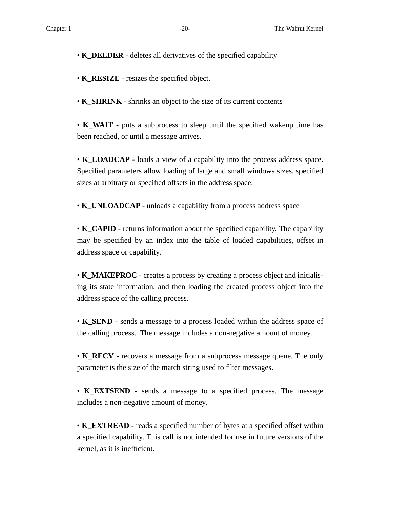• **K\_DELDER** - deletes all derivatives of the specified capability

• **K\_RESIZE** - resizes the specified object.

• **K\_SHRINK** - shrinks an object to the size of its current contents

• **K\_WAIT** - puts a subprocess to sleep until the specified wakeup time has been reached, or until a message arrives.

• **K\_LOADCAP** - loads a view of a capability into the process address space. Specified parameters allow loading of large and small windows sizes, specified sizes at arbitrary or specified offsets in the address space.

• **K\_UNLOADCAP** - unloads a capability from a process address space

• **K\_CAPID** - returns information about the specified capability. The capability may be specified by an index into the table of loaded capabilities, offset in address space or capability.

• **K\_MAKEPROC** - creates a process by creating a process object and initialising its state information, and then loading the created process object into the address space of the calling process.

• **K\_SEND** - sends a message to a process loaded within the address space of the calling process. The message includes a non-negative amount of money.

• **K\_RECV** - recovers a message from a subprocess message queue. The only parameter is the size of the match string used to filter messages.

• **K\_EXTSEND** - sends a message to a specified process. The message includes a non-negative amount of money.

• **K\_EXTREAD** - reads a specified number of bytes at a specified offset within a specified capability. This call is not intended for use in future versions of the kernel, as it is inefficient.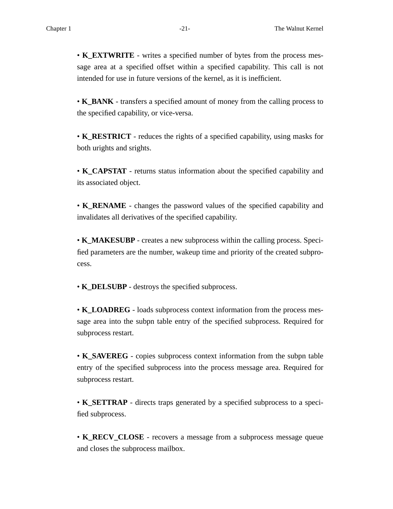• **K\_EXTWRITE** - writes a specified number of bytes from the process message area at a specified offset within a specified capability. This call is not intended for use in future versions of the kernel, as it is inefficient.

• **K\_BANK** - transfers a specified amount of money from the calling process to the specified capability, or vice-versa.

• **K\_RESTRICT** - reduces the rights of a specified capability, using masks for both urights and srights.

• **K\_CAPSTAT** - returns status information about the specified capability and its associated object.

• **K\_RENAME** - changes the password values of the specified capability and invalidates all derivatives of the specified capability.

• **K\_MAKESUBP** - creates a new subprocess within the calling process. Specified parameters are the number, wakeup time and priority of the created subprocess.

• **K\_DELSUBP** - destroys the specified subprocess.

• **K\_LOADREG** - loads subprocess context information from the process message area into the subpn table entry of the specified subprocess. Required for subprocess restart.

• **K\_SAVEREG** - copies subprocess context information from the subpn table entry of the specified subprocess into the process message area. Required for subprocess restart.

• **K\_SETTRAP** - directs traps generated by a specified subprocess to a specified subprocess.

• **K\_RECV\_CLOSE** - recovers a message from a subprocess message queue and closes the subprocess mailbox.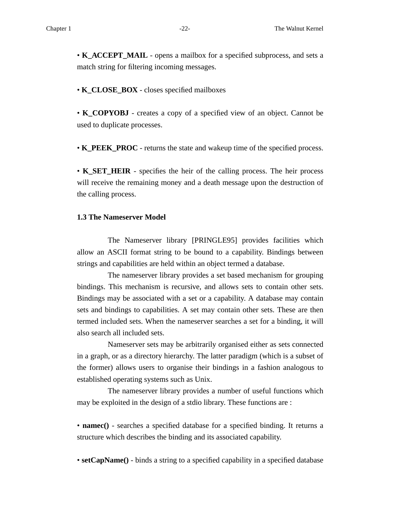• **K\_ACCEPT\_MAIL** - opens a mailbox for a specified subprocess, and sets a match string for filtering incoming messages.

• **K\_CLOSE\_BOX** - closes specified mailboxes

• **K\_COPYOBJ** - creates a copy of a specified view of an object. Cannot be used to duplicate processes.

• **K\_PEEK\_PROC** - returns the state and wakeup time of the specified process.

• **K\_SET\_HEIR** - specifies the heir of the calling process. The heir process will receive the remaining money and a death message upon the destruction of the calling process.

#### **1.3 The Nameserver Model**

The Nameserver library [PRINGLE95] provides facilities which allow an ASCII format string to be bound to a capability. Bindings between strings and capabilities are held within an object termed a database.

The nameserver library provides a set based mechanism for grouping bindings. This mechanism is recursive, and allows sets to contain other sets. Bindings may be associated with a set or a capability. A database may contain sets and bindings to capabilities. A set may contain other sets. These are then termed included sets. When the nameserver searches a set for a binding, it will also search all included sets.

Nameserver sets may be arbitrarily organised either as sets connected in a graph, or as a directory hierarchy. The latter paradigm (which is a subset of the former) allows users to organise their bindings in a fashion analogous to established operating systems such as Unix.

The nameserver library provides a number of useful functions which may be exploited in the design of a stdio library. These functions are :

• **namec()** - searches a specified database for a specified binding. It returns a structure which describes the binding and its associated capability.

• **setCapName**() - binds a string to a specified capability in a specified database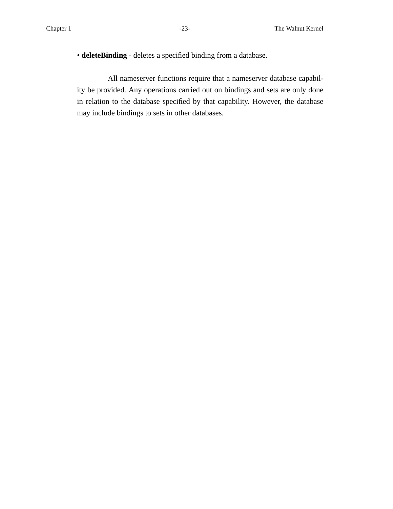• **deleteBinding** - deletes a specified binding from a database.

All nameserver functions require that a nameserver database capability be provided. Any operations carried out on bindings and sets are only done in relation to the database specified by that capability. However, the database may include bindings to sets in other databases.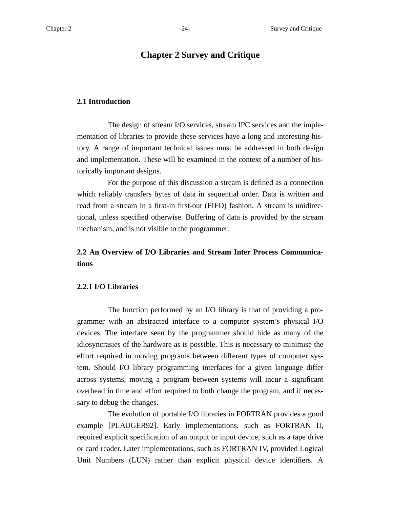# **Chapter 2 Survey and Critique**

### **2.1 Introduction**

The design of stream I/O services, stream IPC services and the implementation of libraries to provide these services have a long and interesting history. A range of important technical issues must be addressed in both design and implementation. These will be examined in the context of a number of historically important designs.

For the purpose of this discussion a stream is defined as a connection which reliably transfers bytes of data in sequential order. Data is written and read from a stream in a first-in first-out (FIFO) fashion. A stream is unidirectional, unless specified otherwise. Buffering of data is provided by the stream mechanism, and is not visible to the programmer.

# **2.2 An Overview of I/O Libraries and Stream Inter Process Communications**

#### **2.2.1 I/O Libraries**

The function performed by an I/O library is that of providing a programmer with an abstracted interface to a computer system's physical I/O devices. The interface seen by the programmer should hide as many of the idiosyncrasies of the hardware as is possible. This is necessary to minimise the effort required in moving programs between different types of computer system. Should I/O library programming interfaces for a given language differ across systems, moving a program between systems will incur a significant overhead in time and effort required to both change the program, and if necessary to debug the changes.

The evolution of portable I/O libraries in FORTRAN provides a good example [PLAUGER92]. Early implementations, such as FORTRAN II, required explicit specification of an output or input device, such as a tape drive or card reader. Later implementations, such as FORTRAN IV, provided Logical Unit Numbers (LUN) rather than explicit physical device identifiers. A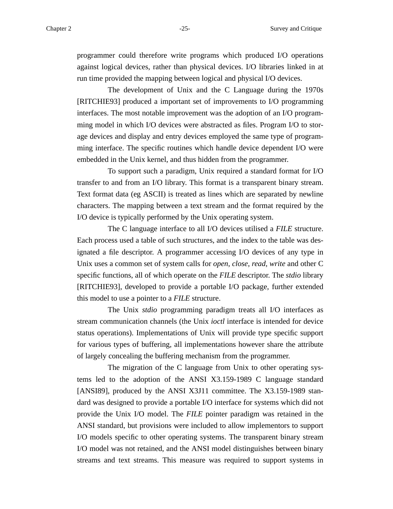programmer could therefore write programs which produced I/O operations against logical devices, rather than physical devices. I/O libraries linked in at run time provided the mapping between logical and physical I/O devices.

The development of Unix and the C Language during the 1970s [RITCHIE93] produced a important set of improvements to I/O programming interfaces. The most notable improvement was the adoption of an I/O programming model in which I/O devices were abstracted as files. Program I/O to storage devices and display and entry devices employed the same type of programming interface. The specific routines which handle device dependent I/O were embedded in the Unix kernel, and thus hidden from the programmer.

To support such a paradigm, Unix required a standard format for I/O transfer to and from an I/O library. This format is a transparent binary stream. Te xt format data (eg ASCII) is treated as lines which are separated by newline characters. The mapping between a text stream and the format required by the I/O device is typically performed by the Unix operating system.

The C language interface to all I/O devices utilised a *FILE* structure. Each process used a table of such structures, and the index to the table was designated a file descriptor. A programmer accessing I/O devices of any type in Unix uses a common set of system calls for *open*, *close*, *read*, *write* and other C specific functions, all of which operate on the *FILE* descriptor. The *stdio* library [RITCHIE93], developed to provide a portable I/O package, further extended this model to use a pointer to a *FILE* structure.

The Unix *stdio* programming paradigm treats all I/O interfaces as stream communication channels (the Unix *ioctl* interface is intended for device status operations). Implementations of Unix will provide type specific support for various types of buffering, all implementations however share the attribute of largely concealing the buffering mechanism from the programmer.

The migration of the C language from Unix to other operating systems led to the adoption of the ANSI X3.159-1989 C language standard [ANSI89], produced by the ANSI X3J11 committee. The X3.159-1989 standard was designed to provide a portable I/O interface for systems which did not provide the Unix I/O model. The *FILE* pointer paradigm was retained in the ANSI standard, but provisions were included to allow implementors to support I/O models specific to other operating systems. The transparent binary stream I/O model was not retained, and the ANSI model distinguishes between binary streams and text streams. This measure was required to support systems in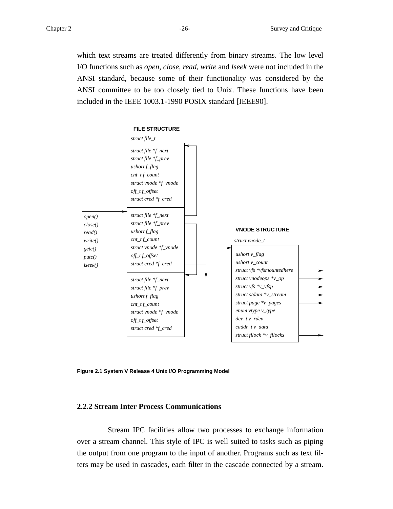which text streams are treated differently from binary streams. The low level I/O functions such as *open, close, read, write* and *lseek* were not included in the ANSI standard, because some of their functionality was considered by the ANSI committee to be too closely tied to Unix. These functions have been included in the IEEE 1003.1-1990 POSIX standard [IEEE90].



**Figure 2.1 System V Release 4 Unix I/O Programming Model**

## **2.2.2 Stream Inter Process Communications**

Stream IPC facilities allow two processes to exchange information over a stream channel. This style of IPC is well suited to tasks such as piping the output from one program to the input of another. Programs such as text filters may be used in cascades, each filter in the cascade connected by a stream.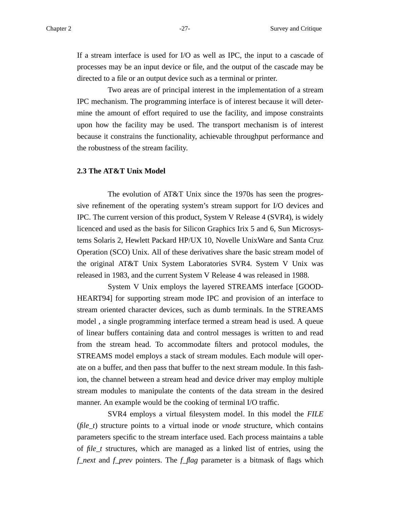If a stream interface is used for I/O as well as IPC, the input to a cascade of processes may be an input device or file, and the output of the cascade may be directed to a file or an output device such as a terminal or printer.

Two areas are of principal interest in the implementation of a stream IPC mechanism. The programming interface is of interest because it will determine the amount of effort required to use the facility, and impose constraints upon how the facility may be used. The transport mechanism is of interest because it constrains the functionality, achievable throughput performance and the robustness of the stream facility.

#### **2.3 The AT&T Unix Model**

The evolution of AT&T Unix since the 1970s has seen the progressive refinement of the operating system's stream support for I/O devices and IPC. The current version of this product, System V Release 4 (SVR4), is widely licenced and used as the basis for Silicon Graphics Irix 5 and 6, Sun Microsystems Solaris 2, Hewlett Packard HP/UX 10, Novelle UnixWare and Santa Cruz Operation (SCO) Unix. All of these derivatives share the basic stream model of the original AT&T Unix System Laboratories SVR4. System V Unix was released in 1983, and the current System V Release 4 was released in 1988.

System V Unix employs the layered STREAMS interface [GOOD-HEART94] for supporting stream mode IPC and provision of an interface to stream oriented character devices, such as dumb terminals. In the STREAMS model , a single programming interface termed a stream head is used. A queue of linear buffers containing data and control messages is written to and read from the stream head. To accommodate filters and protocol modules, the STREAMS model employs a stack of stream modules. Each module will operate on a buffer, and then pass that buffer to the next stream module. In this fashion, the channel between a stream head and device driver may employ multiple stream modules to manipulate the contents of the data stream in the desired manner. An example would be the cooking of terminal I/O traffic.

SVR4 employs a virtual filesystem model. In this model the *FILE* (*file\_t*) structure points to a virtual inode or *vnode* structure, which contains parameters specific to the stream interface used. Each process maintains a table of *file\_t* structures, which are managed as a linked list of entries, using the *f\_next* and *f\_prev* pointers. The *f\_flag* parameter is a bitmask of flags which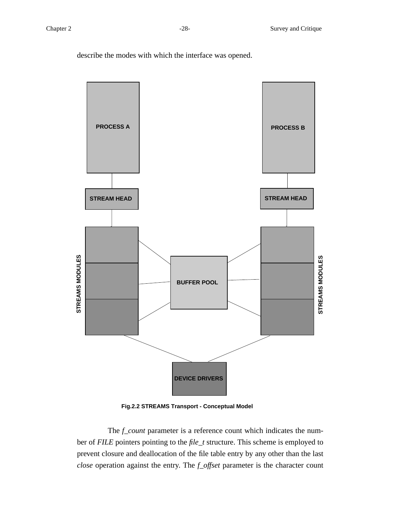describe the modes with which the interface was opened.



**Fig.2.2 STREAMS Transport - Conceptual Model**

The *f\_count* parameter is a reference count which indicates the number of *FILE* pointers pointing to the *file\_t* structure. This scheme is employed to prevent closure and deallocation of the file table entry by any other than the last *close* operation against the entry. The *f\_offset* parameter is the character count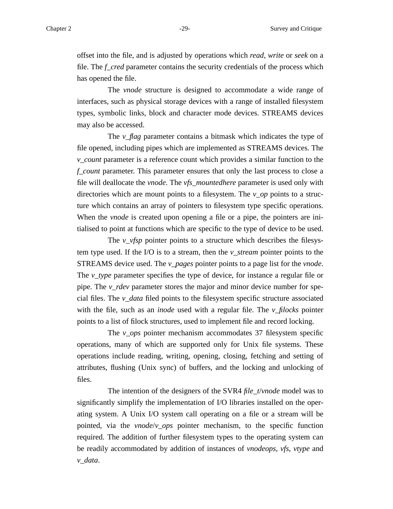offset into the file, and is adjusted by operations which *read*, *write* or *seek* on a file. The *f\_cred* parameter contains the security credentials of the process which has opened the file.

The *vnode* structure is designed to accommodate a wide range of interfaces, such as physical storage devices with a range of installed filesystem types, symbolic links, block and character mode devices. STREAMS devices may also be accessed.

The *v\_flag* parameter contains a bitmask which indicates the type of file opened, including pipes which are implemented as STREAMS devices. The *v\_count* parameter is a reference count which provides a similar function to the *f\_count* parameter. This parameter ensures that only the last process to close a file will deallocate the *vnode*. The *vfs\_mountedhere* parameter is used only with directories which are mount points to a filesystem. The *v\_op* points to a structure which contains an array of pointers to filesystem type specific operations. When the *vnode* is created upon opening a file or a pipe, the pointers are initialised to point at functions which are specific to the type of device to be used.

The *v\_vfsp* pointer points to a structure which describes the filesystem type used. If the I/O is to a stream, then the *v\_stream* pointer points to the STREAMS device used. The *v\_pages* pointer points to a page list for the *vnode*. The *v\_type* parameter specifies the type of device, for instance a regular file or pipe. The *v\_rdev* parameter stores the major and minor device number for special files. The *v\_data* filed points to the filesystem specific structure associated with the file, such as an *inode* used with a regular file. The *v\_filocks* pointer points to a list of filock structures, used to implement file and record locking.

The *v\_ops* pointer mechanism accommodates 37 filesystem specific operations, many of which are supported only for Unix file systems. These operations include reading, writing, opening, closing, fetching and setting of attributes, flushing (Unix sync) of buffers, and the locking and unlocking of files.

The intention of the designers of the SVR4 *file\_t*/*vnode* model was to significantly simplify the implementation of I/O libraries installed on the operating system. A Unix I/O system call operating on a file or a stream will be pointed, via the *vnode*/*v\_ops* pointer mechanism, to the specific function required. The addition of further filesystem types to the operating system can be readily accommodated by addition of instances of *vnodeops*, *vfs*, *vtype* and *v\_data*.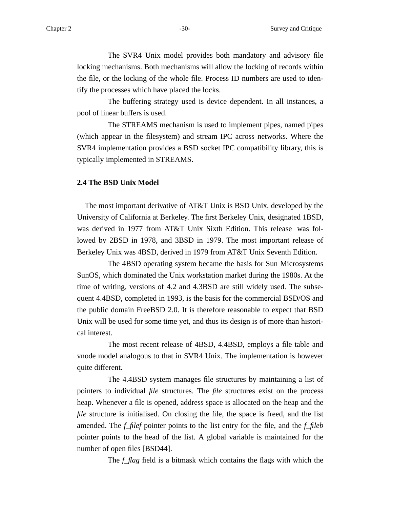The SVR4 Unix model provides both mandatory and advisory file locking mechanisms. Both mechanisms will allow the locking of records within the file, or the locking of the whole file. Process ID numbers are used to identify the processes which have placed the locks.

The buffering strategy used is device dependent. In all instances, a pool of linear buffers is used.

The STREAMS mechanism is used to implement pipes, named pipes (which appear in the filesystem) and stream IPC across networks. Where the SVR4 implementation provides a BSD socket IPC compatibility library, this is typically implemented in STREAMS.

#### **2.4 The BSD Unix Model**

The most important derivative of AT&T Unix is BSD Unix, developed by the University of California at Berkeley. The first Berkeley Unix, designated 1BSD, was derived in 1977 from AT&T Unix Sixth Edition. This release was followed by 2BSD in 1978, and 3BSD in 1979. The most important release of Berkeley Unix was 4BSD, derived in 1979 from AT&T Unix Seventh Edition.

The 4BSD operating system became the basis for Sun Microsystems SunOS, which dominated the Unix workstation market during the 1980s. At the time of writing, versions of 4.2 and 4.3BSD are still widely used. The subsequent 4.4BSD, completed in 1993, is the basis for the commercial BSD/OS and the public domain FreeBSD 2.0. It is therefore reasonable to expect that BSD Unix will be used for some time yet, and thus its design is of more than historical interest.

The most recent release of 4BSD, 4.4BSD, employs a file table and vnode model analogous to that in SVR4 Unix. The implementation is however quite different.

The 4.4BSD system manages file structures by maintaining a list of pointers to individual *file* structures. The *file* structures exist on the process heap. Whenever a file is opened, address space is allocated on the heap and the *file* structure is initialised. On closing the file, the space is freed, and the list amended. The *f\_filef* pointer points to the list entry for the file, and the *f\_fileb* pointer points to the head of the list. A global variable is maintained for the number of open files [BSD44].

The *f\_flag* field is a bitmask which contains the flags with which the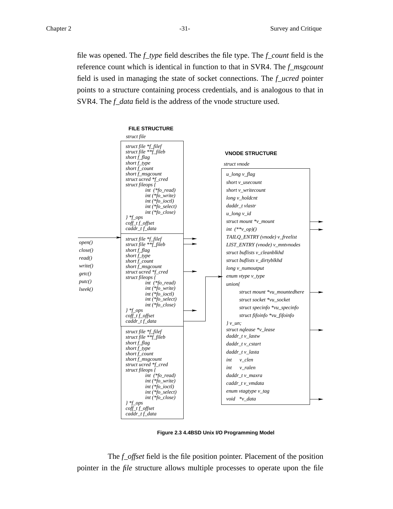file was opened. The *f\_type* field describes the file type. The *f\_count* field is the reference count which is identical in function to that in SVR4. The *f\_msgcount* field is used in managing the state of socket connections. The *f\_ucred* pointer points to a structure containing process credentials, and is analogous to that in SVR4. The *f\_data* field is the address of the vnode structure used.



**Figure 2.3 4.4BSD Unix I/O Programming Model**

The *f\_offset* field is the file position pointer. Placement of the position pointer in the *file* structure allows multiple processes to operate upon the file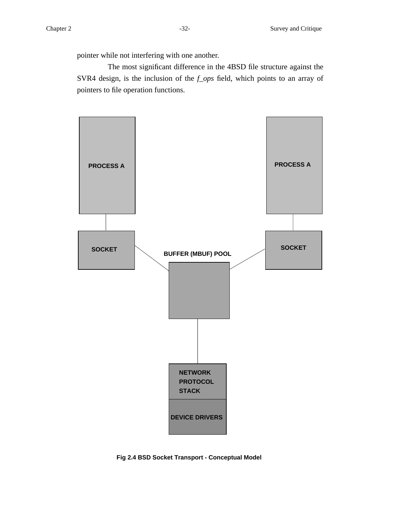The most significant difference in the 4BSD file structure against the SVR4 design, is the inclusion of the *f\_ops* field, which points to an array of pointers to file operation functions.



**Fig 2.4 BSD Socket Transport - Conceptual Model**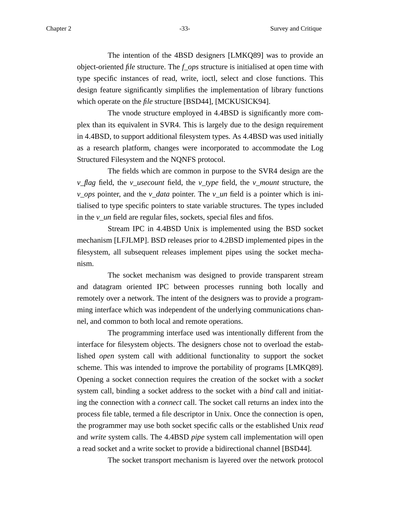The intention of the 4BSD designers [LMKQ89] was to provide an object-oriented *file* structure. The *f\_ops* structure is initialised at open time with type specific instances of read, write, ioctl, select and close functions. This design feature significantly simplifies the implementation of library functions which operate on the *file* structure [BSD44], [MCKUSICK94].

The vnode structure employed in 4.4BSD is significantly more complex than its equivalent in SVR4. This is largely due to the design requirement in 4.4BSD, to support additional filesystem types. As 4.4BSD was used initially as a research platform, changes were incorporated to accommodate the Log Structured Filesystem and the NQNFS protocol.

The fields which are common in purpose to the SVR4 design are the *v\_flag* field, the *v\_usecount* field, the *v\_type* field, the *v\_mount* structure, the *v\_ops* pointer, and the *v\_data* pointer. The *v\_un* field is a pointer which is initialised to type specific pointers to state variable structures. The types included in the *v\_un* field are regular files, sockets, special files and fifos.

Stream IPC in 4.4BSD Unix is implemented using the BSD socket mechanism [LFJLMP]. BSD releases prior to 4.2BSD implemented pipes in the filesystem, all subsequent releases implement pipes using the socket mechanism.

The socket mechanism was designed to provide transparent stream and datagram oriented IPC between processes running both locally and remotely over a network. The intent of the designers was to provide a programming interface which was independent of the underlying communications channel, and common to both local and remote operations.

The programming interface used was intentionally different from the interface for filesystem objects. The designers chose not to overload the established *open* system call with additional functionality to support the socket scheme. This was intended to improve the portability of programs [LMKQ89]. Opening a socket connection requires the creation of the socket with a *socket* system call, binding a socket address to the socket with a *bind* call and initiating the connection with a *connect* call. The socket call returns an index into the process file table, termed a file descriptor in Unix. Once the connection is open, the programmer may use both socket specific calls or the established Unix *read* and *write* system calls. The 4.4BSD *pipe* system call implementation will open a read socket and a write socket to provide a bidirectional channel [BSD44].

The socket transport mechanism is layered over the network protocol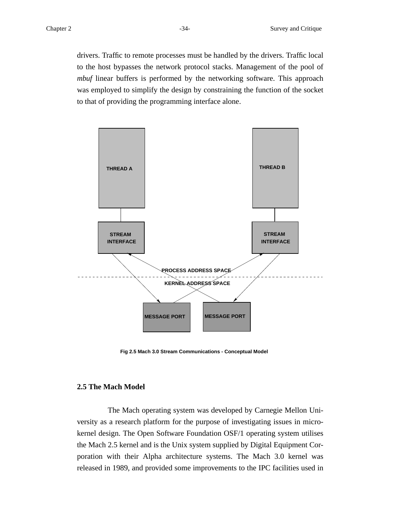drivers. Traffic to remote processes must be handled by the drivers. Traffic local to the host bypasses the network protocol stacks. Management of the pool of *mbuf* linear buffers is performed by the networking software. This approach was employed to simplify the design by constraining the function of the socket to that of providing the programming interface alone.



**Fig 2.5 Mach 3.0 Stream Communications - Conceptual Model**

#### **2.5 The Mach Model**

The Mach operating system was developed by Carnegie Mellon University as a research platform for the purpose of investigating issues in microkernel design. The Open Software Foundation OSF/1 operating system utilises the Mach 2.5 kernel and is the Unix system supplied by Digital Equipment Corporation with their Alpha architecture systems. The Mach 3.0 kernel was released in 1989, and provided some improvements to the IPC facilities used in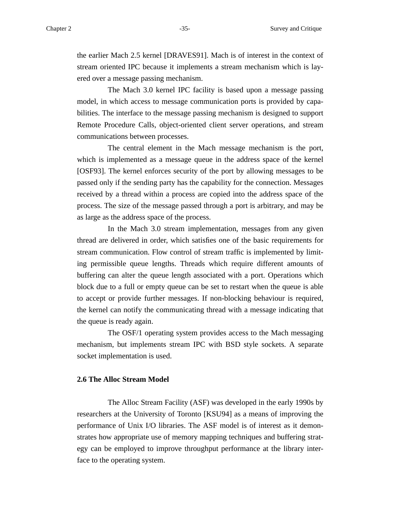the earlier Mach 2.5 kernel [DRAVES91]. Mach is of interest in the context of stream oriented IPC because it implements a stream mechanism which is layered over a message passing mechanism.

The Mach 3.0 kernel IPC facility is based upon a message passing model, in which access to message communication ports is provided by capabilities. The interface to the message passing mechanism is designed to support Remote Procedure Calls, object-oriented client server operations, and stream communications between processes.

The central element in the Mach message mechanism is the port, which is implemented as a message queue in the address space of the kernel [OSF93]. The kernel enforces security of the port by allowing messages to be passed only if the sending party has the capability for the connection. Messages received by a thread within a process are copied into the address space of the process. The size of the message passed through a port is arbitrary, and may be as large as the address space of the process.

In the Mach 3.0 stream implementation, messages from any given thread are delivered in order, which satisfies one of the basic requirements for stream communication. Flow control of stream traffic is implemented by limiting permissible queue lengths. Threads which require different amounts of buffering can alter the queue length associated with a port. Operations which block due to a full or empty queue can be set to restart when the queue is able to accept or provide further messages. If non-blocking behaviour is required, the kernel can notify the communicating thread with a message indicating that the queue is ready again.

The OSF/1 operating system provides access to the Mach messaging mechanism, but implements stream IPC with BSD style sockets. A separate socket implementation is used.

#### **2.6 The Alloc Stream Model**

The Alloc Stream Facility (ASF) was developed in the early 1990s by researchers at the University of Toronto [KSU94] as a means of improving the performance of Unix I/O libraries. The ASF model is of interest as it demonstrates how appropriate use of memory mapping techniques and buffering strategy can be employed to improve throughput performance at the library interface to the operating system.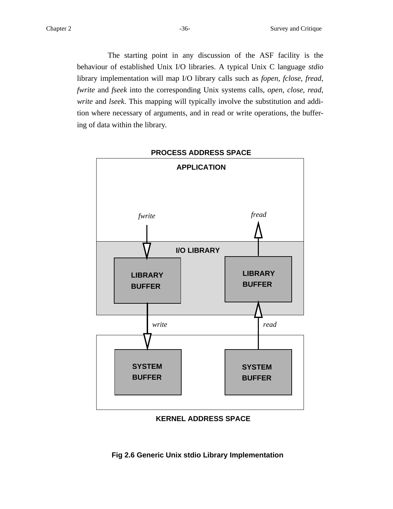The starting point in any discussion of the ASF facility is the behaviour of established Unix I/O libraries. A typical Unix C language *stdio* library implementation will map I/O library calls such as *fopen, fclose, fread, fwrite* and *fseek* into the corresponding Unix systems calls, *open, close, read, write* and *lseek*. This mapping will typically involve the substitution and addition where necessary of arguments, and in read or write operations, the buffering of data within the library.



### **KERNEL ADDRESS SPACE**

**Fig 2.6 Generic Unix stdio Library Implementation**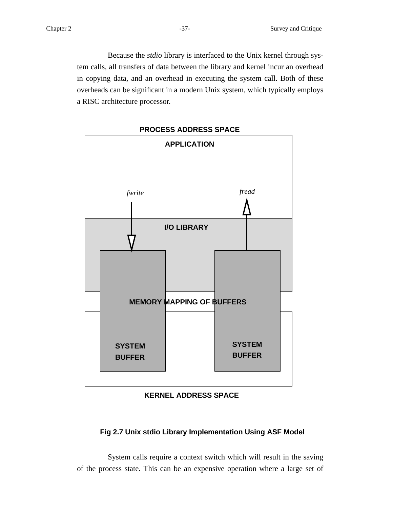Because the *stdio* library is interfaced to the Unix kernel through system calls, all transfers of data between the library and kernel incur an overhead in copying data, and an overhead in executing the system call. Both of these overheads can be significant in a modern Unix system, which typically employs a RISC architecture processor.



# **KERNEL ADDRESS SPACE**

# **Fig 2.7 Unix stdio Library Implementation Using ASF Model**

System calls require a context switch which will result in the saving of the process state. This can be an expensive operation where a large set of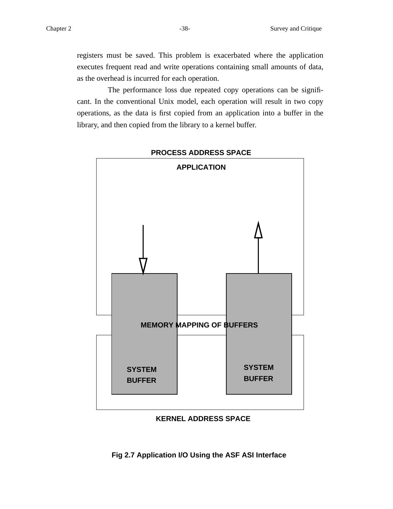registers must be saved. This problem is exacerbated where the application executes frequent read and write operations containing small amounts of data, as the overhead is incurred for each operation.

The performance loss due repeated copy operations can be significant. In the conventional Unix model, each operation will result in two copy operations, as the data is first copied from an application into a buffer in the library, and then copied from the library to a kernel buffer.



**PROCESS ADDRESS SPACE**

# **KERNEL ADDRESS SPACE**

**Fig 2.7 Application I/O Using the ASF ASI Interface**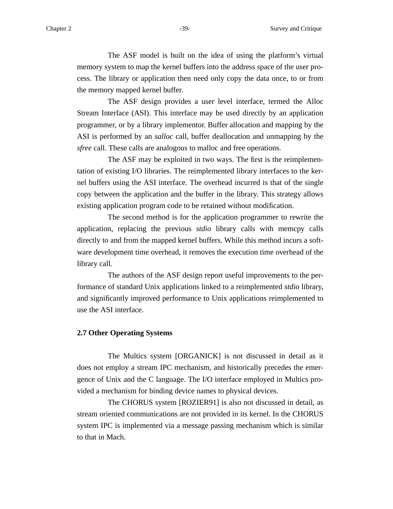The ASF model is built on the idea of using the platform's virtual memory system to map the kernel buffers into the address space of the user process. The library or application then need only copy the data once, to or from the memory mapped kernel buffer.

The ASF design provides a user level interface, termed the Alloc Stream Interface (ASI). This interface may be used directly by an application programmer, or by a library implementor. Buffer allocation and mapping by the ASI is performed by an *salloc* call, buffer deallocation and unmapping by the *sfree* call. These calls are analogous to malloc and free operations.

The ASF may be exploited in two ways. The first is the reimplementation of existing I/O libraries. The reimplemented library interfaces to the kernel buffers using the ASI interface. The overhead incurred is that of the single copy between the application and the buffer in the library. This strategy allows existing application program code to be retained without modification.

The second method is for the application programmer to rewrite the application, replacing the previous *stdio* library calls with memcpy calls directly to and from the mapped kernel buffers. While this method incurs a software development time overhead, it removes the execution time overhead of the library call.

The authors of the ASF design report useful improvements to the performance of standard Unix applications linked to a reimplemented *stdio* library, and significantly improved performance to Unix applications reimplemented to use the ASI interface.

# **2.7 Other Operating Systems**

The Multics system [ORGANICK] is not discussed in detail as it does not employ a stream IPC mechanism, and historically precedes the emergence of Unix and the C language. The I/O interface employed in Multics provided a mechanism for binding device names to physical devices.

The CHORUS system [ROZIER91] is also not discussed in detail, as stream oriented communications are not provided in its kernel. In the CHORUS system IPC is implemented via a message passing mechanism which is similar to that in Mach.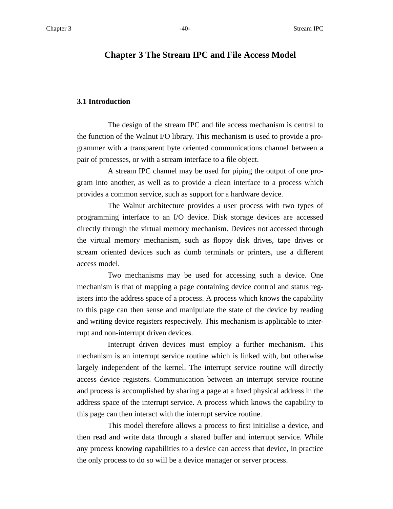# **Chapter 3 The Stream IPC and File Access Model**

### **3.1 Introduction**

The design of the stream IPC and file access mechanism is central to the function of the Walnut I/O library. This mechanism is used to provide a programmer with a transparent byte oriented communications channel between a pair of processes, or with a stream interface to a file object.

A stream IPC channel may be used for piping the output of one program into another, as well as to provide a clean interface to a process which provides a common service, such as support for a hardware device.

The Walnut architecture provides a user process with two types of programming interface to an I/O device. Disk storage devices are accessed directly through the virtual memory mechanism. Devices not accessed through the virtual memory mechanism, such as floppy disk drives, tape drives or stream oriented devices such as dumb terminals or printers, use a different access model.

Two mechanisms may be used for accessing such a device. One mechanism is that of mapping a page containing device control and status registers into the address space of a process. A process which knows the capability to this page can then sense and manipulate the state of the device by reading and writing device registers respectively. This mechanism is applicable to interrupt and non-interrupt driven devices.

Interrupt driven devices must employ a further mechanism. This mechanism is an interrupt service routine which is linked with, but otherwise largely independent of the kernel. The interrupt service routine will directly access device registers. Communication between an interrupt service routine and process is accomplished by sharing a page at a fixed physical address in the address space of the interrupt service. A process which knows the capability to this page can then interact with the interrupt service routine.

This model therefore allows a process to first initialise a device, and then read and write data through a shared buffer and interrupt service. While any process knowing capabilities to a device can access that device, in practice the only process to do so will be a device manager or server process.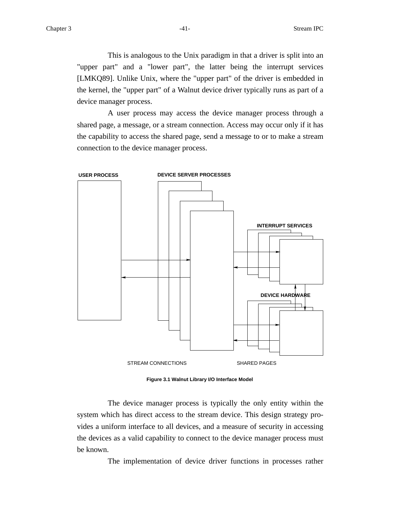This is analogous to the Unix paradigm in that a driver is split into an "upper part" and a "lower part", the latter being the interrupt services [LMKQ89]. Unlike Unix, where the "upper part" of the driver is embedded in the kernel, the "upper part" of a Walnut device driver typically runs as part of a device manager process.

A user process may access the device manager process through a shared page, a message, or a stream connection. Access may occur only if it has the capability to access the shared page, send a message to or to make a stream connection to the device manager process.



**Figure 3.1 Walnut Library I/O Interface Model**

The device manager process is typically the only entity within the system which has direct access to the stream device. This design strategy provides a uniform interface to all devices, and a measure of security in accessing the devices as a valid capability to connect to the device manager process must be known.

The implementation of device driver functions in processes rather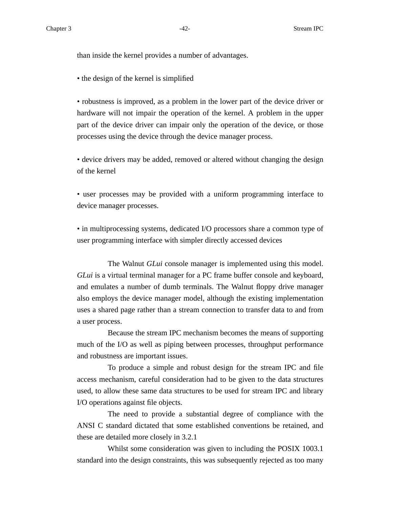than inside the kernel provides a number of advantages.

• the design of the kernel is simplified

• robustness is improved, as a problem in the lower part of the device driver or hardware will not impair the operation of the kernel. A problem in the upper part of the device driver can impair only the operation of the device, or those processes using the device through the device manager process.

• device drivers may be added, removed or altered without changing the design of the kernel

• user processes may be provided with a uniform programming interface to device manager processes.

• in multiprocessing systems, dedicated I/O processors share a common type of user programming interface with simpler directly accessed devices

The Walnut *GLui* console manager is implemented using this model. *GLui* is a virtual terminal manager for a PC frame buffer console and keyboard, and emulates a number of dumb terminals. The Walnut floppy drive manager also employs the device manager model, although the existing implementation uses a shared page rather than a stream connection to transfer data to and from a user process.

Because the stream IPC mechanism becomes the means of supporting much of the I/O as well as piping between processes, throughput performance and robustness are important issues.

To produce a simple and robust design for the stream IPC and file access mechanism, careful consideration had to be given to the data structures used, to allow these same data structures to be used for stream IPC and library I/O operations against file objects.

The need to provide a substantial degree of compliance with the ANSI C standard dictated that some established conventions be retained, and these are detailed more closely in 3.2.1

Whilst some consideration was given to including the POSIX 1003.1 standard into the design constraints, this was subsequently rejected as too many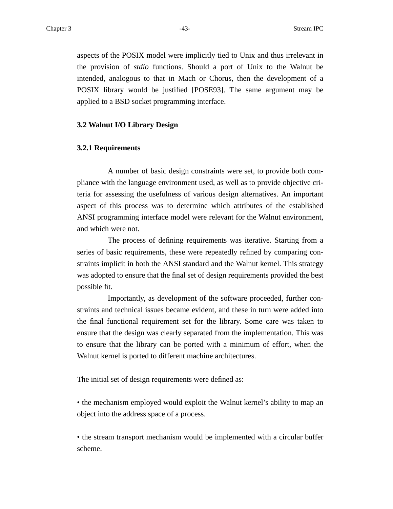aspects of the POSIX model were implicitly tied to Unix and thus irrelevant in the provision of *stdio* functions. Should a port of Unix to the Walnut be intended, analogous to that in Mach or Chorus, then the development of a POSIX library would be justified [POSE93]. The same argument may be applied to a BSD socket programming interface.

### **3.2 Walnut I/O Library Design**

### **3.2.1 Requirements**

A number of basic design constraints were set, to provide both compliance with the language environment used, as well as to provide objective criteria for assessing the usefulness of various design alternatives. An important aspect of this process was to determine which attributes of the established ANSI programming interface model were relevant for the Walnut environment, and which were not.

The process of defining requirements was iterative. Starting from a series of basic requirements, these were repeatedly refined by comparing constraints implicit in both the ANSI standard and the Walnut kernel. This strategy was adopted to ensure that the final set of design requirements provided the best possible fit.

Importantly, as development of the software proceeded, further constraints and technical issues became evident, and these in turn were added into the final functional requirement set for the library. Some care was taken to ensure that the design was clearly separated from the implementation. This was to ensure that the library can be ported with a minimum of effort, when the Walnut kernel is ported to different machine architectures.

The initial set of design requirements were defined as:

• the mechanism employed would exploit the Walnut kernel's ability to map an object into the address space of a process.

• the stream transport mechanism would be implemented with a circular buffer scheme.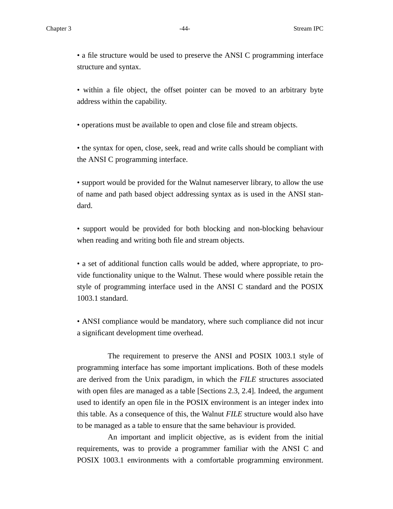• a file structure would be used to preserve the ANSI C programming interface structure and syntax.

• within a file object, the offset pointer can be moved to an arbitrary byte address within the capability.

• operations must be available to open and close file and stream objects.

• the syntax for open, close, seek, read and write calls should be compliant with the ANSI C programming interface.

• support would be provided for the Walnut nameserver library, to allow the use of name and path based object addressing syntax as is used in the ANSI standard.

• support would be provided for both blocking and non-blocking behaviour when reading and writing both file and stream objects.

• a set of additional function calls would be added, where appropriate, to provide functionality unique to the Walnut. These would where possible retain the style of programming interface used in the ANSI C standard and the POSIX 1003.1 standard.

• ANSI compliance would be mandatory, where such compliance did not incur a significant development time overhead.

The requirement to preserve the ANSI and POSIX 1003.1 style of programming interface has some important implications. Both of these models are derived from the Unix paradigm, in which the *FILE* structures associated with open files are managed as a table [Sections 2.3, 2.4]. Indeed, the argument used to identify an open file in the POSIX environment is an integer index into this table. As a consequence of this, the Walnut *FILE* structure would also have to be managed as a table to ensure that the same behaviour is provided.

An important and implicit objective, as is evident from the initial requirements, was to provide a programmer familiar with the ANSI C and POSIX 1003.1 environments with a comfortable programming environment.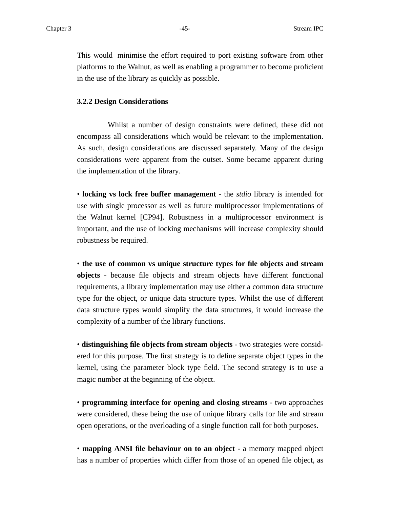This would minimise the effort required to port existing software from other platforms to the Walnut, as well as enabling a programmer to become proficient in the use of the library as quickly as possible.

#### **3.2.2 Design Considerations**

Whilst a number of design constraints were defined, these did not encompass all considerations which would be relevant to the implementation. As such, design considerations are discussed separately. Many of the design considerations were apparent from the outset. Some became apparent during the implementation of the library.

• **locking vs lock free buffer management** - the *stdio* library is intended for use with single processor as well as future multiprocessor implementations of the Walnut kernel [CP94]. Robustness in a multiprocessor environment is important, and the use of locking mechanisms will increase complexity should robustness be required.

• **the use of common vs unique structure types for file objects and stream objects** - because file objects and stream objects have different functional requirements, a library implementation may use either a common data structure type for the object, or unique data structure types. Whilst the use of different data structure types would simplify the data structures, it would increase the complexity of a number of the library functions.

• **distinguishing file objects from stream objects** - two strategies were considered for this purpose. The first strategy is to define separate object types in the kernel, using the parameter block type field. The second strategy is to use a magic number at the beginning of the object.

• **programming interface for opening and closing streams** - two approaches were considered, these being the use of unique library calls for file and stream open operations, or the overloading of a single function call for both purposes.

• **mapping ANSI file behaviour on to an object** - a memory mapped object has a number of properties which differ from those of an opened file object, as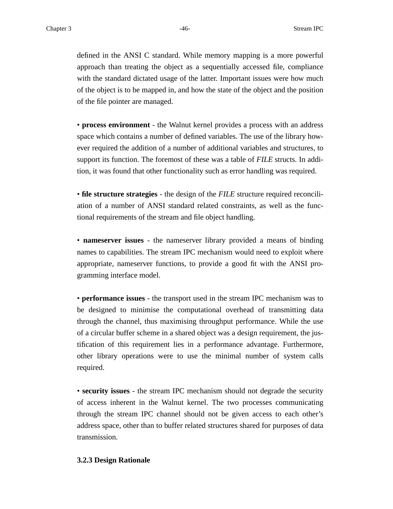defined in the ANSI C standard. While memory mapping is a more powerful approach than treating the object as a sequentially accessed file, compliance with the standard dictated usage of the latter. Important issues were how much of the object is to be mapped in, and how the state of the object and the position of the file pointer are managed.

• **process environment** - the Walnut kernel provides a process with an address space which contains a number of defined variables. The use of the library however required the addition of a number of additional variables and structures, to support its function. The foremost of these was a table of *FILE* structs. In addition, it was found that other functionality such as error handling was required.

• **file structure strategies** - the design of the *FILE* structure required reconciliation of a number of ANSI standard related constraints, as well as the functional requirements of the stream and file object handling.

• **nameserver issues** - the nameserver library provided a means of binding names to capabilities. The stream IPC mechanism would need to exploit where appropriate, nameserver functions, to provide a good fit with the ANSI programming interface model.

• **performance issues** - the transport used in the stream IPC mechanism was to be designed to minimise the computational overhead of transmitting data through the channel, thus maximising throughput performance. While the use of a circular buffer scheme in a shared object was a design requirement, the justification of this requirement lies in a performance advantage. Furthermore, other library operations were to use the minimal number of system calls required.

• **security issues** - the stream IPC mechanism should not degrade the security of access inherent in the Walnut kernel. The two processes communicating through the stream IPC channel should not be given access to each other's address space, other than to buffer related structures shared for purposes of data transmission.

#### **3.2.3 Design Rationale**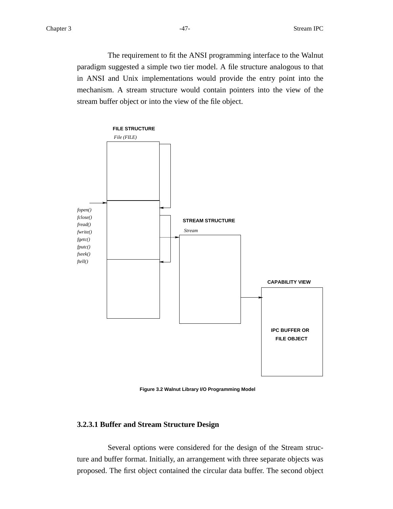The requirement to fit the ANSI programming interface to the Walnut paradigm suggested a simple two tier model. A file structure analogous to that in ANSI and Unix implementations would provide the entry point into the mechanism. A stream structure would contain pointers into the view of the stream buffer object or into the view of the file object.



**Figure 3.2 Walnut Library I/O Programming Model**

## **3.2.3.1 Buffer and Stream Structure Design**

Several options were considered for the design of the Stream structure and buffer format. Initially, an arrangement with three separate objects was proposed. The first object contained the circular data buffer. The second object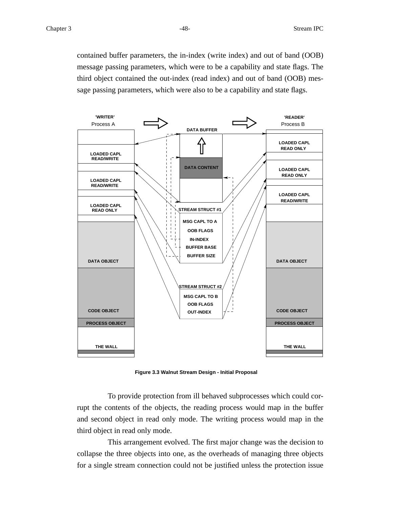contained buffer parameters, the in-index (write index) and out of band (OOB) message passing parameters, which were to be a capability and state flags. The third object contained the out-index (read index) and out of band (OOB) message passing parameters, which were also to be a capability and state flags.



**Figure 3.3 Walnut Stream Design - Initial Proposal**

To provide protection from ill behaved subprocesses which could corrupt the contents of the objects, the reading process would map in the buffer and second object in read only mode. The writing process would map in the third object in read only mode.

This arrangement evolved. The first major change was the decision to collapse the three objects into one, as the overheads of managing three objects for a single stream connection could not be justified unless the protection issue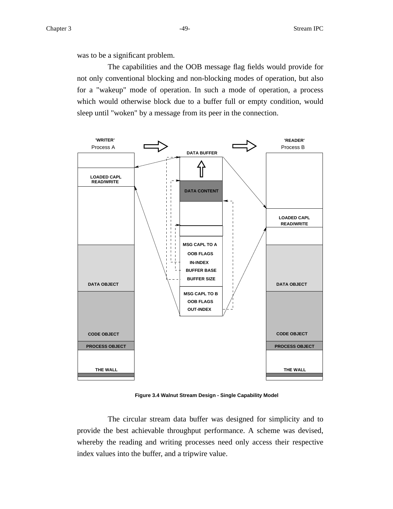was to be a significant problem.

The capabilities and the OOB message flag fields would provide for not only conventional blocking and non-blocking modes of operation, but also for a "wakeup" mode of operation. In such a mode of operation, a process which would otherwise block due to a buffer full or empty condition, would sleep until "woken" by a message from its peer in the connection.



**Figure 3.4 Walnut Stream Design - Single Capability Model**

The circular stream data buffer was designed for simplicity and to provide the best achievable throughput performance. A scheme was devised, whereby the reading and writing processes need only access their respective index values into the buffer, and a tripwire value.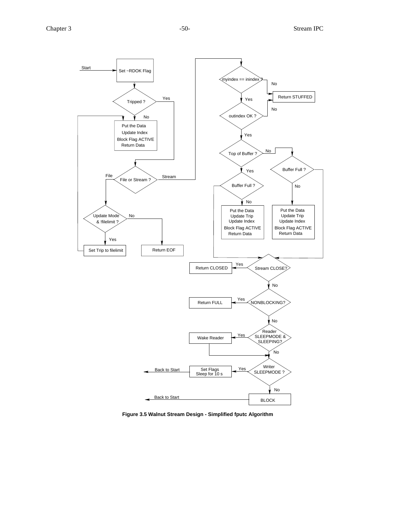

**Figure 3.5 Walnut Stream Design - Simplified fputc Algorithm**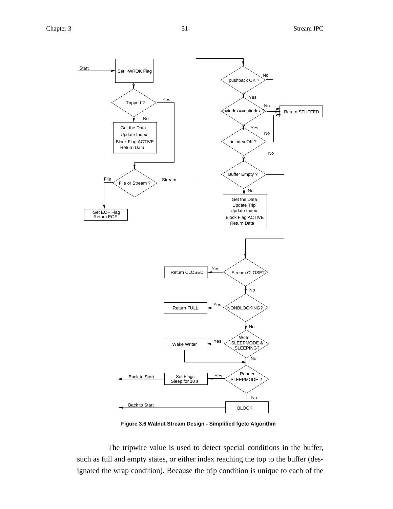

**Figure 3.6 Walnut Stream Design - Simplified fgetc Algorithm**

The tripwire value is used to detect special conditions in the buffer, such as full and empty states, or either index reaching the top to the buffer (designated the wrap condition). Because the trip condition is unique to each of the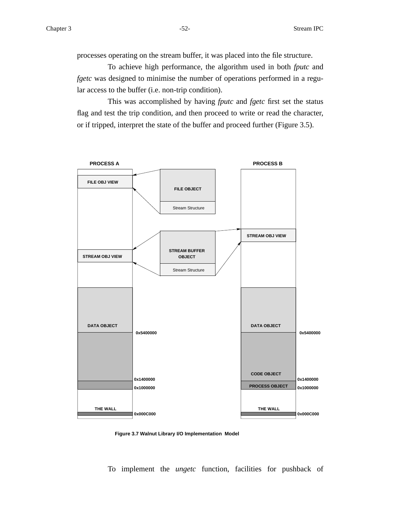processes operating on the stream buffer, it was placed into the file structure.

To achieve high performance, the algorithm used in both *fputc* and *fgetc* was designed to minimise the number of operations performed in a regular access to the buffer (i.e. non-trip condition).

This was accomplished by having *fputc* and *fgetc* first set the status flag and test the trip condition, and then proceed to write or read the character, or if tripped, interpret the state of the buffer and proceed further (Figure 3.5).



**Figure 3.7 Walnut Library I/O Implementation Model**

To implement the *ungetc* function, facilities for pushback of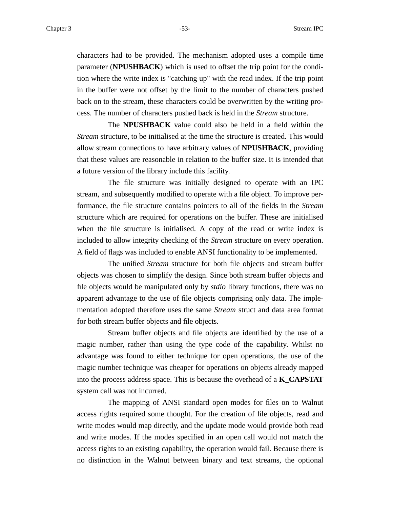characters had to be provided. The mechanism adopted uses a compile time parameter (**NPUSHBACK**) which is used to offset the trip point for the condition where the write index is "catching up" with the read index. If the trip point in the buffer were not offset by the limit to the number of characters pushed back on to the stream, these characters could be overwritten by the writing process. The number of characters pushed back is held in the *Stream* structure.

The **NPUSHBACK** value could also be held in a field within the *Stream* structure, to be initialised at the time the structure is created. This would allow stream connections to have arbitrary values of **NPUSHBACK**, providing that these values are reasonable in relation to the buffer size. It is intended that a future version of the library include this facility.

The file structure was initially designed to operate with an IPC stream, and subsequently modified to operate with a file object. To improve performance, the file structure contains pointers to all of the fields in the *Stream* structure which are required for operations on the buffer. These are initialised when the file structure is initialised. A copy of the read or write index is included to allow integrity checking of the *Stream* structure on every operation. A field of flags was included to enable ANSI functionality to be implemented.

The unified *Stream* structure for both file objects and stream buffer objects was chosen to simplify the design. Since both stream buffer objects and file objects would be manipulated only by *stdio* library functions, there was no apparent advantage to the use of file objects comprising only data. The implementation adopted therefore uses the same *Stream* struct and data area format for both stream buffer objects and file objects.

Stream buffer objects and file objects are identified by the use of a magic number, rather than using the type code of the capability. Whilst no advantage was found to either technique for open operations, the use of the magic number technique was cheaper for operations on objects already mapped into the process address space. This is because the overhead of a **K\_CAPSTAT** system call was not incurred.

The mapping of ANSI standard open modes for files on to Walnut access rights required some thought. For the creation of file objects, read and write modes would map directly, and the update mode would provide both read and write modes. If the modes specified in an open call would not match the access rights to an existing capability, the operation would fail. Because there is no distinction in the Walnut between binary and text streams, the optional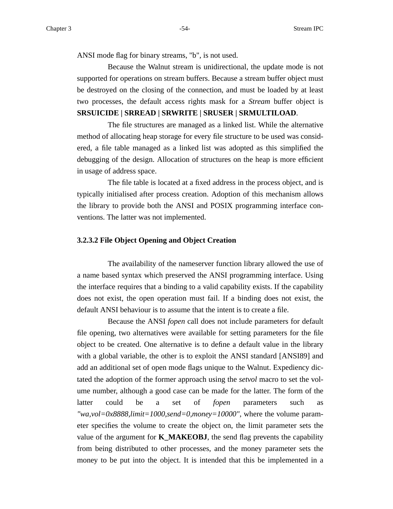ANSI mode flag for binary streams, "b", is not used.

Because the Walnut stream is unidirectional, the update mode is not supported for operations on stream buffers. Because a stream buffer object must be destroyed on the closing of the connection, and must be loaded by at least two processes, the default access rights mask for a *Stream* buffer object is **SRSUICIDE | SRREAD | SRWRITE | SRUSER | SRMULTILOAD**.

The file structures are managed as a linked list. While the alternative method of allocating heap storage for every file structure to be used was considered, a file table managed as a linked list was adopted as this simplified the debugging of the design. Allocation of structures on the heap is more efficient in usage of address space.

The file table is located at a fixed address in the process object, and is typically initialised after process creation. Adoption of this mechanism allows the library to provide both the ANSI and POSIX programming interface conventions. The latter was not implemented.

#### **3.2.3.2 File Object Opening and Object Creation**

The availability of the nameserver function library allowed the use of a name based syntax which preserved the ANSI programming interface. Using the interface requires that a binding to a valid capability exists. If the capability does not exist, the open operation must fail. If a binding does not exist, the default ANSI behaviour is to assume that the intent is to create a file.

Because the ANSI *fopen* call does not include parameters for default file opening, two alternatives were available for setting parameters for the file object to be created. One alternative is to define a default value in the library with a global variable, the other is to exploit the ANSI standard [ANSI89] and add an additional set of open mode flags unique to the Walnut. Expediency dictated the adoption of the former approach using the *setvol* macro to set the volume number, although a good case can be made for the latter. The form of the latter could be a set of *fopen* parameters such as *"wa,vol=0x8888,limit=1000,send=0,money=10000"*, where the volume parameter specifies the volume to create the object on, the limit parameter sets the value of the argument for **K\_MAKEOBJ**, the send flag prevents the capability from being distributed to other processes, and the money parameter sets the money to be put into the object. It is intended that this be implemented in a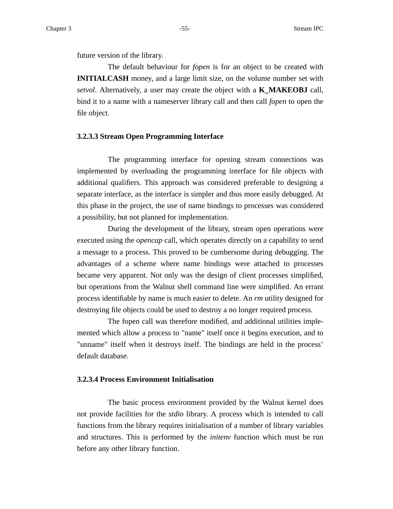future version of the library.

The default behaviour for *fopen* is for an object to be created with **INITIALCASH** money, and a large limit size, on the volume number set with *setvol*. Alternatively, a user may create the object with a **K\_MAKEOBJ** call, bind it to a name with a nameserver library call and then call *fopen* to open the file object.

### **3.2.3.3 Stream Open Programming Interface**

The programming interface for opening stream connections was implemented by overloading the programming interface for file objects with additional qualifiers. This approach was considered preferable to designing a separate interface, as the interface is simpler and thus more easily debugged. At this phase in the project, the use of name bindings to processes was considered a possibility, but not planned for implementation.

During the development of the library, stream open operations were executed using the *opencap* call, which operates directly on a capability to send a message to a process. This proved to be cumbersome during debugging. The advantages of a scheme where name bindings were attached to processes became very apparent. Not only was the design of client processes simplified, but operations from the Walnut shell command line were simplified. An errant process identifiable by name is much easier to delete. An *rm* utility designed for destroying file objects could be used to destroy a no longer required process.

The fopen call was therefore modified, and additional utilities implemented which allow a process to "name" itself once it begins execution, and to "unname" itself when it destroys itself. The bindings are held in the process' default database.

# **3.2.3.4 Process Environment Initialisation**

The basic process environment provided by the Walnut kernel does not provide facilities for the *stdio* library. A process which is intended to call functions from the library requires initialisation of a number of library variables and structures. This is performed by the *initenv* function which must be run before any other library function.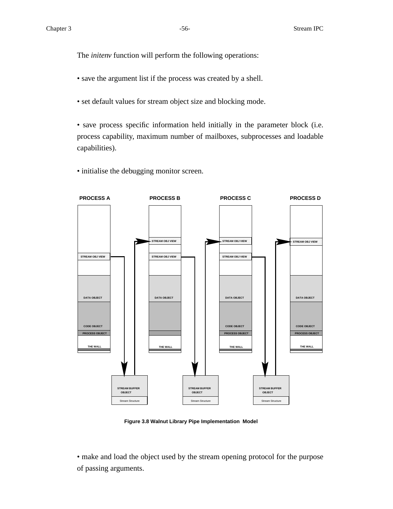The *initenv* function will perform the following operations:

- save the argument list if the process was created by a shell.
- set default values for stream object size and blocking mode.
- save process specific information held initially in the parameter block (i.e. process capability, maximum number of mailboxes, subprocesses and loadable capabilities).
- initialise the debugging monitor screen.



**Figure 3.8 Walnut Library Pipe Implementation Model**

• make and load the object used by the stream opening protocol for the purpose of passing arguments.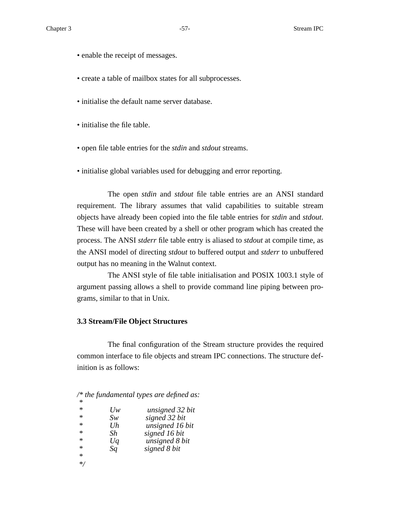- enable the receipt of messages.
- create a table of mailbox states for all subprocesses.
- initialise the default name server database.
- initialise the file table.
- open file table entries for the *stdin* and *stdout* streams.
- initialise global variables used for debugging and error reporting.

The open *stdin* and *stdout* file table entries are an ANSI standard requirement. The library assumes that valid capabilities to suitable stream objects have already been copied into the file table entries for *stdin* and *stdout*. These will have been created by a shell or other program which has created the process. The ANSI *stderr* file table entry is aliased to *stdout* at compile time, as the ANSI model of directing *stdout* to buffered output and *stderr* to unbuffered output has no meaning in the Walnut context.

The ANSI style of file table initialisation and POSIX 1003.1 style of argument passing allows a shell to provide command line piping between programs, similar to that in Unix.

# **3.3 Stream/File Object Structures**

The final configuration of the Stream structure provides the required common interface to file objects and stream IPC connections. The structure definition is as follows:

|  | /* the fundamental types are defined as: |  |  |
|--|------------------------------------------|--|--|
|  |                                          |  |  |

| $\ast$  | Uw | unsigned 32 bit |
|---------|----|-----------------|
| $\ast$  | Sw | signed 32 bit   |
| $\ast$  | Uh | unsigned 16 bit |
| $\ast$  | Sh | signed 16 bit   |
| $\ast$  | Uq | unsigned 8 bit  |
| $\ast$  | Sq | signed 8 bit    |
| $\ast$  |    |                 |
| $\ast/$ |    |                 |
|         |    |                 |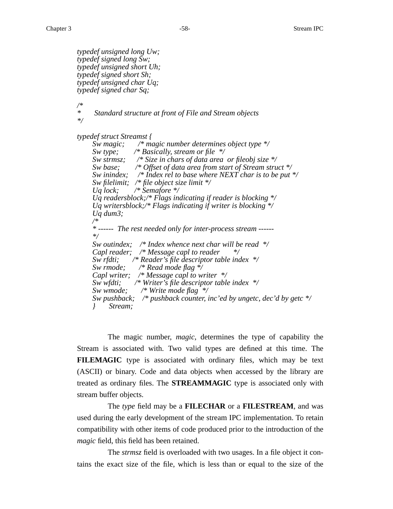```
typedef unsigned long Uw;
typedef signed long Sw;
typedef unsigned short Uh;
typedef signed short Sh;
typedef unsigned char Uq;
typedef signed char Sq;
/*
* Standard structure at front of File and Stream objects
*/
typedef struct Streamst {
    Sw magic; /* magic number determines object type */
    Sw type; /* Basically, stream or file */
    Sw strmsz; /* Size in chars of data area or fileobj size */
    Sw base; /* Offset of data area from start of Stream struct */
    Sw inindex; /* Index rel to base where NEXT char is to be put */
    Sw filelimit; /* file object size limit */
    Uq lock; /* Semafore */
    Uq readersblock;/* Flags indicating if reader is blocking */
    Uq writersblock;/* Flags indicating if writer is blocking */
    Uq dum3;
    /*
     * ------ The rest needed only for inter-process stream ------
    */
    Sw outindex; /* Index whence next char will be read */
    Capl reader; /* Message capl to reader */
    Sw rfdti; /* Reader's file descriptor table index */
    Sw rmode; /* Read mode flag */
    Capl writer; /* Message capl to writer */
    Sw wfdti; /* Writer's file descriptor table index */
    Sw wmode; /* Write mode flag */
    Sw pushback; /* pushback counter, inc'ed by ungetc, dec'd by getc */
    } Stream;
```
The magic number, *magic*, determines the type of capability the Stream is associated with. Two valid types are defined at this time. The **FILEMAGIC** type is associated with ordinary files, which may be text (ASCII) or binary. Code and data objects when accessed by the library are treated as ordinary files. The **STREAMMAGIC** type is associated only with stream buffer objects.

The *type* field may be a **FILECHAR** or a **FILESTREAM**, and was used during the early development of the stream IPC implementation. To retain compatibility with other items of code produced prior to the introduction of the *magic* field, this field has been retained.

The *strmsz* field is overloaded with two usages. In a file object it contains the exact size of the file, which is less than or equal to the size of the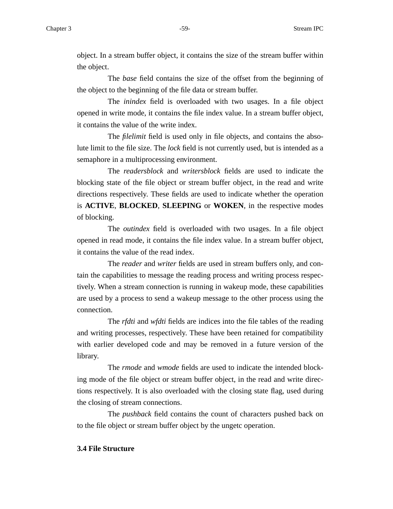object. In a stream buffer object, it contains the size of the stream buffer within the object.

The *base* field contains the size of the offset from the beginning of the object to the beginning of the file data or stream buffer.

The *inindex* field is overloaded with two usages. In a file object opened in write mode, it contains the file index value. In a stream buffer object, it contains the value of the write index.

The *filelimit* field is used only in file objects, and contains the absolute limit to the file size. The *lock* field is not currently used, but is intended as a semaphore in a multiprocessing environment.

The *readersblock* and *writersblock* fields are used to indicate the blocking state of the file object or stream buffer object, in the read and write directions respectively. These fields are used to indicate whether the operation is **ACTIVE**, **BLOCKED**, **SLEEPING** or **WOKEN**, in the respective modes of blocking.

The *outindex* field is overloaded with two usages. In a file object opened in read mode, it contains the file index value. In a stream buffer object, it contains the value of the read index.

The *reader* and *writer* fields are used in stream buffers only, and contain the capabilities to message the reading process and writing process respectively. When a stream connection is running in wakeup mode, these capabilities are used by a process to send a wakeup message to the other process using the connection.

The *rfdti* and *wfdti* fields are indices into the file tables of the reading and writing processes, respectively. These have been retained for compatibility with earlier developed code and may be removed in a future version of the library.

The *rmode* and *wmode* fields are used to indicate the intended blocking mode of the file object or stream buffer object, in the read and write directions respectively. It is also overloaded with the closing state flag, used during the closing of stream connections.

The *pushback* field contains the count of characters pushed back on to the file object or stream buffer object by the ungetc operation.

# **3.4 File Structure**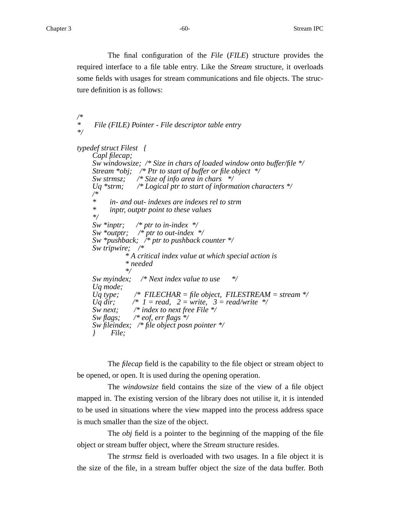The final configuration of the *File* (*FILE*) structure provides the required interface to a file table entry. Like the *Stream* structure, it overloads some fields with usages for stream communications and file objects. The structure definition is as follows:

```
/*
     * File (FILE) Pointer - File descriptor table entry
*/
typedef struct Filest {
    Capl filecap;
    Sw windowsize; /* Size in chars of loaded window onto buffer/file */
    Stream *obj; /* Ptr to start of buffer or file object */
    Sw strmsz; /* Size of info area in chars */
    Uq *strm; /* Logical ptr to start of information characters */
    /*
    * in- and out- indexes are indexes rel to strm
          * inptr, outptr point to these values
    */
    Sw *inptr; /* ptr to in-index */
    Sw *outptr; /* ptr to out-index */
    Sw *pushback; /* ptr to pushback counter */
    Sw tripwire; /*
               * A critical index value at which special action is
               * needed
               */
    Sw myindex; /* Next index value to use */
    Uq mode;
    Uq type; /* FILECHAR = file object, FILESTREAM = stream */
    Uq dir; /* I = read, 2 = write, 3 = read/write */Sw next; /* index to next free File */
    Sw flags; /* eof, err flags */
    Sw fileindex; /* file object posn pointer */
    } File;
```
The *filecap* field is the capability to the file object or stream object to be opened, or open. It is used during the opening operation.

The *windowsize* field contains the size of the view of a file object mapped in. The existing version of the library does not utilise it, it is intended to be used in situations where the view mapped into the process address space is much smaller than the size of the object.

The *obj* field is a pointer to the beginning of the mapping of the file object or stream buffer object, where the *Stream* structure resides.

The *strmsz* field is overloaded with two usages. In a file object it is the size of the file, in a stream buffer object the size of the data buffer. Both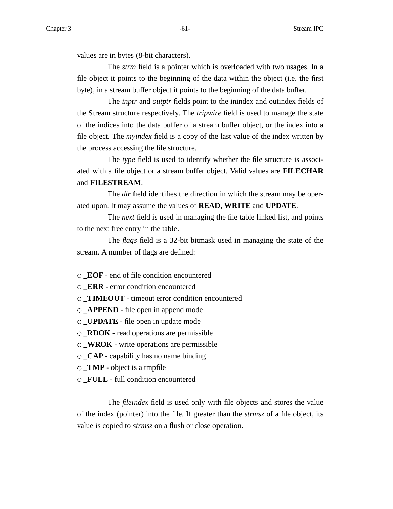values are in bytes (8-bit characters).

The *strm* field is a pointer which is overloaded with two usages. In a file object it points to the beginning of the data within the object (i.e. the first byte), in a stream buffer object it points to the beginning of the data buffer.

The *inptr* and *outptr* fields point to the inindex and outindex fields of the Stream structure respectively. The *tripwire* field is used to manage the state of the indices into the data buffer of a stream buffer object, or the index into a file object. The *myindex* field is a copy of the last value of the index written by the process accessing the file structure.

The *type* field is used to identify whether the file structure is associated with a file object or a stream buffer object. Valid values are **FILECHAR** and **FILESTREAM**.

The *dir* field identifies the direction in which the stream may be operated upon. It may assume the values of **READ**, **WRITE** and **UPDATE**.

The *next* field is used in managing the file table linked list, and points to the next free entry in the table.

The *flags* field is a 32-bit bitmask used in managing the state of the stream. A number of flags are defined:

**\_EOF** - end of file condition encountered

- **\_ERR** error condition encountered
- **\_TIMEOUT** timeout error condition encountered
- **\_APPEND** file open in append mode
- **\_UPDATE** file open in update mode
- **\_RDOK** read operations are permissible
- **\_WROK** write operations are permissible
- **\_CAP** capability has no name binding
- **\_TMP** object is a tmpfile
- **\_FULL** full condition encountered

The *fileindex* field is used only with file objects and stores the value of the index (pointer) into the file. If greater than the *strmsz* of a file object, its value is copied to *strmsz* on a flush or close operation.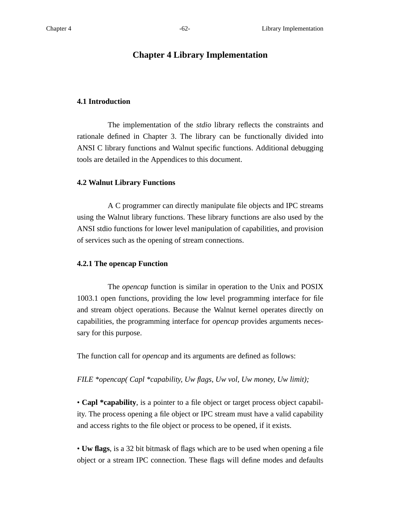# **Chapter 4 Library Implementation**

### **4.1 Introduction**

The implementation of the *stdio* library reflects the constraints and rationale defined in Chapter 3. The library can be functionally divided into ANSI C library functions and Walnut specific functions. Additional debugging tools are detailed in the Appendices to this document.

#### **4.2 Walnut Library Functions**

A C programmer can directly manipulate file objects and IPC streams using the Walnut library functions. These library functions are also used by the ANSI stdio functions for lower level manipulation of capabilities, and provision of services such as the opening of stream connections.

#### **4.2.1 The opencap Function**

The *opencap* function is similar in operation to the Unix and POSIX 1003.1 open functions, providing the low level programming interface for file and stream object operations. Because the Walnut kernel operates directly on capabilities, the programming interface for *opencap* provides arguments necessary for this purpose.

The function call for *opencap* and its arguments are defined as follows:

#### *FILE \*opencap( Capl \*capability, Uw flags, Uw vol, Uw money, Uw limit);*

• **Capl \*capability**, is a pointer to a file object or target process object capability. The process opening a file object or IPC stream must have a valid capability and access rights to the file object or process to be opened, if it exists.

• **Uw flags**, is a 32 bit bitmask of flags which are to be used when opening a file object or a stream IPC connection. These flags will define modes and defaults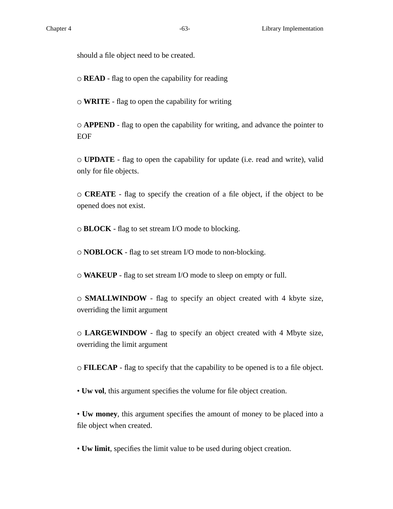should a file object need to be created.

 $\circ$  **READ** - flag to open the capability for reading

**WRITE** - flag to open the capability for writing

**APPEND** - flag to open the capability for writing, and advance the pointer to EOF

**UPDATE** - flag to open the capability for update (i.e. read and write), valid only for file objects.

**CREATE** - flag to specify the creation of a file object, if the object to be opened does not exist.

**BLOCK** - flag to set stream I/O mode to blocking.

**NOBLOCK** - flag to set stream I/O mode to non-blocking.

**WAKEUP** - flag to set stream I/O mode to sleep on empty or full.

**SMALLWINDOW** - flag to specify an object created with 4 kbyte size, overriding the limit argument

**LARGEWINDOW** - flag to specify an object created with 4 Mbyte size, overriding the limit argument

**FILECAP** - flag to specify that the capability to be opened is to a file object.

• **Uw vol**, this argument specifies the volume for file object creation.

• **Uw money**, this argument specifies the amount of money to be placed into a file object when created.

• **Uw limit**, specifies the limit value to be used during object creation.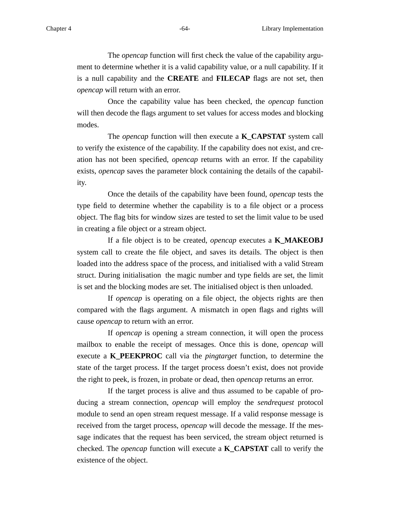The *opencap* function will first check the value of the capability argument to determine whether it is a valid capability value, or a null capability. If it is a null capability and the **CREATE** and **FILECAP** flags are not set, then *opencap* will return with an error.

Once the capability value has been checked, the *opencap* function will then decode the flags argument to set values for access modes and blocking modes.

The *opencap* function will then execute a **K\_CAPSTAT** system call to verify the existence of the capability. If the capability does not exist, and creation has not been specified, *opencap* returns with an error. If the capability exists, *opencap* saves the parameter block containing the details of the capability.

Once the details of the capability have been found, *opencap* tests the type field to determine whether the capability is to a file object or a process object. The flag bits for window sizes are tested to set the limit value to be used in creating a file object or a stream object.

If a file object is to be created, *opencap* executes a **K\_MAKEOBJ** system call to create the file object, and saves its details. The object is then loaded into the address space of the process, and initialised with a valid Stream struct. During initialisation the magic number and type fields are set, the limit is set and the blocking modes are set. The initialised object is then unloaded.

If *opencap* is operating on a file object, the objects rights are then compared with the flags argument. A mismatch in open flags and rights will cause *opencap* to return with an error.

If *opencap* is opening a stream connection, it will open the process mailbox to enable the receipt of messages. Once this is done, *opencap* will execute a **K\_PEEKPROC** call via the *pingtarget* function, to determine the state of the target process. If the target process doesn't exist, does not provide the right to peek, is frozen, in probate or dead, then *opencap* returns an error.

If the target process is alive and thus assumed to be capable of producing a stream connection, *opencap* will employ the *sendrequest* protocol module to send an open stream request message. If a valid response message is received from the target process, *opencap* will decode the message. If the message indicates that the request has been serviced, the stream object returned is checked. The *opencap* function will execute a **K\_CAPSTAT** call to verify the existence of the object.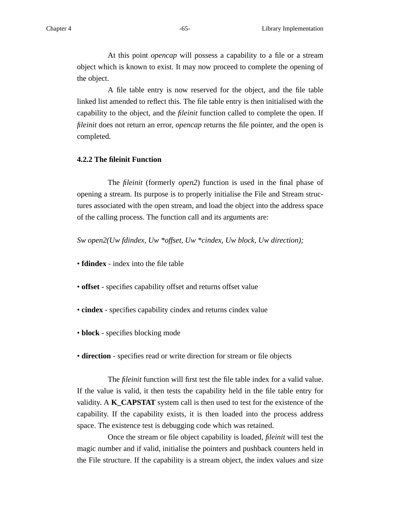At this point *opencap* will possess a capability to a file or a stream object which is known to exist. It may now proceed to complete the opening of the object.

A file table entry is now reserved for the object, and the file table linked list amended to reflect this. The file table entry is then initialised with the capability to the object, and the *fileinit* function called to complete the open. If *fileinit* does not return an error, *opencap* returns the file pointer, and the open is completed.

### **4.2.2 The fileinit Function**

The *fileinit* (formerly *open2*) function is used in the final phase of opening a stream. Its purpose is to properly initialise the File and Stream structures associated with the open stream, and load the object into the address space of the calling process. The function call and its arguments are:

*Sw open2(Uw fdindex, Uw \*offset, Uw \*cindex, Uw block, Uw direction);*

• **fdindex** - index into the file table

- **offset** specifies capability offset and returns offset value
- **cindex** specifies capability cindex and returns cindex value
- **block** specifies blocking mode
- **direction** specifies read or write direction for stream or file objects

The *fileinit* function will first test the file table index for a valid value. If the value is valid, it then tests the capability held in the file table entry for validity. A **K\_CAPSTAT** system call is then used to test for the existence of the capability. If the capability exists, it is then loaded into the process address space. The existence test is debugging code which was retained.

Once the stream or file object capability is loaded, *fileinit* will test the magic number and if valid, initialise the pointers and pushback counters held in the File structure. If the capability is a stream object, the index values and size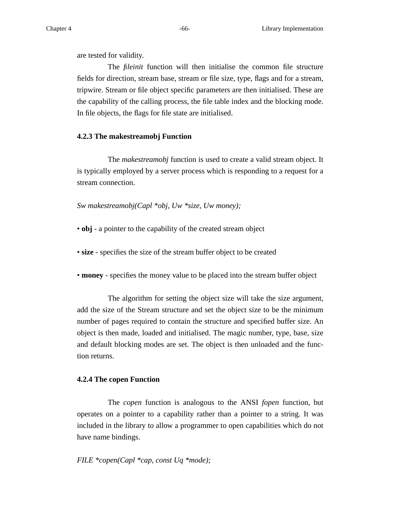are tested for validity.

The *fileinit* function will then initialise the common file structure fields for direction, stream base, stream or file size, type, flags and for a stream, tripwire. Stream or file object specific parameters are then initialised. These are the capability of the calling process, the file table index and the blocking mode. In file objects, the flags for file state are initialised.

### **4.2.3 The makestreamobj Function**

The *makestreamobj* function is used to create a valid stream object. It is typically employed by a server process which is responding to a request for a stream connection.

*Sw makestreamobj(Capl \*obj, Uw \*size, Uw money);*

• **obj** - a pointer to the capability of the created stream object

• **size** - specifies the size of the stream buffer object to be created

• **money** - specifies the money value to be placed into the stream buffer object

The algorithm for setting the object size will take the size argument, add the size of the Stream structure and set the object size to be the minimum number of pages required to contain the structure and specified buffer size. An object is then made, loaded and initialised. The magic number, type, base, size and default blocking modes are set. The object is then unloaded and the function returns.

#### **4.2.4 The copen Function**

The *copen* function is analogous to the ANSI *fopen* function, but operates on a pointer to a capability rather than a pointer to a string. It was included in the library to allow a programmer to open capabilities which do not have name bindings.

# *FILE \*copen(Capl \*cap, const Uq \*mode);*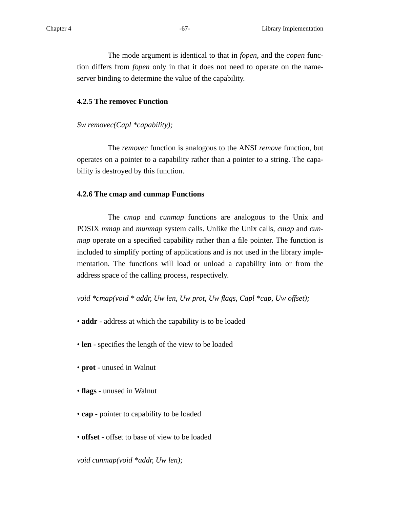The mode argument is identical to that in *fopen*, and the *copen* function differs from *fopen* only in that it does not need to operate on the nameserver binding to determine the value of the capability.

### **4.2.5 The removec Function**

# *Sw removec(Capl \*capability);*

The *removec* function is analogous to the ANSI *remove* function, but operates on a pointer to a capability rather than a pointer to a string. The capability is destroyed by this function.

# **4.2.6 The cmap and cunmap Functions**

The *cmap* and *cunmap* functions are analogous to the Unix and POSIX *mmap* and *munmap* system calls. Unlike the Unix calls, *cmap* and *cunmap* operate on a specified capability rather than a file pointer. The function is included to simplify porting of applications and is not used in the library implementation. The functions will load or unload a capability into or from the address space of the calling process, respectively.

*void \*cmap(void \* addr, Uw len, Uw prot, Uw flags, Capl \*cap, Uw offset);*

- **addr** address at which the capability is to be loaded
- **len** specifies the length of the view to be loaded
- **prot** unused in Walnut
- **flags** unused in Walnut
- **cap** pointer to capability to be loaded
- **offset** offset to base of view to be loaded

*void cunmap(void \*addr, Uw len);*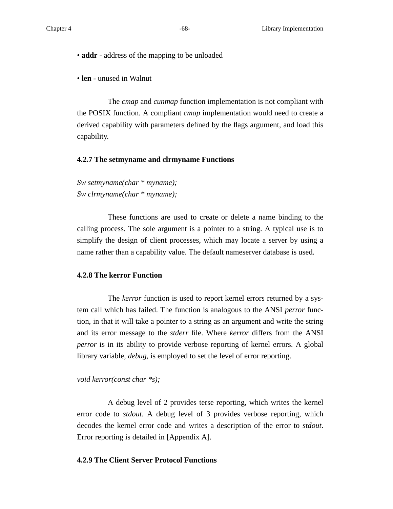• **addr** - address of the mapping to be unloaded

• **len** - unused in Walnut

The *cmap* and *cunmap* function implementation is not compliant with the POSIX function. A compliant *cmap* implementation would need to create a derived capability with parameters defined by the flags argument, and load this capability.

#### **4.2.7 The setmyname and clrmyname Functions**

*Sw setmyname(char \* myname); Sw clrmyname(char \* myname);*

These functions are used to create or delete a name binding to the calling process. The sole argument is a pointer to a string. A typical use is to simplify the design of client processes, which may locate a server by using a name rather than a capability value. The default nameserver database is used.

## **4.2.8 The kerror Function**

The *kerror* function is used to report kernel errors returned by a system call which has failed. The function is analogous to the ANSI *perror* function, in that it will take a pointer to a string as an argument and write the string and its error message to the *stderr* file. Where *kerror* differs from the ANSI *perror* is in its ability to provide verbose reporting of kernel errors. A global library variable, *debug*, is employed to set the level of error reporting.

#### *void kerror(const char \*s);*

A debug level of 2 provides terse reporting, which writes the kernel error code to *stdout*. A debug level of 3 provides verbose reporting, which decodes the kernel error code and writes a description of the error to *stdout*. Error reporting is detailed in [Appendix A].

# **4.2.9 The Client Server Protocol Functions**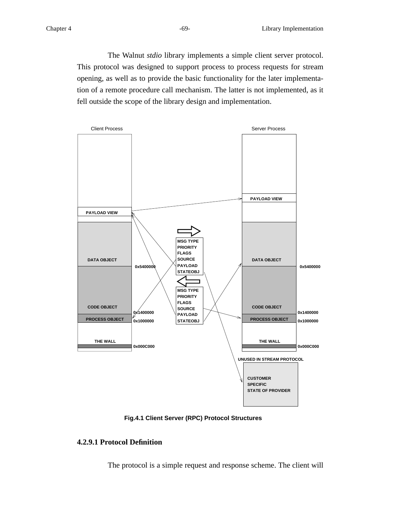The Walnut *stdio* library implements a simple client server protocol. This protocol was designed to support process to process requests for stream opening, as well as to provide the basic functionality for the later implementation of a remote procedure call mechanism. The latter is not implemented, as it fell outside the scope of the library design and implementation.



**Fig.4.1 Client Server (RPC) Protocol Structures**

# **4.2.9.1 Protocol Definition**

The protocol is a simple request and response scheme. The client will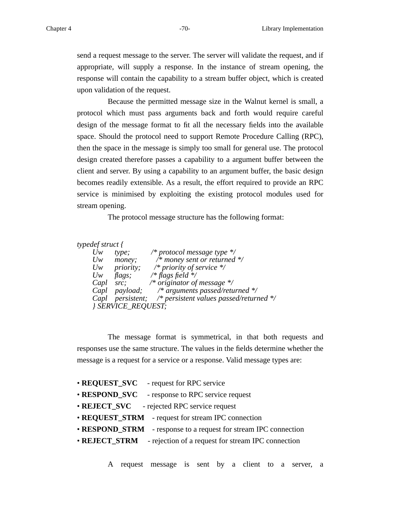send a request message to the server. The server will validate the request, and if appropriate, will supply a response. In the instance of stream opening, the response will contain the capability to a stream buffer object, which is created upon validation of the request.

Because the permitted message size in the Walnut kernel is small, a protocol which must pass arguments back and forth would require careful design of the message format to fit all the necessary fields into the available space. Should the protocol need to support Remote Procedure Calling (RPC), then the space in the message is simply too small for general use. The protocol design created therefore passes a capability to a argument buffer between the client and server. By using a capability to an argument buffer, the basic design becomes readily extensible. As a result, the effort required to provide an RPC service is minimised by exploiting the existing protocol modules used for stream opening.

The protocol message structure has the following format:

*typedef struct {*

| $U_{W}$ | type;                     | /* protocol message type $\frac{*}{ }$                       |
|---------|---------------------------|--------------------------------------------------------------|
| $U_{W}$ | money;                    | /* money sent or returned $\frac{k}{4}$                      |
| $U_{W}$ | <i>priority;</i>          | /* priority of service $\frac{*}{ }$                         |
| $U_{W}$ | flags;                    | /* flags field $*/$                                          |
| Capl    | src:                      | /* originator of message $*/$                                |
|         |                           | Capl payload; $/*$ arguments passed/returned $*/$            |
|         |                           | Capl persistent; $/*$ persistent values passed/returned $*/$ |
|         | <b>{ SERVICE_REQUEST;</b> |                                                              |

The message format is symmetrical, in that both requests and responses use the same structure. The values in the fields determine whether the message is a request for a service or a response. Valid message types are:

| • REQUEST_SVC - request for RPC service                          |
|------------------------------------------------------------------|
| • RESPOND_SVC – response to RPC service request                  |
| • REJECT_SVC - rejected RPC service request                      |
| • REQUEST_STRM - request for stream IPC connection               |
| • RESPOND_STRM - response to a request for stream IPC connection |
| • REJECT_STRM - rejection of a request for stream IPC connection |
|                                                                  |

A request message is sent by a client to a server, a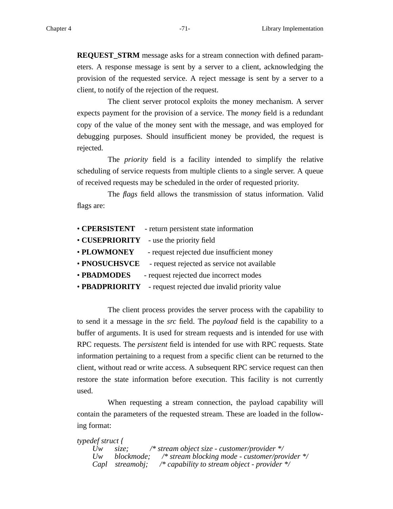**REQUEST\_STRM** message asks for a stream connection with defined parameters. A response message is sent by a server to a client, acknowledging the provision of the requested service. A reject message is sent by a server to a client, to notify of the rejection of the request.

The client server protocol exploits the money mechanism. A server expects payment for the provision of a service. The *money* field is a redundant copy of the value of the money sent with the message, and was employed for debugging purposes. Should insufficient money be provided, the request is rejected.

The *priority* field is a facility intended to simplify the relative scheduling of service requests from multiple clients to a single server. A queue of received requests may be scheduled in the order of requested priority.

The *flags* field allows the transmission of status information. Valid flags are:

| <b>• CPERSISTENT</b>  | - return persistent state information         |
|-----------------------|-----------------------------------------------|
| <b>• CUSEPRIORITY</b> | - use the priority field                      |
| • PLOWMONEY           | - request rejected due insufficient money     |
| • PNOSUCHSVCE         | - request rejected as service not available   |
| • PBADMODES           | - request rejected due incorrect modes        |
| • PBADPRIORITY        | - request rejected due invalid priority value |

The client process provides the server process with the capability to to send it a message in the *src* field. The *payload* field is the capability to a buffer of arguments. It is used for stream requests and is intended for use with RPC requests. The *persistent* field is intended for use with RPC requests. State information pertaining to a request from a specific client can be returned to the client, without read or write access. A subsequent RPC service request can then restore the state information before execution. This facility is not currently used.

When requesting a stream connection, the payload capability will contain the parameters of the requested stream. These are loaded in the following format:

```
typedef struct {
    Uw size; /* stream object size - customer/provider */
    Uw blockmode; /* stream blocking mode - customer/provider */
    Capl streamobj; /* capability to stream object - provider */
```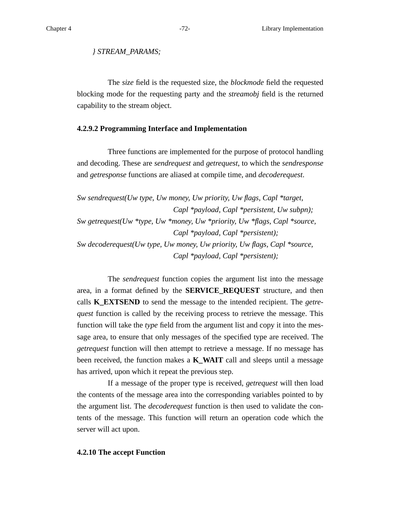*} STREAM\_PARAMS;*

The *size* field is the requested size, the *blockmode* field the requested blocking mode for the requesting party and the *streamobj* field is the returned capability to the stream object.

### **4.2.9.2 Programming Interface and Implementation**

Three functions are implemented for the purpose of protocol handling and decoding. These are *sendrequest* and *getrequest*, to which the *sendresponse* and *getresponse* functions are aliased at compile time, and *decoderequest*.

*Sw sendrequest(Uw type, Uw money, Uw priority, Uw flags, Capl \*target, Capl \*payload, Capl \*persistent, Uw subpn); Sw getrequest(Uw \*type, Uw \*money, Uw \*priority, Uw \*flags, Capl \*source, Capl \*payload, Capl \*persistent); Sw decoderequest(Uw type, Uw money, Uw priority, Uw flags, Capl \*source, Capl \*payload, Capl \*persistent);*

The *sendrequest* function copies the argument list into the message area, in a format defined by the **SERVICE\_REQUEST** structure, and then calls **K\_EXTSEND** to send the message to the intended recipient. The *getrequest* function is called by the receiving process to retrieve the message. This function will take the *type* field from the argument list and copy it into the message area, to ensure that only messages of the specified type are received. The *getrequest* function will then attempt to retrieve a message. If no message has been received, the function makes a **K\_WAIT** call and sleeps until a message has arrived, upon which it repeat the previous step.

If a message of the proper type is received, *getrequest* will then load the contents of the message area into the corresponding variables pointed to by the argument list. The *decoderequest* function is then used to validate the contents of the message. This function will return an operation code which the server will act upon.

### **4.2.10 The accept Function**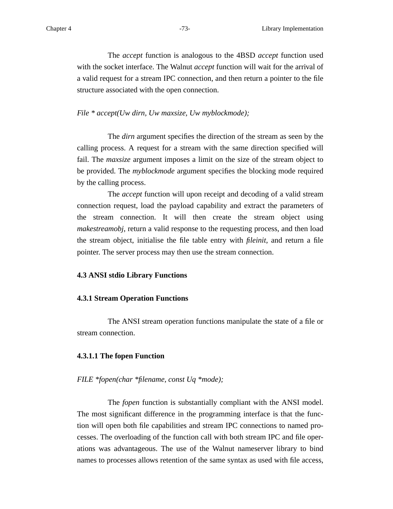The *accept* function is analogous to the 4BSD *accept* function used with the socket interface. The Walnut *accept* function will wait for the arrival of a valid request for a stream IPC connection, and then return a pointer to the file structure associated with the open connection.

# *File \* accept(Uw dirn, Uw maxsize, Uw myblockmode);*

The *dirn* argument specifies the direction of the stream as seen by the calling process. A request for a stream with the same direction specified will fail. The *maxsize* argument imposes a limit on the size of the stream object to be provided. The *myblockmode* argument specifies the blocking mode required by the calling process.

The *accept* function will upon receipt and decoding of a valid stream connection request, load the payload capability and extract the parameters of the stream connection. It will then create the stream object using *makestreamobj*, return a valid response to the requesting process, and then load the stream object, initialise the file table entry with *fileinit*, and return a file pointer. The server process may then use the stream connection.

# **4.3 ANSI stdio Library Functions**

#### **4.3.1 Stream Operation Functions**

The ANSI stream operation functions manipulate the state of a file or stream connection.

#### **4.3.1.1 The fopen Function**

#### *FILE \*fopen(char \*filename, const Uq \*mode);*

The *fopen* function is substantially compliant with the ANSI model. The most significant difference in the programming interface is that the function will open both file capabilities and stream IPC connections to named processes. The overloading of the function call with both stream IPC and file operations was advantageous. The use of the Walnut nameserver library to bind names to processes allows retention of the same syntax as used with file access,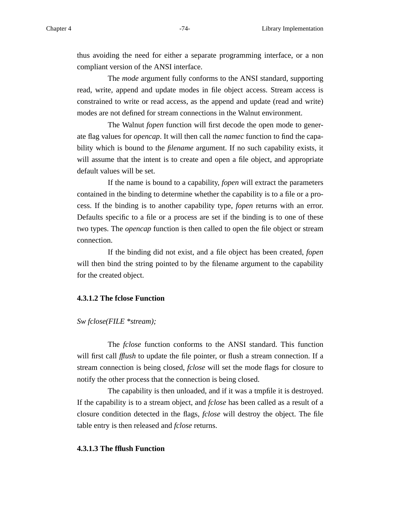thus avoiding the need for either a separate programming interface, or a non compliant version of the ANSI interface.

The *mode* argument fully conforms to the ANSI standard, supporting read, write, append and update modes in file object access. Stream access is constrained to write or read access, as the append and update (read and write) modes are not defined for stream connections in the Walnut environment.

The Walnut *fopen* function will first decode the open mode to generate flag values for *opencap*. It will then call the *namec* function to find the capability which is bound to the *filename* argument. If no such capability exists, it will assume that the intent is to create and open a file object, and appropriate default values will be set.

If the name is bound to a capability, *fopen* will extract the parameters contained in the binding to determine whether the capability is to a file or a process. If the binding is to another capability type, *fopen* returns with an error. Defaults specific to a file or a process are set if the binding is to one of these two types. The *opencap* function is then called to open the file object or stream connection.

If the binding did not exist, and a file object has been created, *fopen* will then bind the string pointed to by the filename argument to the capability for the created object.

# **4.3.1.2 The fclose Function**

# *Sw fclose(FILE \*stream);*

The *fclose* function conforms to the ANSI standard. This function will first call *fflush* to update the file pointer, or flush a stream connection. If a stream connection is being closed, *fclose* will set the mode flags for closure to notify the other process that the connection is being closed.

The capability is then unloaded, and if it was a tmpfile it is destroyed. If the capability is to a stream object, and *fclose* has been called as a result of a closure condition detected in the flags, *fclose* will destroy the object. The file table entry is then released and *fclose* returns.

# **4.3.1.3 The fflush Function**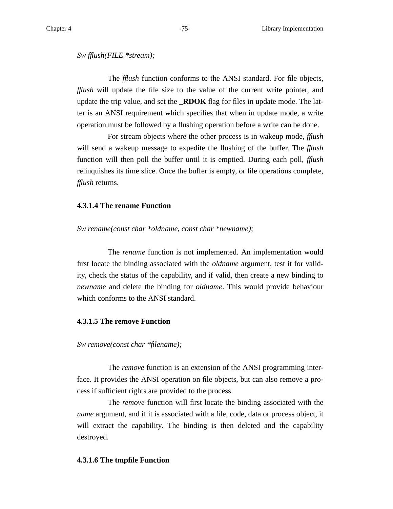#### *Sw fflush(FILE \*stream);*

The *fflush* function conforms to the ANSI standard. For file objects, *fflush* will update the file size to the value of the current write pointer, and update the trip value, and set the **\_RDOK** flag for files in update mode. The latter is an ANSI requirement which specifies that when in update mode, a write operation must be followed by a flushing operation before a write can be done.

For stream objects where the other process is in wakeup mode, *fflush* will send a wakeup message to expedite the flushing of the buffer. The *fflush* function will then poll the buffer until it is emptied. During each poll, *fflush* relinquishes its time slice. Once the buffer is empty, or file operations complete, *fflush* returns.

# **4.3.1.4 The rename Function**

#### *Sw rename(const char \*oldname, const char \*newname);*

The *rename* function is not implemented. An implementation would first locate the binding associated with the *oldname* argument, test it for validity, check the status of the capability, and if valid, then create a new binding to *newname* and delete the binding for *oldname*. This would provide behaviour which conforms to the ANSI standard.

# **4.3.1.5 The remove Function**

#### *Sw remove(const char \*filename);*

The *remove* function is an extension of the ANSI programming interface. It provides the ANSI operation on file objects, but can also remove a process if sufficient rights are provided to the process.

The *remove* function will first locate the binding associated with the *name* argument, and if it is associated with a file, code, data or process object, it will extract the capability. The binding is then deleted and the capability destroyed.

#### **4.3.1.6 The tmpfile Function**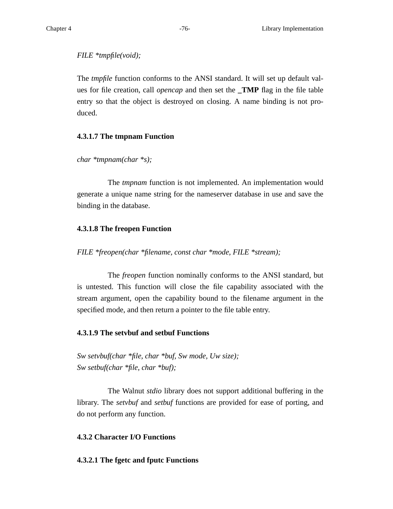# *FILE \*tmpfile(void);*

The *tmpfile* function conforms to the ANSI standard. It will set up default values for file creation, call *opencap* and then set the **\_TMP** flag in the file table entry so that the object is destroyed on closing. A name binding is not produced.

# **4.3.1.7 The tmpnam Function**

*char \*tmpnam(char \*s);*

The *tmpnam* function is not implemented. An implementation would generate a unique name string for the nameserver database in use and save the binding in the database.

# **4.3.1.8 The freopen Function**

*FILE \*freopen(char \*filename, const char \*mode, FILE \*stream);*

The *freopen* function nominally conforms to the ANSI standard, but is untested. This function will close the file capability associated with the stream argument, open the capability bound to the filename argument in the specified mode, and then return a pointer to the file table entry.

# **4.3.1.9 The setvbuf and setbuf Functions**

*Sw setvbuf(char \*file, char \*buf, Sw mode, Uw size); Sw setbuf(char \*file, char \*buf);*

The Walnut *stdio* library does not support additional buffering in the library. The *setvbuf* and *setbuf* functions are provided for ease of porting, and do not perform any function.

# **4.3.2 Character I/O Functions**

# **4.3.2.1 The fgetc and fputc Functions**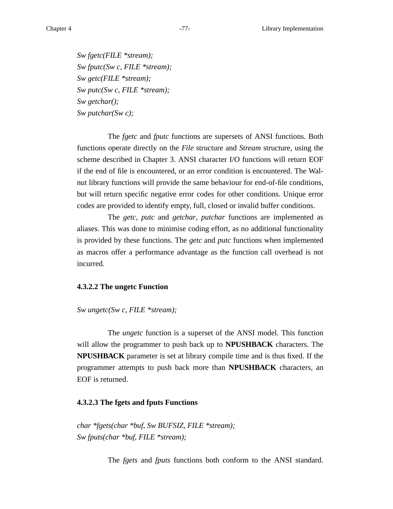*Sw fgetc(FILE \*stream); Sw fputc(Sw c, FILE \*stream); Sw getc(FILE \*stream); Sw putc(Sw c, FILE \*stream); Sw getchar(); Sw putchar(Sw c);*

The *fgetc* and *fputc* functions are supersets of ANSI functions. Both functions operate directly on the *File* structure and *Stream* structure, using the scheme described in Chapter 3. ANSI character I/O functions will return EOF if the end of file is encountered, or an error condition is encountered. The Walnut library functions will provide the same behaviour for end-of-file conditions, but will return specific negative error codes for other conditions. Unique error codes are provided to identify empty, full, closed or invalid buffer conditions.

The *getc*, *putc* and *getchar*, *putchar* functions are implemented as aliases. This was done to minimise coding effort, as no additional functionality is provided by these functions. The *getc* and *putc* functions when implemented as macros offer a performance advantage as the function call overhead is not incurred.

#### **4.3.2.2 The ungetc Function**

*Sw ungetc(Sw c, FILE \*stream);*

The *ungetc* function is a superset of the ANSI model. This function will allow the programmer to push back up to **NPUSHBACK** characters. The **NPUSHBACK** parameter is set at library compile time and is thus fixed. If the programmer attempts to push back more than **NPUSHBACK** characters, an EOF is returned.

# **4.3.2.3 The fgets and fputs Functions**

*char \*fgets(char \*buf, Sw BUFSIZ, FILE \*stream); Sw fputs(char \*buf, FILE \*stream);*

The *fgets* and *fputs* functions both conform to the ANSI standard.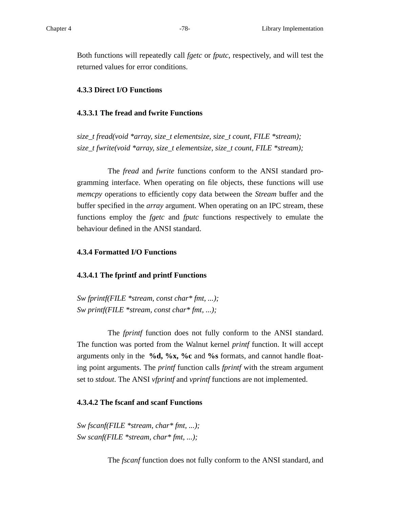Both functions will repeatedly call *fgetc* or *fputc*, respectively, and will test the returned values for error conditions.

# **4.3.3 Direct I/O Functions**

# **4.3.3.1 The fread and fwrite Functions**

*size\_t fread(void \*array, size\_t elementsize, size\_t count, FILE \*stream); size\_t fwrite(void \*array, size\_t elementsize, size\_t count, FILE \*stream);*

The *fread* and *fwrite* functions conform to the ANSI standard programming interface. When operating on file objects, these functions will use *memcpy* operations to efficiently copy data between the *Stream* buffer and the buffer specified in the *array* argument. When operating on an IPC stream, these functions employ the *fgetc* and *fputc* functions respectively to emulate the behaviour defined in the ANSI standard.

# **4.3.4 Formatted I/O Functions**

# **4.3.4.1 The fprintf and printf Functions**

*Sw fprintf(FILE \*stream, const char\* fmt, ...); Sw printf(FILE \*stream, const char\* fmt, ...);*

The *fprintf* function does not fully conform to the ANSI standard. The function was ported from the Walnut kernel *printf* function. It will accept arguments only in the **%d, %x, %c** and **%s** formats, and cannot handle floating point arguments. The *printf* function calls *fprintf* with the stream argument set to *stdout*. The ANSI *vfprintf* and *vprintf* functions are not implemented.

# **4.3.4.2 The fscanf and scanf Functions**

*Sw fscanf(FILE \*stream, char\* fmt, ...); Sw scanf(FILE \*stream, char\* fmt, ...);*

The *fscanf* function does not fully conform to the ANSI standard, and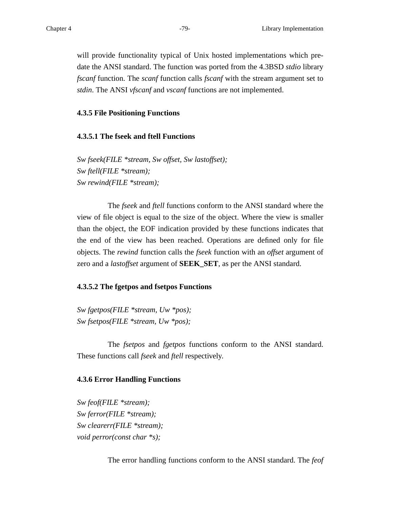will provide functionality typical of Unix hosted implementations which predate the ANSI standard. The function was ported from the 4.3BSD *stdio* library *fscanf* function. The *scanf* function calls *fscanf* with the stream argument set to *stdin*. The ANSI *vfscanf* and *vscanf* functions are not implemented.

# **4.3.5 File Positioning Functions**

# **4.3.5.1 The fseek and ftell Functions**

*Sw fseek(FILE \*stream, Sw offset, Sw lastoffset); Sw ftell(FILE \*stream); Sw rewind(FILE \*stream);*

The *fseek* and *ftell* functions conform to the ANSI standard where the view of file object is equal to the size of the object. Where the view is smaller than the object, the EOF indication provided by these functions indicates that the end of the view has been reached. Operations are defined only for file objects. The *re wind* function calls the *fseek* function with an *offset* argument of zero and a *lastoffset* argument of **SEEK\_SET**, as per the ANSI standard.

#### **4.3.5.2 The fgetpos and fsetpos Functions**

*Sw fgetpos(FILE \*stream, Uw \*pos); Sw fsetpos(FILE \*stream, Uw \*pos);*

The *fsetpos* and *fgetpos* functions conform to the ANSI standard. These functions call *fseek* and *ftell* respectively.

#### **4.3.6 Error Handling Functions**

*Sw feof(FILE \*stream); Sw ferror(FILE \*stream); Sw clearerr(FILE \*stream); void perror(const char \*s);*

The error handling functions conform to the ANSI standard. The *feof*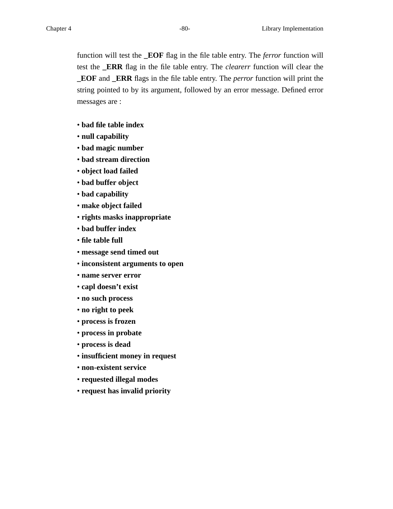function will test the **\_EOF** flag in the file table entry. The *ferror* function will test the **\_ERR** flag in the file table entry. The *clearerr* function will clear the **\_EOF** and **\_ERR** flags in the file table entry. The *perror* function will print the string pointed to by its argument, followed by an error message. Defined error messages are :

- **bad file table index**
- **null capability**
- **bad magic number**
- **bad stream direction**
- **object load failed**
- **bad buffer object**
- **bad capability**
- **make object failed**
- **rights masks inappropriate**
- **bad buffer index**
- **file table full**
- **message send timed out**
- **inconsistent arguments to open**
- **name server error**
- **capl doesn't exist**
- **no such process**
- **no right to peek**
- **process is frozen**
- **process in probate**
- **process is dead**
- **insufficient money in request**
- **non-existent service**
- **requested illegal modes**
- **request has invalid priority**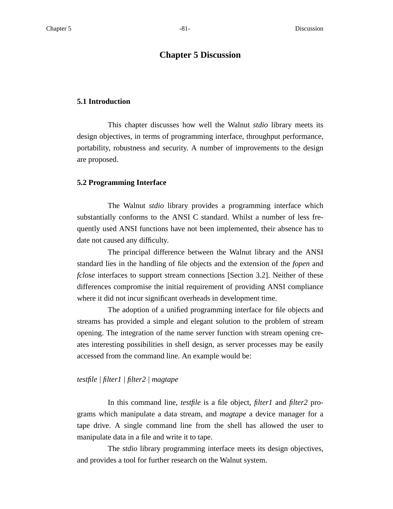# **Chapter 5 Discussion**

#### **5.1 Introduction**

This chapter discusses how well the Walnut *stdio* library meets its design objectives, in terms of programming interface, throughput performance, portability, robustness and security. A number of improvements to the design are proposed.

#### **5.2 Programming Interface**

The Walnut *stdio* library provides a programming interface which substantially conforms to the ANSI C standard. Whilst a number of less frequently used ANSI functions have not been implemented, their absence has to date not caused any difficulty.

The principal difference between the Walnut library and the ANSI standard lies in the handling of file objects and the extension of the *fopen* and *fclose* interfaces to support stream connections [Section 3.2]. Neither of these differences compromise the initial requirement of providing ANSI compliance where it did not incur significant overheads in development time.

The adoption of a unified programming interface for file objects and streams has provided a simple and elegant solution to the problem of stream opening. The integration of the name server function with stream opening creates interesting possibilities in shell design, as server processes may be easily accessed from the command line. An example would be:

#### *testfile | filter1 | filter2 | magtape*

In this command line, *testfile* is a file object, *filter1* and *filter2* programs which manipulate a data stream, and *magtape* a device manager for a tape drive. A single command line from the shell has allowed the user to manipulate data in a file and write it to tape.

The *stdio* library programming interface meets its design objectives, and provides a tool for further research on the Walnut system.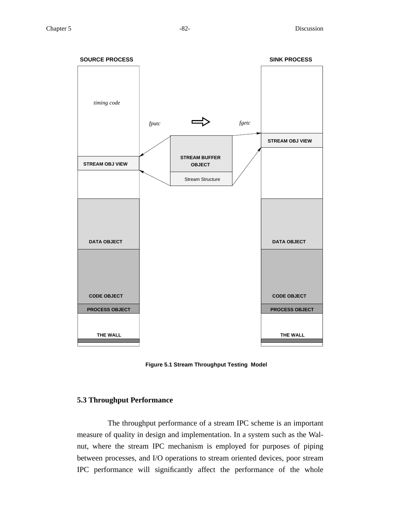

**Figure 5.1 Stream Throughput Testing Model**

# **5.3 Throughput Performance**

The throughput performance of a stream IPC scheme is an important measure of quality in design and implementation. In a system such as the Walnut, where the stream IPC mechanism is employed for purposes of piping between processes, and I/O operations to stream oriented devices, poor stream IPC performance will significantly affect the performance of the whole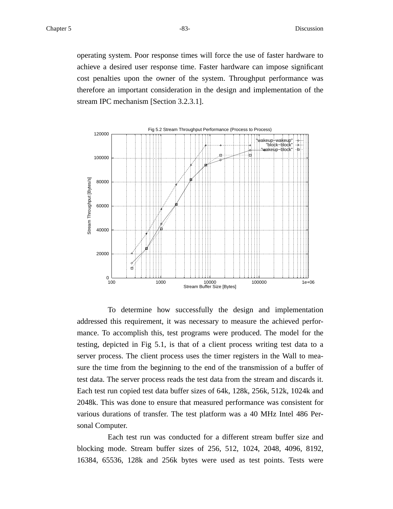operating system. Poor response times will force the use of faster hardware to achieve a desired user response time. Faster hardware can impose significant cost penalties upon the owner of the system. Throughput performance was therefore an important consideration in the design and implementation of the stream IPC mechanism [Section 3.2.3.1].



To determine how successfully the design and implementation addressed this requirement, it was necessary to measure the achieved performance. To accomplish this, test programs were produced. The model for the testing, depicted in Fig 5.1, is that of a client process writing test data to a server process. The client process uses the timer registers in the Wall to measure the time from the beginning to the end of the transmission of a buffer of test data. The server process reads the test data from the stream and discards it. Each test run copied test data buffer sizes of 64k, 128k, 256k, 512k, 1024k and 2048k. This was done to ensure that measured performance was consistent for various durations of transfer. The test platform was a 40 MHz Intel 486 Personal Computer.

Each test run was conducted for a different stream buffer size and blocking mode. Stream buffer sizes of 256, 512, 1024, 2048, 4096, 8192, 16384, 65536, 128k and 256k bytes were used as test points. Tests were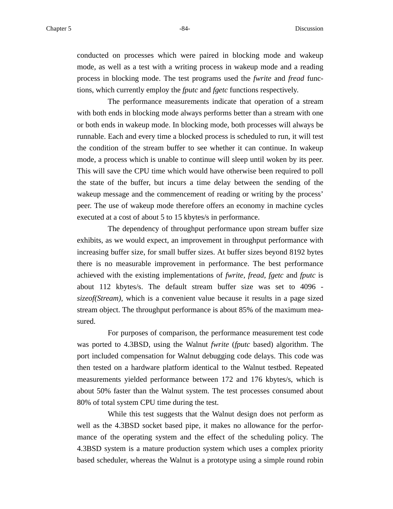conducted on processes which were paired in blocking mode and wakeup mode, as well as a test with a writing process in wakeup mode and a reading process in blocking mode. The test programs used the *fwrite* and *fread* functions, which currently employ the *fputc* and *fgetc* functions respectively.

The performance measurements indicate that operation of a stream with both ends in blocking mode always performs better than a stream with one or both ends in wakeup mode. In blocking mode, both processes will always be runnable. Each and every time a blocked process is scheduled to run, it will test the condition of the stream buffer to see whether it can continue. In wakeup mode, a process which is unable to continue will sleep until woken by its peer. This will save the CPU time which would have otherwise been required to poll the state of the buffer, but incurs a time delay between the sending of the wakeup message and the commencement of reading or writing by the process' peer. The use of wakeup mode therefore offers an economy in machine cycles executed at a cost of about 5 to 15 kbytes/s in performance.

The dependency of throughput performance upon stream buffer size exhibits, as we would expect, an improvement in throughput performance with increasing buffer size, for small buffer sizes. At buffer sizes beyond 8192 bytes there is no measurable improvement in performance. The best performance achieved with the existing implementations of *fwrite*, *fread*, *fgetc* and *fputc* is about 112 kbytes/s. The default stream buffer size was set to 4096 *sizeof(Stream)*, which is a convenient value because it results in a page sized stream object. The throughput performance is about 85% of the maximum measured.

For purposes of comparison, the performance measurement test code was ported to 4.3BSD, using the Walnut *fwrite* (*fputc* based) algorithm. The port included compensation for Walnut debugging code delays. This code was then tested on a hardware platform identical to the Walnut testbed. Repeated measurements yielded performance between 172 and 176 kbytes/s, which is about 50% faster than the Walnut system. The test processes consumed about 80% of total system CPU time during the test.

While this test suggests that the Walnut design does not perform as well as the 4.3BSD socket based pipe, it makes no allowance for the performance of the operating system and the effect of the scheduling policy. The 4.3BSD system is a mature production system which uses a complex priority based scheduler, whereas the Walnut is a prototype using a simple round robin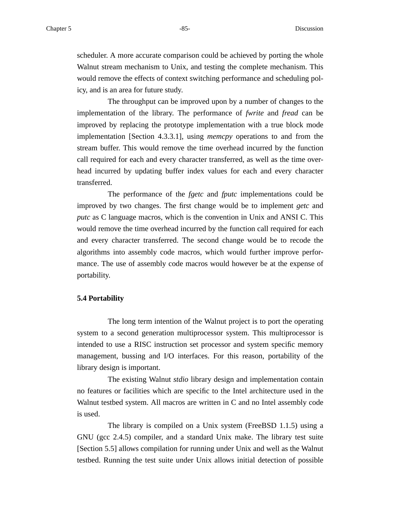scheduler. A more accurate comparison could be achieved by porting the whole Walnut stream mechanism to Unix, and testing the complete mechanism. This would remove the effects of context switching performance and scheduling policy, and is an area for future study.

The throughput can be improved upon by a number of changes to the implementation of the library. The performance of *fwrite* and *fread* can be improved by replacing the prototype implementation with a true block mode implementation [Section 4.3.3.1], using *memcpy* operations to and from the stream buffer. This would remove the time overhead incurred by the function call required for each and every character transferred, as well as the time overhead incurred by updating buffer index values for each and every character transferred.

The performance of the *fgetc* and *fputc* implementations could be improved by two changes. The first change would be to implement *getc* and *putc* as C language macros, which is the convention in Unix and ANSI C. This would remove the time overhead incurred by the function call required for each and every character transferred. The second change would be to recode the algorithms into assembly code macros, which would further improve performance. The use of assembly code macros would however be at the expense of portability.

#### **5.4 Portability**

The long term intention of the Walnut project is to port the operating system to a second generation multiprocessor system. This multiprocessor is intended to use a RISC instruction set processor and system specific memory management, bussing and I/O interfaces. For this reason, portability of the library design is important.

The existing Walnut *stdio* library design and implementation contain no features or facilities which are specific to the Intel architecture used in the Walnut testbed system. All macros are written in C and no Intel assembly code is used.

The library is compiled on a Unix system (FreeBSD 1.1.5) using a GNU (gcc 2.4.5) compiler, and a standard Unix make. The library test suite [Section 5.5] allows compilation for running under Unix and well as the Walnut testbed. Running the test suite under Unix allows initial detection of possible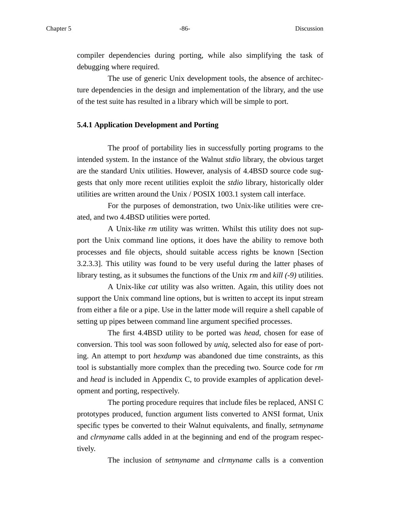compiler dependencies during porting, while also simplifying the task of debugging where required.

The use of generic Unix development tools, the absence of architecture dependencies in the design and implementation of the library, and the use of the test suite has resulted in a library which will be simple to port.

#### **5.4.1 Application Development and Porting**

The proof of portability lies in successfully porting programs to the intended system. In the instance of the Walnut *stdio* library, the obvious target are the standard Unix utilities. However, analysis of 4.4BSD source code suggests that only more recent utilities exploit the *stdio* library, historically older utilities are written around the Unix / POSIX 1003.1 system call interface.

For the purposes of demonstration, two Unix-like utilities were created, and two 4.4BSD utilities were ported.

A Unix-like *rm* utility was written. Whilst this utility does not support the Unix command line options, it does have the ability to remove both processes and file objects, should suitable access rights be known [Section 3.2.3.3]. This utility was found to be very useful during the latter phases of library testing, as it subsumes the functions of the Unix *rm* and *kill (-9)* utilities.

A Unix-like *cat* utility was also written. Again, this utility does not support the Unix command line options, but is written to accept its input stream from either a file or a pipe. Use in the latter mode will require a shell capable of setting up pipes between command line argument specified processes.

The first 4.4BSD utility to be ported was *head*, chosen for ease of conversion. This tool was soon followed by *uniq*, selected also for ease of porting. An attempt to port *hexdump* was abandoned due time constraints, as this tool is substantially more complex than the preceding two. Source code for *rm* and *head* is included in Appendix C, to provide examples of application development and porting, respectively.

The porting procedure requires that include files be replaced, ANSI C prototypes produced, function argument lists converted to ANSI format, Unix specific types be converted to their Walnut equivalents, and finally, *setmyname* and *clrmyname* calls added in at the beginning and end of the program respectively.

The inclusion of *setmyname* and *clrmyname* calls is a convention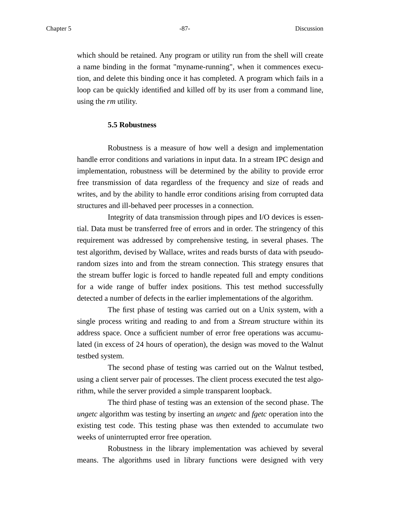which should be retained. Any program or utility run from the shell will create a name binding in the format "myname-running", when it commences execution, and delete this binding once it has completed. A program which fails in a loop can be quickly identified and killed off by its user from a command line, using the *rm* utility.

#### **5.5 Robustness**

Robustness is a measure of how well a design and implementation handle error conditions and variations in input data. In a stream IPC design and implementation, robustness will be determined by the ability to provide error free transmission of data regardless of the frequency and size of reads and writes, and by the ability to handle error conditions arising from corrupted data structures and ill-behaved peer processes in a connection.

Integrity of data transmission through pipes and I/O devices is essential. Data must be transferred free of errors and in order. The stringency of this requirement was addressed by comprehensive testing, in several phases. The test algorithm, devised by Wallace, writes and reads bursts of data with pseudorandom sizes into and from the stream connection. This strategy ensures that the stream buffer logic is forced to handle repeated full and empty conditions for a wide range of buffer index positions. This test method successfully detected a number of defects in the earlier implementations of the algorithm.

The first phase of testing was carried out on a Unix system, with a single process writing and reading to and from a *Stream* structure within its address space. Once a sufficient number of error free operations was accumulated (in excess of 24 hours of operation), the design was moved to the Walnut testbed system.

The second phase of testing was carried out on the Walnut testbed, using a client server pair of processes. The client process executed the test algorithm, while the server provided a simple transparent loopback.

The third phase of testing was an extension of the second phase. The *ungetc* algorithm was testing by inserting an *ungetc* and *fgetc* operation into the existing test code. This testing phase was then extended to accumulate two weeks of uninterrupted error free operation.

Robustness in the library implementation was achieved by several means. The algorithms used in library functions were designed with very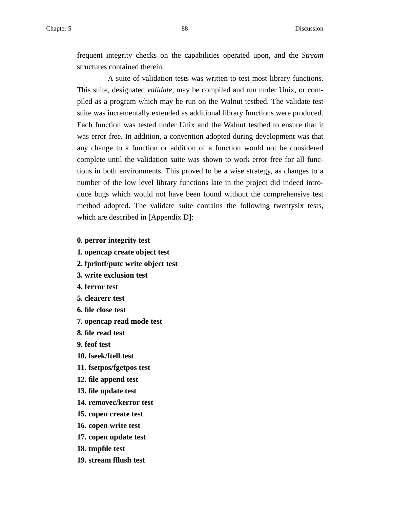frequent integrity checks on the capabilities operated upon, and the *Stream* structures contained therein.

A suite of validation tests was written to test most library functions. This suite, designated *validate*, may be compiled and run under Unix, or compiled as a program which may be run on the Walnut testbed. The validate test suite was incrementally extended as additional library functions were produced. Each function was tested under Unix and the Walnut testbed to ensure that it was error free. In addition, a convention adopted during development was that any change to a function or addition of a function would not be considered complete until the validation suite was shown to work error free for all functions in both environments. This proved to be a wise strategy, as changes to a number of the low level library functions late in the project did indeed introduce bugs which would not have been found without the comprehensive test method adopted. The validate suite contains the following twentysix tests, which are described in [Appendix D]:

- **0. perror integrity test**
- **1. opencap create object test**
- **2. fprintf/putc write object test**
- **3. write exclusion test**
- **4. ferror test**
- **5. clearerr test**
- **6. file close test**
- **7. opencap read mode test**
- **8. file read test**
- **9. feof test**
- **10. fseek/ftell test**
- **11. fsetpos/fgetpos test**
- **12. file append test**
- **13. file update test**
- **14. removec/kerror test**
- **15. copen create test**
- **16. copen write test**
- **17. copen update test**
- **18. tmpfile test**
- **19. stream fflush test**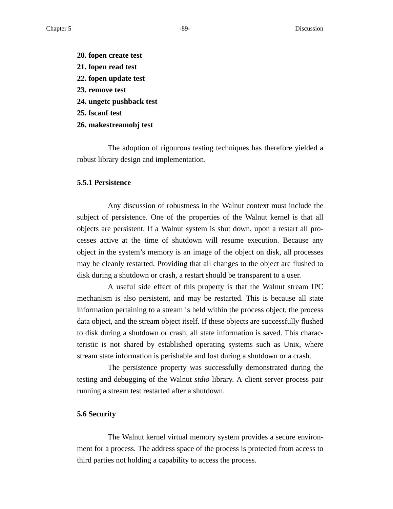- **20. fopen create test**
- **21. fopen read test**
- **22. fopen update test**
- **23. remove test**
- **24. ungetc pushback test**
- **25. fscanf test**
- **26. makestreamobj test**

The adoption of rigourous testing techniques has therefore yielded a robust library design and implementation.

#### **5.5.1 Persistence**

Any discussion of robustness in the Walnut context must include the subject of persistence. One of the properties of the Walnut kernel is that all objects are persistent. If a Walnut system is shut down, upon a restart all processes active at the time of shutdown will resume execution. Because any object in the system's memory is an image of the object on disk, all processes may be cleanly restarted. Providing that all changes to the object are flushed to disk during a shutdown or crash, a restart should be transparent to a user.

A useful side effect of this property is that the Walnut stream IPC mechanism is also persistent, and may be restarted. This is because all state information pertaining to a stream is held within the process object, the process data object, and the stream object itself. If these objects are successfully flushed to disk during a shutdown or crash, all state information is saved. This characteristic is not shared by established operating systems such as Unix, where stream state information is perishable and lost during a shutdown or a crash.

The persistence property was successfully demonstrated during the testing and debugging of the Walnut *stdio* library. A client server process pair running a stream test restarted after a shutdown.

#### **5.6 Security**

The Walnut kernel virtual memory system provides a secure environment for a process. The address space of the process is protected from access to third parties not holding a capability to access the process.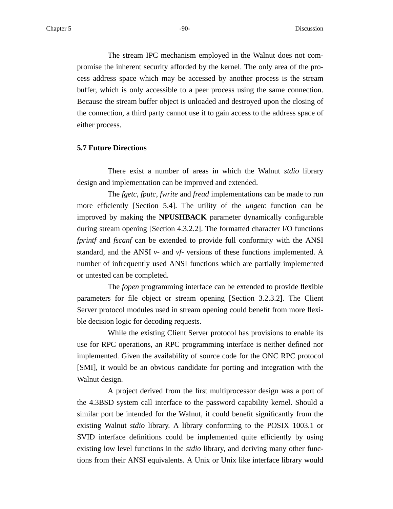The stream IPC mechanism employed in the Walnut does not compromise the inherent security afforded by the kernel. The only area of the process address space which may be accessed by another process is the stream buffer, which is only accessible to a peer process using the same connection. Because the stream buffer object is unloaded and destroyed upon the closing of the connection, a third party cannot use it to gain access to the address space of either process.

# **5.7 Future Directions**

There exist a number of areas in which the Walnut *stdio* library design and implementation can be improved and extended.

The *fgetc*, *fputc*, *fwrite* and *fread* implementations can be made to run more efficiently [Section 5.4]. The utility of the *ungetc* function can be improved by making the **NPUSHBACK** parameter dynamically configurable during stream opening [Section 4.3.2.2]. The formatted character I/O functions *fprintf* and *fscanf* can be extended to provide full conformity with the ANSI standard, and the ANSI *v*- and *vf*- versions of these functions implemented. A number of infrequently used ANSI functions which are partially implemented or untested can be completed.

The *fopen* programming interface can be extended to provide flexible parameters for file object or stream opening [Section 3.2.3.2]. The Client Server protocol modules used in stream opening could benefit from more flexible decision logic for decoding requests.

While the existing Client Server protocol has provisions to enable its use for RPC operations, an RPC programming interface is neither defined nor implemented. Given the availability of source code for the ONC RPC protocol [SMI], it would be an obvious candidate for porting and integration with the Walnut design.

A project derived from the first multiprocessor design was a port of the 4.3BSD system call interface to the password capability kernel. Should a similar port be intended for the Walnut, it could benefit significantly from the existing Walnut *stdio* library. A library conforming to the POSIX 1003.1 or SVID interface definitions could be implemented quite efficiently by using existing low level functions in the *stdio* library, and deriving many other functions from their ANSI equivalents. A Unix or Unix like interface library would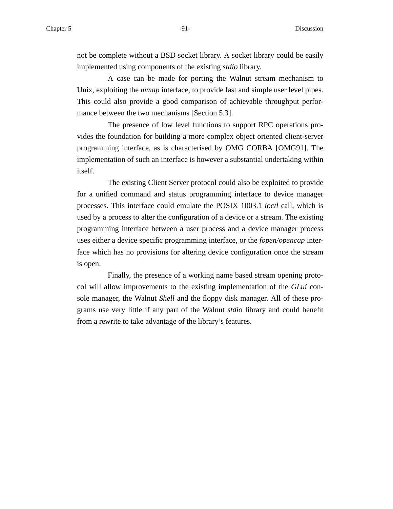not be complete without a BSD socket library. A socket library could be easily implemented using components of the existing *stdio* library.

A case can be made for porting the Walnut stream mechanism to Unix, exploiting the *mmap* interface, to provide fast and simple user level pipes. This could also provide a good comparison of achievable throughput performance between the two mechanisms [Section 5.3].

The presence of low level functions to support RPC operations provides the foundation for building a more complex object oriented client-server programming interface, as is characterised by OMG CORBA [OMG91]. The implementation of such an interface is however a substantial undertaking within itself.

The existing Client Server protocol could also be exploited to provide for a unified command and status programming interface to device manager processes. This interface could emulate the POSIX 1003.1 *ioctl* call, which is used by a process to alter the configuration of a device or a stream. The existing programming interface between a user process and a device manager process uses either a device specific programming interface, or the *fopen/opencap* interface which has no provisions for altering device configuration once the stream is open.

Finally, the presence of a working name based stream opening protocol will allow improvements to the existing implementation of the *GLui* console manager, the Walnut *Shell* and the floppy disk manager. All of these programs use very little if any part of the Walnut *stdio* library and could benefit from a rewrite to take advantage of the library's features.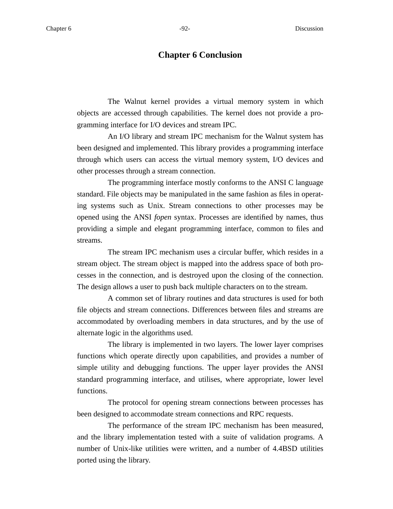The Walnut kernel provides a virtual memory system in which objects are accessed through capabilities. The kernel does not provide a programming interface for I/O devices and stream IPC.

An I/O library and stream IPC mechanism for the Walnut system has been designed and implemented. This library provides a programming interface through which users can access the virtual memory system, I/O devices and other processes through a stream connection.

The programming interface mostly conforms to the ANSI C language standard. File objects may be manipulated in the same fashion as files in operating systems such as Unix. Stream connections to other processes may be opened using the ANSI *fopen* syntax. Processes are identified by names, thus providing a simple and elegant programming interface, common to files and streams.

The stream IPC mechanism uses a circular buffer, which resides in a stream object. The stream object is mapped into the address space of both processes in the connection, and is destroyed upon the closing of the connection. The design allows a user to push back multiple characters on to the stream.

A common set of library routines and data structures is used for both file objects and stream connections. Differences between files and streams are accommodated by overloading members in data structures, and by the use of alternate logic in the algorithms used.

The library is implemented in two layers. The lower layer comprises functions which operate directly upon capabilities, and provides a number of simple utility and debugging functions. The upper layer provides the ANSI standard programming interface, and utilises, where appropriate, lower level functions.

The protocol for opening stream connections between processes has been designed to accommodate stream connections and RPC requests.

The performance of the stream IPC mechanism has been measured, and the library implementation tested with a suite of validation programs. A number of Unix-like utilities were written, and a number of 4.4BSD utilities ported using the library.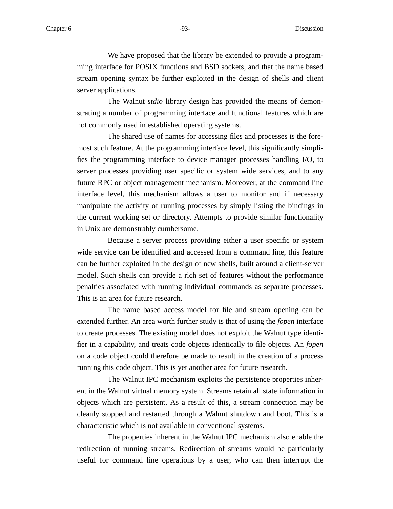We have proposed that the library be extended to provide a programming interface for POSIX functions and BSD sockets, and that the name based stream opening syntax be further exploited in the design of shells and client server applications.

The Walnut *stdio* library design has provided the means of demonstrating a number of programming interface and functional features which are not commonly used in established operating systems.

The shared use of names for accessing files and processes is the foremost such feature. At the programming interface level, this significantly simplifies the programming interface to device manager processes handling I/O, to server processes providing user specific or system wide services, and to any future RPC or object management mechanism. Moreover, at the command line interface level, this mechanism allows a user to monitor and if necessary manipulate the activity of running processes by simply listing the bindings in the current working set or directory. Attempts to provide similar functionality in Unix are demonstrably cumbersome.

Because a server process providing either a user specific or system wide service can be identified and accessed from a command line, this feature can be further exploited in the design of new shells, built around a client-server model. Such shells can provide a rich set of features without the performance penalties associated with running individual commands as separate processes. This is an area for future research.

The name based access model for file and stream opening can be extended further. An area worth further study is that of using the *fopen* interface to create processes. The existing model does not exploit the Walnut type identifier in a capability, and treats code objects identically to file objects. An *fopen* on a code object could therefore be made to result in the creation of a process running this code object. This is yet another area for future research.

The Walnut IPC mechanism exploits the persistence properties inherent in the Walnut virtual memory system. Streams retain all state information in objects which are persistent. As a result of this, a stream connection may be cleanly stopped and restarted through a Walnut shutdown and boot. This is a characteristic which is not available in conventional systems.

The properties inherent in the Walnut IPC mechanism also enable the redirection of running streams. Redirection of streams would be particularly useful for command line operations by a user, who can then interrupt the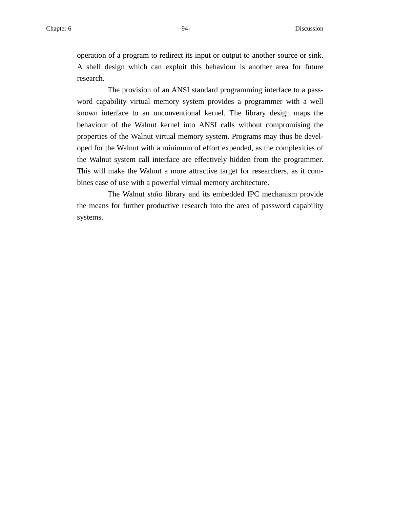operation of a program to redirect its input or output to another source or sink. A shell design which can exploit this behaviour is another area for future research.

The provision of an ANSI standard programming interface to a password capability virtual memory system provides a programmer with a well known interface to an unconventional kernel. The library design maps the behaviour of the Walnut kernel into ANSI calls without compromising the properties of the Walnut virtual memory system. Programs may thus be developed for the Walnut with a minimum of effort expended, as the complexities of the Walnut system call interface are effectively hidden from the programmer. This will make the Walnut a more attractive target for researchers, as it combines ease of use with a powerful virtual memory architecture.

The Walnut *stdio* library and its embedded IPC mechanism provide the means for further productive research into the area of password capability systems.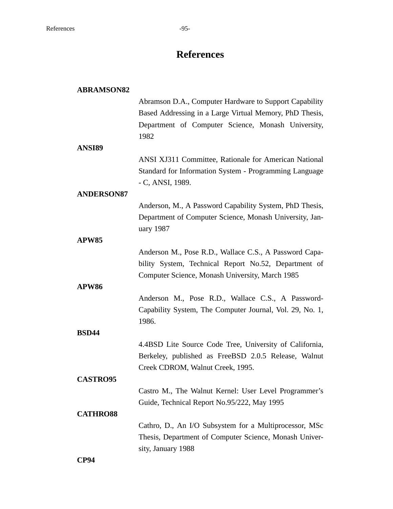# **References**

| <b>ABRAMSON82</b> |                                                          |
|-------------------|----------------------------------------------------------|
|                   | Abramson D.A., Computer Hardware to Support Capability   |
|                   | Based Addressing in a Large Virtual Memory, PhD Thesis,  |
|                   | Department of Computer Science, Monash University,       |
|                   | 1982                                                     |
| ANSI89            |                                                          |
|                   | ANSI XJ311 Committee, Rationale for American National    |
|                   | Standard for Information System - Programming Language   |
|                   | - C, ANSI, 1989.                                         |
| <b>ANDERSON87</b> |                                                          |
|                   | Anderson, M., A Password Capability System, PhD Thesis,  |
|                   |                                                          |
|                   | Department of Computer Science, Monash University, Jan-  |
|                   | uary 1987                                                |
| APW85             |                                                          |
|                   | Anderson M., Pose R.D., Wallace C.S., A Password Capa-   |
|                   | bility System, Technical Report No.52, Department of     |
|                   | Computer Science, Monash University, March 1985          |
| APW86             |                                                          |
|                   | Anderson M., Pose R.D., Wallace C.S., A Password-        |
|                   | Capability System, The Computer Journal, Vol. 29, No. 1, |
|                   | 1986.                                                    |
| <b>BSD44</b>      |                                                          |
|                   | 4.4BSD Lite Source Code Tree, University of California,  |
|                   | Berkeley, published as FreeBSD 2.0.5 Release, Walnut     |
|                   | Creek CDROM, Walnut Creek, 1995.                         |
| <b>CASTRO95</b>   |                                                          |
|                   | Castro M., The Walnut Kernel: User Level Programmer's    |
|                   | Guide, Technical Report No.95/222, May 1995              |
| <b>CATHRO88</b>   |                                                          |
|                   | Cathro, D., An I/O Subsystem for a Multiprocessor, MSc   |
|                   | Thesis, Department of Computer Science, Monash Univer-   |
|                   | sity, January 1988                                       |
| CP94              |                                                          |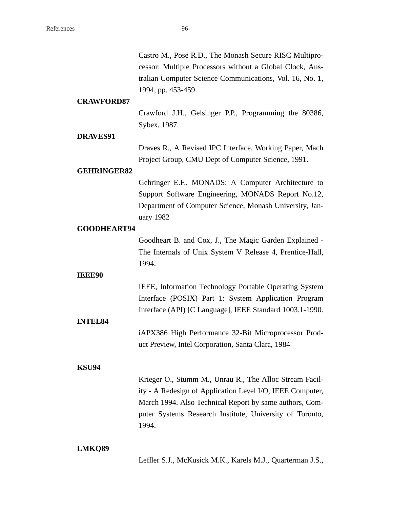|                    | Castro M., Pose R.D., The Monash Secure RISC Multipro-<br>cessor: Multiple Processors without a Global Clock, Aus-<br>tralian Computer Science Communications, Vol. 16, No. 1,<br>1994, pp. 453-459.                                                 |
|--------------------|------------------------------------------------------------------------------------------------------------------------------------------------------------------------------------------------------------------------------------------------------|
| <b>CRAWFORD87</b>  | Crawford J.H., Gelsinger P.P., Programming the 80386,<br>Sybex, 1987                                                                                                                                                                                 |
| DRAVES91           |                                                                                                                                                                                                                                                      |
|                    | Draves R., A Revised IPC Interface, Working Paper, Mach<br>Project Group, CMU Dept of Computer Science, 1991.                                                                                                                                        |
| <b>GEHRINGER82</b> |                                                                                                                                                                                                                                                      |
|                    | Gehringer E.F., MONADS: A Computer Architecture to<br>Support Software Engineering, MONADS Report No.12,<br>Department of Computer Science, Monash University, Jan-<br>uary 1982                                                                     |
| <b>GOODHEART94</b> |                                                                                                                                                                                                                                                      |
|                    | Goodheart B. and Cox, J., The Magic Garden Explained -<br>The Internals of Unix System V Release 4, Prentice-Hall,<br>1994.                                                                                                                          |
| <b>IEEE90</b>      |                                                                                                                                                                                                                                                      |
| <b>INTEL84</b>     | IEEE, Information Technology Portable Operating System<br>Interface (POSIX) Part 1: System Application Program<br>Interface (API) [C Language], IEEE Standard 1003.1-1990.                                                                           |
|                    | iAPX386 High Performance 32-Bit Microprocessor Prod-<br>uct Preview, Intel Corporation, Santa Clara, 1984                                                                                                                                            |
| <b>KSU94</b>       |                                                                                                                                                                                                                                                      |
|                    | Krieger O., Stumm M., Unrau R., The Alloc Stream Facil-<br>ity - A Redesign of Application Level I/O, IEEE Computer,<br>March 1994. Also Technical Report by same authors, Com-<br>puter Systems Research Institute, University of Toronto,<br>1994. |
| LMKQ89             | Leffler S.J., McKusick M.K., Karels M.J., Quarterman J.S.,                                                                                                                                                                                           |
|                    |                                                                                                                                                                                                                                                      |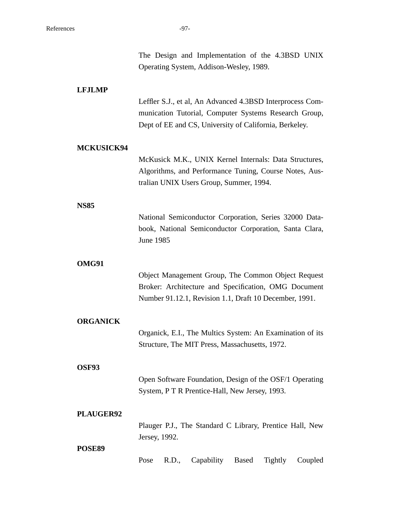|                 | The Design and Implementation of the 4.3BSD UNIX<br>Operating System, Addison-Wesley, 1989.                                                                                  |
|-----------------|------------------------------------------------------------------------------------------------------------------------------------------------------------------------------|
| <b>LFJLMP</b>   | Leffler S.J., et al, An Advanced 4.3BSD Interprocess Com-<br>munication Tutorial, Computer Systems Research Group,<br>Dept of EE and CS, University of California, Berkeley. |
| MCKUSICK94      | McKusick M.K., UNIX Kernel Internals: Data Structures,<br>Algorithms, and Performance Tuning, Course Notes, Aus-<br>tralian UNIX Users Group, Summer, 1994.                  |
| <b>NS85</b>     | National Semiconductor Corporation, Series 32000 Data-<br>book, National Semiconductor Corporation, Santa Clara,<br><b>June 1985</b>                                         |
| OMG91           | Object Management Group, The Common Object Request<br>Broker: Architecture and Specification, OMG Document<br>Number 91.12.1, Revision 1.1, Draft 10 December, 1991.         |
| <b>ORGANICK</b> | Organick, E.I., The Multics System: An Examination of its<br>Structure, The MIT Press, Massachusetts, 1972.                                                                  |
| OSF93           | Open Software Foundation, Design of the OSF/1 Operating<br>System, P T R Prentice-Hall, New Jersey, 1993.                                                                    |
| PLAUGER92       | Plauger P.J., The Standard C Library, Prentice Hall, New<br>Jersey, 1992.                                                                                                    |
| POSE89          | Pose<br>R.D.,<br>Capability<br>Based<br><b>Tightly</b><br>Coupled                                                                                                            |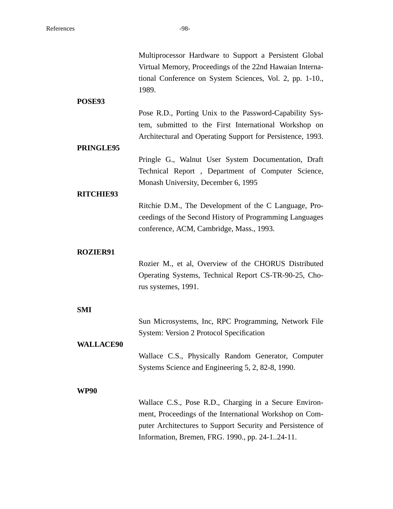| POSE93                         | Multiprocessor Hardware to Support a Persistent Global<br>Virtual Memory, Proceedings of the 22nd Hawaian Interna-<br>tional Conference on System Sciences, Vol. 2, pp. 1-10.,<br>1989.                                            |
|--------------------------------|------------------------------------------------------------------------------------------------------------------------------------------------------------------------------------------------------------------------------------|
| PRINGLE95                      | Pose R.D., Porting Unix to the Password-Capability Sys-<br>tem, submitted to the First International Workshop on<br>Architectural and Operating Support for Persistence, 1993.                                                     |
| <b>RITCHIE93</b>               | Pringle G., Walnut User System Documentation, Draft<br>Technical Report, Department of Computer Science,<br>Monash University, December 6, 1995                                                                                    |
|                                | Ritchie D.M., The Development of the C Language, Pro-<br>ceedings of the Second History of Programming Languages<br>conference, ACM, Cambridge, Mass., 1993.                                                                       |
| <b>ROZIER91</b>                | Rozier M., et al, Overview of the CHORUS Distributed<br>Operating Systems, Technical Report CS-TR-90-25, Cho-<br>rus systemes, 1991.                                                                                               |
| <b>SMI</b><br><b>WALLACE90</b> | Sun Microsystems, Inc, RPC Programming, Network File<br><b>System: Version 2 Protocol Specification</b>                                                                                                                            |
| <b>WP90</b>                    | Wallace C.S., Physically Random Generator, Computer<br>Systems Science and Engineering 5, 2, 82-8, 1990.                                                                                                                           |
|                                | Wallace C.S., Pose R.D., Charging in a Secure Environ-<br>ment, Proceedings of the International Workshop on Com-<br>puter Architectures to Support Security and Persistence of<br>Information, Bremen, FRG. 1990., pp. 24-124-11. |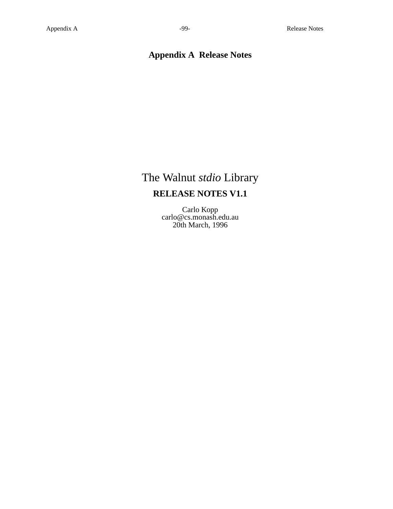# **Appendix A Release Notes**

# The Walnut *stdio* Library **RELEASE NOTES V1.1**

Carlo Kopp carlo@cs.monash.edu.au 20th March, 1996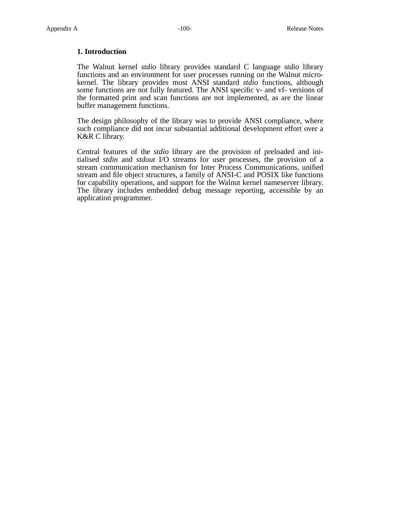# **1. Introduction**

The Walnut kernel *stdio* library provides standard C language *stdio* library functions and an environment for user processes running on the Walnut microkernel. The library provides most ANSI standard *stdio* functions, although some functions are not fully featured. The ANSI specific v- and vf- versions of the formatted print and scan functions are not implemented, as are the linear buffer management functions.

The design philosophy of the library was to provide ANSI compliance, where such compliance did not incur substantial additional development effort over a K&R C library.

Central features of the *stdio* library are the provision of preloaded and initialised *stdin* and *stdout* I/O streams for user processes, the provision of a stream communication mechanism for Inter Process Communications, unified stream and file object structures, a family of ANSI-C and POSIX like functions for capability operations, and support for the Walnut kernel nameserver library. The library includes embedded debug message reporting, accessible by an application programmer.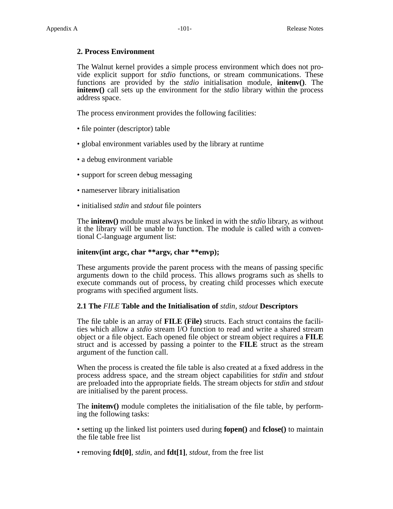# **2. Process Environment**

The Walnut kernel provides a simple process environment which does not provide explicit support for *stdio* functions, or stream communications. These functions are provided by the *stdio* initialisation module, **initenv()**. The **initenv()** call sets up the environment for the *stdio* library within the process address space.

The process environment provides the following facilities:

- file pointer (descriptor) table
- global environment variables used by the library at runtime
- a debug environment variable
- support for screen debug messaging
- nameserver library initialisation
- initialised *stdin* and *stdout* file pointers

The **initenv()** module must always be linked in with the *stdio* library, as without it the library will be unable to function. The module is called with a conventional C-language argument list:

# **initenv(int argc, char \*\*argv, char \*\*envp);**

These arguments provide the parent process with the means of passing specific arguments down to the child process. This allows programs such as shells to execute commands out of process, by creating child processes which execute programs with specified argument lists.

#### **2.1 The** *FILE* **Table and the Initialisation of** *stdin, stdout* **Descriptors**

The file table is an array of **FILE** (File) structs. Each struct contains the facilities which allow a *stdio* stream I/O function to read and write a shared stream object or a file object. Each opened file object or stream object requires a **FILE** struct and is accessed by passing a pointer to the **FILE** struct as the stream argument of the function call.

When the process is created the file table is also created at a fixed address in the process address space, and the stream object capabilities for *stdin* and *stdout* are preloaded into the appropriate fields. The stream objects for *stdin* and *stdout* are initialised by the parent process.

The **initenv()** module completes the initialisation of the file table, by performing the following tasks:

• setting up the linked list pointers used during **fopen()** and **fclose()** to maintain the file table free list

• removing **fdt[0]**, *stdin*, and **fdt[1]**, *stdout*, from the free list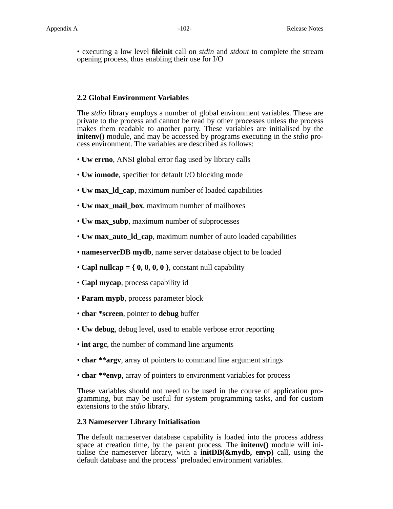• executing a low level **fileinit** call on *stdin* and *stdout* to complete the stream opening process, thus enabling their use for I/O

# **2.2 Global Environment Variables**

The *stdio* library employs a number of global environment variables. These are private to the process and cannot be read by other processes unless the process makes them readable to another party. These variables are initialised by the **initenv()** module, and may be accessed by programs executing in the *stdio* process environment. The variables are described as follows:

- **Uw errno**, ANSI global error flag used by library calls
- **Uw iomode**, specifier for default I/O blocking mode
- **Uw max\_ld\_cap**, maximum number of loaded capabilities
- **Uw max\_mail\_box**, maximum number of mailboxes
- **Uw max\_subp**, maximum number of subprocesses
- **Uw max\_auto\_ld\_cap**, maximum number of auto loaded capabilities
- **nameserverDB mydb**, name server database object to be loaded
- **Capl nullcap** =  $\{0, 0, 0, 0\}$ , constant null capability
- **Capl mycap**, process capability id
- **Param mypb**, process parameter block
- **char \*screen**, pointer to **debug** buffer
- **Uw debug**, debug level, used to enable verbose error reporting
- **int argc**, the number of command line arguments
- **char \*\*argv**, array of pointers to command line argument strings
- **char \*\*envp**, array of pointers to environment variables for process

These variables should not need to be used in the course of application programming, but may be useful for system programming tasks, and for custom extensions to the *stdio* library.

# **2.3 Nameserver Library Initialisation**

The default nameserver database capability is loaded into the process address space at creation time, by the parent process. The **initenv()** module will initialise the nameserver library, with a **initDB(&mydb, envp)** call, using the default database and the process' preloaded environment variables.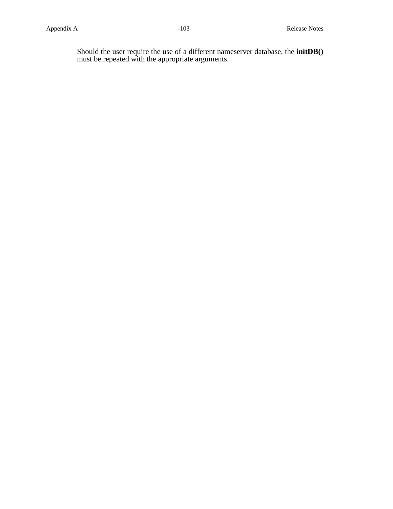Should the user require the use of a different nameserver database, the **initDB()** must be repeated with the appropriate arguments.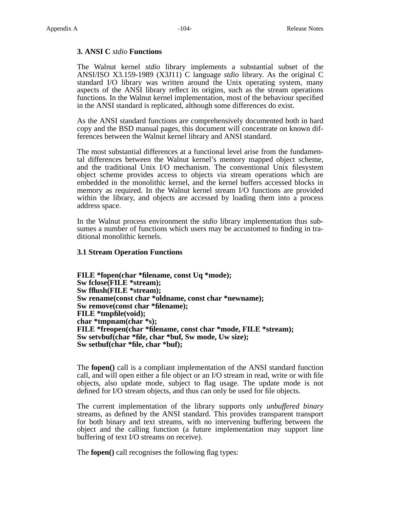# **3. ANSI C** *stdio* **Functions**

The Walnut kernel *stdio* library implements a substantial subset of the ANSI/ISO X3.159-1989 (X3J11) C language *stdio* library. As the original C standard I/O library was written around the Unix operating system, many aspects of the ANSI library reflect its origins, such as the stream operations functions. In the Walnut kernel implementation, most of the behaviour specified in the ANSI standard is replicated, although some differences do exist.

As the ANSI standard functions are comprehensively documented both in hard copy and the BSD manual pages, this document will concentrate on known differences between the Walnut kernel library and ANSI standard.

The most substantial differences at a functional level arise from the fundamental differences between the Walnut kernel's memory mapped object scheme, and the traditional Unix I/O mechanism. The conventional Unix filesystem object scheme provides access to objects via stream operations which are embedded in the monolithic kernel, and the kernel buffers accessed blocks in memory as required. In the Walnut kernel stream I/O functions are provided within the library, and objects are accessed by loading them into a process address space.

In the Walnut process environment the *stdio* library implementation thus subsumes a number of functions which users may be accustomed to finding in traditional monolithic kernels.

#### **3.1 Stream Operation Functions**

**FILE \*fopen(char \*filename, const Uq \*mode); Sw fclose(FILE \*stream); Sw fflush(FILE \*stream); Sw rename(const char \*oldname, const char \*newname); Sw remove(const char \*filename); FILE \*tmpfile(void); char \*tmpnam(char \*s); FILE \*freopen(char \*filename, const char \*mode, FILE \*stream); Sw setvbuf(char \*file, char \*buf, Sw mode, Uw size); Sw setbuf(char \*file, char \*buf);**

The **fopen()** call is a compliant implementation of the ANSI standard function call, and will open either a file object or an I/O stream in read, write or with file objects, also update mode, subject to flag usage. The update mode is not defined for I/O stream objects, and thus can only be used for file objects.

The current implementation of the library supports only *unbuffered binary* streams, as defined by the ANSI standard. This provides transparent transport for both binary and text streams, with no intervening buffering between the object and the calling function (a future implementation may support line buffering of text I/O streams on receive).

The **fopen()** call recognises the following flag types: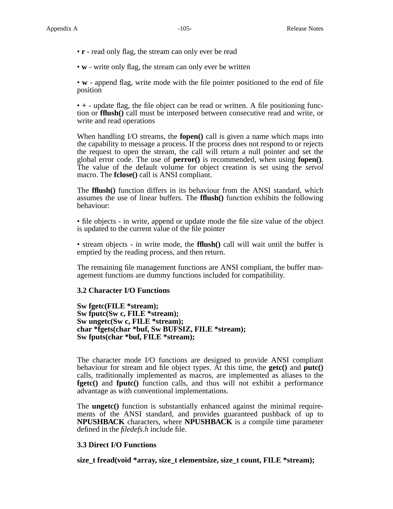- **r** read only flag, the stream can only ever be read
- **w** write only flag, the stream can only ever be written

• **w** - append flag, write mode with the file pointer positioned to the end of file position

• **+** - update flag, the file object can be read or written. A file positioning function or **fflush()** call must be interposed between consecutive read and write, or write and read operations

When handling I/O streams, the **fopen()** call is given a name which maps into the capability to message a process. If the process does not respond to or rejects the request to open the stream, the call will return a null pointer and set the global error code. The use of **perror()** is recommended, when using **fopen()**. The value of the default volume for object creation is set using the *setvol* macro. The **fclose()** call is ANSI compliant.

The **fflush()** function differs in its behaviour from the ANSI standard, which assumes the use of linear buffers. The **fflush()** function exhibits the following behaviour:

• file objects - in write, append or update mode the file size value of the object is updated to the current value of the file pointer

• stream objects - in write mode, the **fflush()** call will wait until the buffer is emptied by the reading process, and then return.

The remaining file management functions are ANSI compliant, the buffer management functions are dummy functions included for compatibility.

#### **3.2 Character I/O Functions**

**Sw fgetc(FILE \*stream); Sw fputc(Sw c, FILE \*stream); Sw ungetc(Sw c, FILE \*stream); char \*fgets(char \*buf, Sw BUFSIZ, FILE \*stream); Sw fputs(char \*buf, FILE \*stream);**

The character mode I/O functions are designed to provide ANSI compliant behaviour for stream and file object types. At this time, the **getc()** and **putc()** calls, traditionally implemented as macros, are implemented as aliases to the **fgetc()** and **fputc()** function calls, and thus will not exhibit a performance advantage as with conventional implementations.

The **ungetc()** function is substantially enhanced against the minimal requirements of the ANSI standard, and provides guaranteed pushback of up to **NPUSHBACK** characters, where **NPUSHBACK** is a compile time parameter defined in the *filedefs.h* include file.

# **3.3 Direct I/O Functions**

**size\_t fread(void \*array, size\_t elementsize, size\_t count, FILE \*stream);**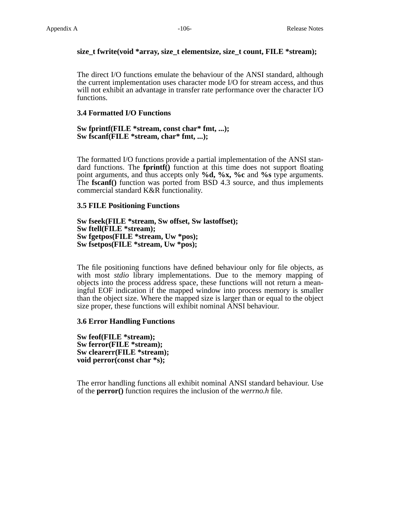# **size\_t fwrite(void \*array, size\_t elementsize, size\_t count, FILE \*stream);**

The direct I/O functions emulate the behaviour of the ANSI standard, although the current implementation uses character mode I/O for stream access, and thus will not exhibit an advantage in transfer rate performance over the character I/O functions.

# **3.4 Formatted I/O Functions**

# **Sw fprintf(FILE \*stream, const char\* fmt, ...); Sw fscanf(FILE \*stream, char\* fmt, ...);**

The formatted I/O functions provide a partial implementation of the ANSI standard functions. The **fprintf()** function at this time does not support floating point arguments, and thus accepts only **%d, %x, %c** and **%s** type arguments. The **fscanf()** function was ported from BSD 4.3 source, and thus implements commercial standard K&R functionality.

# **3.5 FILE Positioning Functions**

**Sw fseek(FILE \*stream, Sw offset, Sw lastoffset); Sw ftell(FILE \*stream); Sw fgetpos(FILE \*stream, Uw \*pos); Sw fsetpos(FILE \*stream, Uw \*pos);**

The file positioning functions have defined behaviour only for file objects, as with most *stdio* library implementations. Due to the memory mapping of objects into the process address space, these functions will not return a meaningful EOF indication if the mapped window into process memory is smaller than the object size. Where the mapped size is larger than or equal to the object size proper, these functions will exhibit nominal ANSI behaviour.

# **3.6 Error Handling Functions**

**Sw feof(FILE \*stream); Sw ferror(FILE \*stream); Sw clearerr(FILE \*stream); void perror(const char \*s);**

The error handling functions all exhibit nominal ANSI standard behaviour. Use of the **perror()** function requires the inclusion of the *werrno.h* file.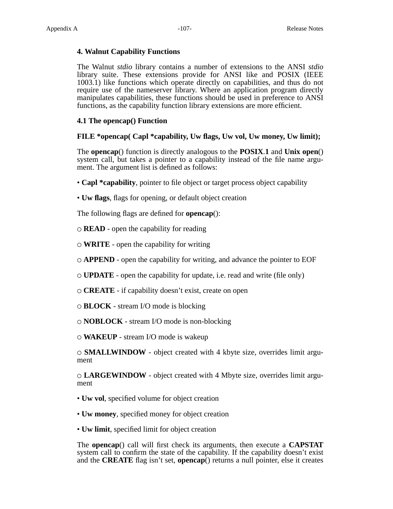# **4. Walnut Capability Functions**

The Walnut *stdio* library contains a number of extensions to the ANSI *stdio* library suite. These extensions provide for ANSI like and POSIX (IEEE 1003.1) like functions which operate directly on capabilities, and thus do not require use of the nameserver library. Where an application program directly manipulates capabilities, these functions should be used in preference to ANSI functions, as the capability function library extensions are more efficient.

# **4.1 The opencap() Function**

# **FILE \*opencap( Capl \*capability, Uw flags, Uw vol, Uw money, Uw limit);**

The **opencap**() function is directly analogous to the **POSIX**.**1** and **Unix open**() system call, but takes a pointer to a capability instead of the file name argument. The argument list is defined as follows:

- **Capl \*capability**, pointer to file object or target process object capability
- **Uw flags**, flags for opening, or default object creation

The following flags are defined for **opencap**():

**READ** - open the capability for reading

- **WRITE** open the capability for writing
- **APPEND** open the capability for writing, and advance the pointer to EOF
- **UPDATE** open the capability for update, i.e. read and write (file only)
- **CREATE** if capability doesn't exist, create on open
- **BLOCK** stream I/O mode is blocking

**NOBLOCK** - stream I/O mode is non-blocking

**WAKEUP** - stream I/O mode is wakeup

**SMALLWINDOW** - object created with 4 kbyte size, overrides limit argument

**LARGEWINDOW** - object created with 4 Mbyte size, overrides limit argument

- **Uw vol**, specified volume for object creation
- **Uw money**, specified money for object creation
- **Uw limit**, specified limit for object creation

The **opencap**() call will first check its arguments, then execute a **CAPSTAT** system call to confirm the state of the capability. If the capability doesn't exist and the **CREATE** flag isn't set, **opencap**() returns a null pointer, else it creates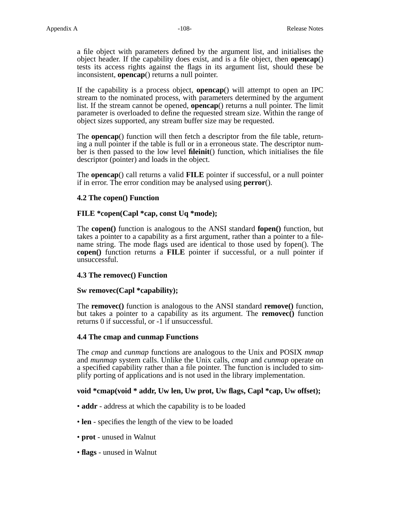a file object with parameters defined by the argument list, and initialises the object header. If the capability does exist, and is a file object, then **opencap**() tests its access rights against the flags in its argument list, should these be inconsistent, **opencap**() returns a null pointer.

If the capability is a process object, **opencap**() will attempt to open an IPC stream to the nominated process, with parameters determined by the argument list. If the stream cannot be opened, **opencap**() returns a null pointer. The limit parameter is overloaded to define the requested stream size. Within the range of object sizes supported, any stream buffer size may be requested.

The **opencap**() function will then fetch a descriptor from the file table, returning a null pointer if the table is full or in a erroneous state. The descriptor number is then passed to the low level **fileinit**() function, which initialises the file descriptor (pointer) and loads in the object.

The **opencap**() call returns a valid **FILE** pointer if successful, or a null pointer if in error. The error condition may be analysed using **perror**().

# **4.2 The copen() Function**

# **FILE \*copen(Capl \*cap, const Uq \*mode);**

The **copen()** function is analogous to the ANSI standard **fopen()** function, but takes a pointer to a capability as a first argument, rather than a pointer to a filename string. The mode flags used are identical to those used by fopen(). The **copen()** function returns a **FILE** pointer if successful, or a null pointer if unsuccessful.

# **4.3 The removec() Function**

# **Sw removec(Capl \*capability);**

The **removec()** function is analogous to the ANSI standard **remove()** function, but takes a pointer to a capability as its argument. The **removec()** function returns 0 if successful, or -1 if unsuccessful.

# **4.4 The cmap and cunmap Functions**

The *cmap* and *cunmap* functions are analogous to the Unix and POSIX *mmap* and *munmap* system calls. Unlike the Unix calls, *cmap* and *cunmap* operate on a specified capability rather than a file pointer. The function is included to simplify porting of applications and is not used in the library implementation.

# **void \*cmap(void \* addr, Uw len, Uw prot, Uw flags, Capl \*cap, Uw offset);**

- **addr** address at which the capability is to be loaded
- **len** specifies the length of the view to be loaded
- **prot** unused in Walnut
- **flags** unused in Walnut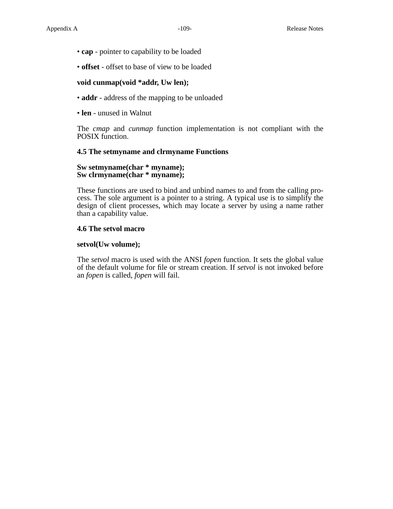- **cap** pointer to capability to be loaded
- **offset** offset to base of view to be loaded

#### **void cunmap(void \*addr, Uw len);**

- **addr** address of the mapping to be unloaded
- **len** unused in Walnut

The *cmap* and *cunmap* function implementation is not compliant with the POSIX function.

#### **4.5 The setmyname and clrmyname Functions**

#### **Sw setmyname(char \* myname); Sw clrmyname(char \* myname);**

These functions are used to bind and unbind names to and from the calling process. The sole argument is a pointer to a string. A typical use is to simplify the design of client processes, which may locate a server by using a name rather than a capability value.

#### **4.6 The setvol macro**

#### **setvol(Uw volume);**

The *setvol* macro is used with the ANSI *fopen* function. It sets the global value of the default volume for file or stream creation. If *setvol* is not invoked before an *fopen* is called, *fopen* will fail.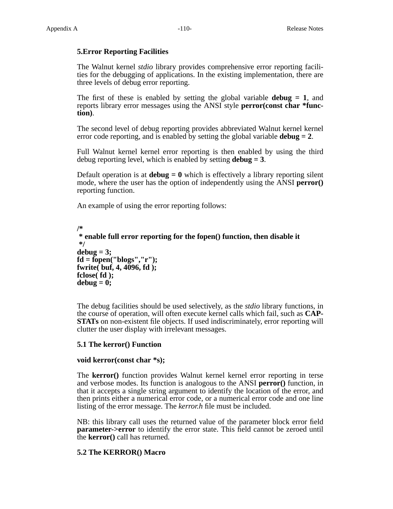## **5.Error Reporting Facilities**

The Walnut kernel *stdio* library provides comprehensive error reporting facilities for the debugging of applications. In the existing implementation, there are three levels of debug error reporting.

The first of these is enabled by setting the global variable **debug = 1**, and reports library error messages using the ANSI style **perror(const char \*function)**.

The second level of debug reporting provides abbreviated Walnut kernel kernel error code reporting, and is enabled by setting the global variable **debug = 2**.

Full Walnut kernel kernel error reporting is then enabled by using the third debug reporting level, which is enabled by setting **debug = 3**.

Default operation is at **debug = 0** which is effectively a library reporting silent mode, where the user has the option of independently using the ANSI **perror()** reporting function.

An example of using the error reporting follows:

```
/*
* enable full error reporting for the fopen() function, then disable it
*/
debug = 3;
fd = fopen("blogs","r");
fwrite( buf, 4, 4096, fd );
fclose( fd );
debug = 0;
```
The debug facilities should be used selectively, as the *stdio* library functions, in the course of operation, will often execute kernel calls which fail, such as **CAP-STATs** on non-existent file objects. If used indiscriminately, error reporting will clutter the user display with irrelevant messages.

#### **5.1 The kerror() Function**

#### **void kerror(const char \*s);**

The **kerror()** function provides Walnut kernel kernel error reporting in terse and verbose modes. Its function is analogous to the ANSI **perror()** function, in that it accepts a single string argument to identify the location of the error, and then prints either a numerical error code, or a numerical error code and one line listing of the error message. The *kerror.h* file must be included.

NB: this library call uses the returned value of the parameter block error field **parameter->error** to identify the error state. This field cannot be zeroed until the **kerror()** call has returned.

## **5.2 The KERROR() Macro**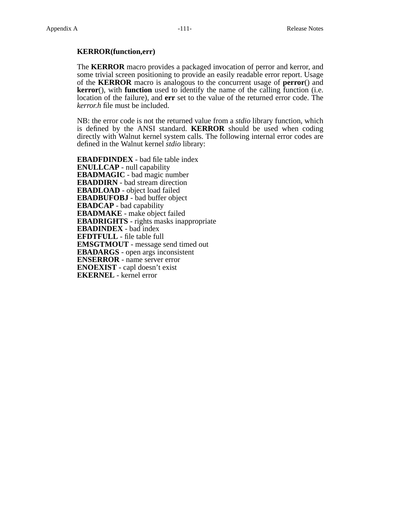### **KERROR(function,err)**

The **KERROR** macro provides a packaged invocation of perror and kerror, and some trivial screen positioning to provide an easily readable error report. Usage of the **KERROR** macro is analogous to the concurrent usage of **perror**() and **kerror**(), with **function** used to identify the name of the calling function (i.e. location of the failure), and **err** set to the value of the returned error code. The *kerror.h* file must be included.

NB: the error code is not the returned value from a *stdio* library function, which is defined by the ANSI standard. **KERROR** should be used when coding directly with Walnut kernel system calls. The following internal error codes are defined in the Walnut kernel *stdio* library:

**EBADFDINDEX** - bad file table index **ENULLCAP** - null capability **EBADMAGIC** - bad magic number **EBADDIRN** - bad stream direction **EBADLOAD** - object load failed **EBADBUFOBJ** - bad buffer object **EBADCAP** - bad capability **EBADMAKE** - make object failed **EBADRIGHTS** - rights masks inappropriate **EBADINDEX** - bad index **EFDTFULL** - file table full **EMSGTMOUT** - message send timed out **EBADARGS** - open args inconsistent **ENSERROR** - name server error **ENOEXIST** - capl doesn't exist **EKERNEL** - kernel error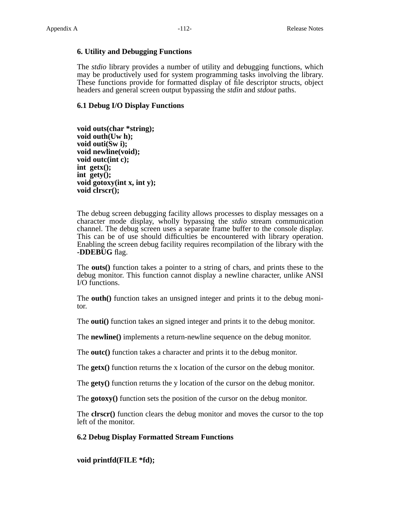#### **6. Utility and Debugging Functions**

The *stdio* library provides a number of utility and debugging functions, which may be productively used for system programming tasks involving the library. These functions provide for formatted display of file descriptor structs, object headers and general screen output bypassing the *stdin* and *stdout* paths.

## **6.1 Debug I/O Display Functions**

**void outs(char \*string); void outh(Uw h); void outi(Sw i); void newline(void); void outc(int c); int getx(); int gety(); void gotoxy(int x, int y); void clrscr();**

The debug screen debugging facility allows processes to display messages on a character mode display, wholly bypassing the *stdio* stream communication channel. The debug screen uses a separate frame buffer to the console display. This can be of use should difficulties be encountered with library operation. Enabling the screen debug facility requires recompilation of the library with the **-DDEBUG** flag.

The **outs()** function takes a pointer to a string of chars, and prints these to the debug monitor. This function cannot display a newline character, unlike ANSI I/O functions.

The **outh()** function takes an unsigned integer and prints it to the debug monitor.

The **outi()** function takes an signed integer and prints it to the debug monitor.

The **newline()** implements a return-newline sequence on the debug monitor.

The **outc()** function takes a character and prints it to the debug monitor.

The **getx()** function returns the x location of the cursor on the debug monitor.

The **gety()** function returns the y location of the cursor on the debug monitor.

The **gotoxy()** function sets the position of the cursor on the debug monitor.

The **clrscr()** function clears the debug monitor and moves the cursor to the top left of the monitor.

#### **6.2 Debug Display Formatted Stream Functions**

**void printfd(FILE \*fd);**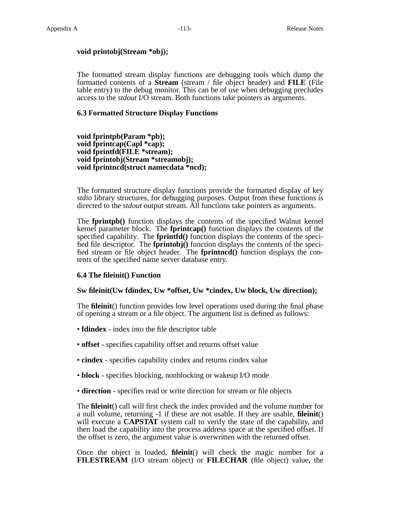#### **void printobj(Stream \*obj);**

The formatted stream display functions are debugging tools which dump the formatted contents of a **Stream** (stream / file object header) and **FILE** (File table entry) to the debug monitor. This can be of use when debugging precludes access to the *stdout* I/O stream. Both functions take pointers as arguments.

### **6.3 Formatted Structure Display Functions**

**void fprintpb(Param \*pb); void fprintcap(Capl \*cap); void fprintfd(FILE \*stream); void fprintobj(Stream \*streamobj); void fprintncd(struct namecdata \*ncd);**

The formatted structure display functions provide the formatted display of key *stdio* library structures, for debugging purposes. Output from these functions is directed to the *stdout* output stream. All functions take pointers as arguments.

The **fprintpb()** function displays the contents of the specified Walnut kernel kernel parameter block. The **fprintcap()** function displays the contents of the specified capability. The **fprintfd()** function displays the contents of the specified file descriptor. The **fprintobj()** function displays the contents of the specified stream or file object header. The **fprintncd()** function displays the contents of the specified name server database entry.

#### **6.4 The fileinit() Function**

#### **Sw fileinit(Uw fdindex, Uw \*offset, Uw \*cindex, Uw block, Uw direction);**

The **fileinit**() function provides low level operations used during the final phase of opening a stream or a file object. The argument list is defined as follows:

- **fdindex** index into the file descriptor table
- **offset** specifies capability offset and returns offset value
- **cindex** specifies capability cindex and returns cindex value
- **block** specifies blocking, nonblocking or wakeup I/O mode
- **direction** specifies read or write direction for stream or file objects

The **fileinit**() call will first check the index provided and the volume number for a null volume, returning -1 if these are not usable. If they are usable, **fileinit**() will execute a **CAPSTAT** system call to verify the state of the capability, and then load the capability into the process address space at the specified offset. If the offset is zero, the argument value is overwritten with the returned offset.

Once the object is loaded, **fileinit**() will check the magic number for a **FILESTREAM** (I/O stream object) or **FILECHAR** (file object) value, the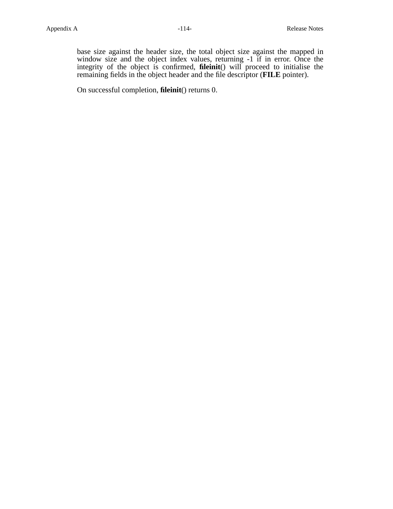base size against the header size, the total object size against the mapped in window size and the object index values, returning -1 if in error. Once the integrity of the object is confirmed, **fileinit**() will proceed to initialise the remaining fields in the object header and the file descriptor (**FILE** pointer).

On successful completion, **fileinit**() returns 0.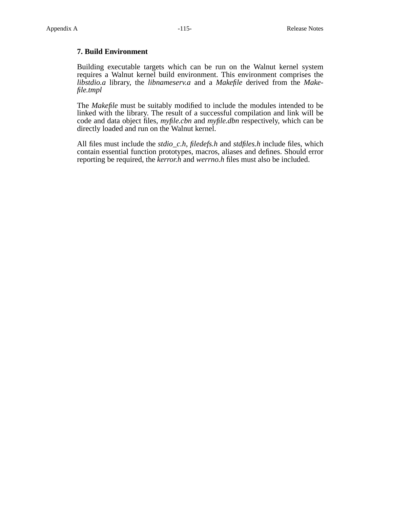## **7. Build Environment**

Building executable targets which can be run on the Walnut kernel system requires a Walnut kernel build environment. This environment comprises the *libstdio.a* library, the *libnameserv.a* and a *Makefile* derived from the *Makefile.tmpl*

The *Makefile* must be suitably modified to include the modules intended to be linked with the library. The result of a successful compilation and link will be code and data object files, *myfile.cbn* and *myfile.dbn* respectively, which can be directly loaded and run on the Walnut kernel.

All files must include the *stdio\_c.h*, *filedefs.h* and *stdfiles.h* include files, which contain essential function prototypes, macros, aliases and defines. Should error reporting be required, the *kerror.h* and *werrno.h* files must also be included.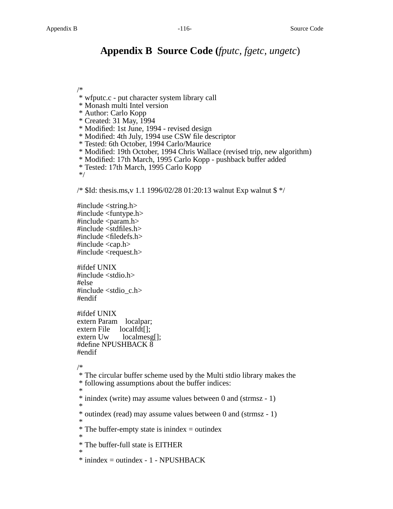## **Appendix B Source Code (***fputc, fgetc, ungetc*)

/\*

- \* wfputc.c put character system library call
- \* Monash multi Intel version
- \* Author: Carlo Kopp
- \* Created: 31 May, 1994
- \* Modified: 1st June, 1994 revised design
- \* Modified: 4th July, 1994 use CSW file descriptor
- \* Tested: 6th October, 1994 Carlo/Maurice
- \* Modified: 19th October, 1994 Chris Wallace (revised trip, new algorithm)
- \* Modified: 17th March, 1995 Carlo Kopp pushback buffer added
- \* Tested: 17th March, 1995 Carlo Kopp

\*/

/\* \$Id: thesis.ms,v 1.1 1996/02/28 01:20:13 walnut Exp walnut \$ \*/

#include <string.h> #include <funtype.h> #include <param.h>  $\#$ include  $\lt$ stdfiles.h $>$ #include <filedefs.h> #include <cap.h> #include <request.h>

#ifdef UNIX #include <stdio.h> #else #include <stdio\_c.h> #endif

#ifdef UNIX extern Param localpar; extern File localfdt[]; extern Uw localmesg[]; #define NPUSHBACK 8 #endif

/\*

\* The circular buffer scheme used by the Multi stdio library makes the \* following assumptions about the buffer indices:

\* \* inindex (write) may assume values between 0 and (strmsz - 1)

\* \* outindex (read) may assume values between 0 and (strmsz - 1)

\*  $*$  The buffer-empty state is inindex  $=$  outindex

\* \* The buffer-full state is EITHER

\*  $*$  inindex = outindex - 1 - NPUSHBACK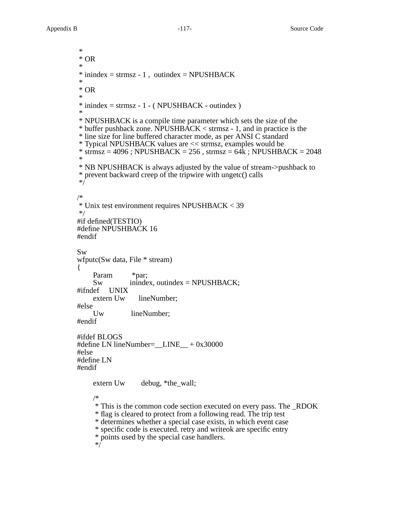{

\* \* OR \*  $*$  inindex = strmsz - 1, outindex = NPUSHBACK \* \* OR \*  $*$  inindex = strmsz - 1 - ( NPUSHBACK - outindex ) \* \* NPUSHBACK is a compile time parameter which sets the size of the \* buffer pushback zone. NPUSHBACK < strmsz - 1, and in practice is the \* line size for line buffered character mode, as per ANSI C standard \* Typical NPUSHBACK values are << strmsz, examples would be  $*$  strmsz = 4096 ; NPUSHBACK = 256, strmsz = 64 $\overline{k}$ ; NPUSHBACK = 2048 \* \* NB NPUSHBACK is always adjusted by the value of stream->pushback to \* prevent backward creep of the tripwire with ungetc() calls \*/ /\* \* Unix test environment requires NPUSHBACK < 39 \*/ #if defined(TESTIO) #define NPUSHBACK 16 #endif Sw wfputc(Sw data, File \* stream) Param \*par;  $Sw$  inindex, outindex = NPUSHBACK;<br>lef UNIX  $\#$ ifndef extern Uw lineNumber; #else Uw lineNumber; #endif #ifdef BLOGS #define LN lineNumber=\_\_LINE\_\_ + 0x30000 #else #define LN #endif extern Uw debug, \*the\_wall; /\* \* This is the common code section executed on every pass. The \_RDOK \* flag is cleared to protect from a following read. The trip test \* determines whether a special case exists, in which event case \* specific code is executed. retry and writeok are specific entry \* points used by the special case handlers. \*/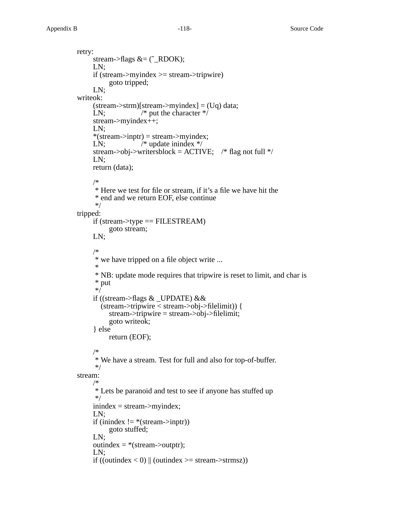retry: stream->flags  $&=(\tilde{\phantom{a}}\_RDOK);$ LN; if (stream->myindex >= stream->tripwire) goto tripped; LN; writeok: (stream->strm)[stream->myindex] = (Uq) data; LN;  $/*$  put the character  $*/$ stream->myindex++; LN;  $*(stream\text{-}input) = stream\text{-}myindex;$ LN;  $/*$  update inindex  $*/$ stream->obj->writersblock = ACTIVE;  $\frac{\pi}{3}$  flag not full \*/ LN; return (data); /\* \* Here we test for file or stream, if it's a file we have hit the \* end and we return EOF, else continue \*/ tripped: if (stream->type  $==$  FILESTREAM) goto stream; LN; /\* \* we have tripped on a file object write ... \* \* NB: update mode requires that tripwire is reset to limit, and char is \* put  $*$  / if ((stream->flags & \_UPDATE) && (stream->tripwire < stream->obj->filelimit)) { stream->tripwire = stream->obj->filelimit; goto writeok; } else return (EOF); /\* \* We have a stream. Test for full and also for top-of-buffer. \*/ stream: /\* \* Lets be paranoid and test to see if anyone has stuffed up \*/ inindex = stream->myindex; LN; if (inindex  $!=$  \*(stream->inptr)) goto stuffed; LN;  $outindex = * (stream->output);$ LN; if ((outindex  $< 0$ ) || (outindex  $> =$  stream- $>$ strmsz))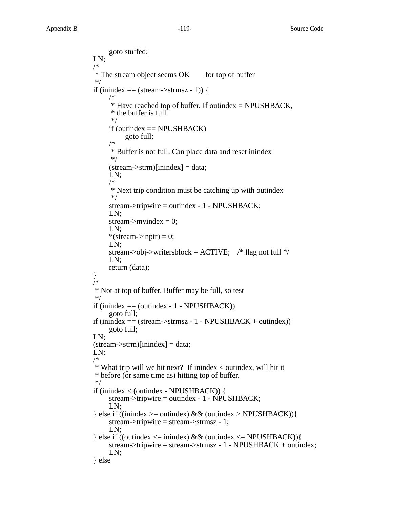goto stuffed; LN; /\*  $*$  The stream object seems OK for top of buffer \*/ if (inindex  $==$  (stream->strmsz - 1)) { /\*  $*$  Have reached top of buffer. If outindex = NPUSHBACK, \* the buffer is full. \*/ if (outindex  $==$  NPUSHBACK) goto full; /\* \* Buffer is not full. Can place data and reset inindex \*/  $(stream \rightarrow strm)[inindex] = data;$ LN; /\* \* Next trip condition must be catching up with outindex \*/ stream->tripwire = outindex - 1 - NPUSHBACK; LN; stream->myindex  $= 0$ ; LN; \*(stream->inptr) = 0; LN; stream->obj->writersblock =  $ACTIVE$ ; /\* flag not full \*/ LN; return (data); } /\* \* Not at top of buffer. Buffer may be full, so test \*/ if (inindex  $=$  (outindex - 1 - NPUSHBACK)) goto full; if  $(inindex = (stream->strmsz - 1 - NPUSHBACK + outindex))$ goto full; LN;  $(stream \rightarrow strm)[inindex] = data;$ LN; /\* \* What trip will we hit next? If inindex < outindex, will hit it \* before (or same time as) hitting top of buffer. \*/ if (inindex < (outindex - NPUSHBACK)) { stream->tripwire = outindex - 1 - NPUSHBACK; LN; } else if ((inindex  $>=$  outindex) && (outindex  $>$  NPUSHBACK)){ stream->tripwire = stream->strmsz - 1; LN; } else if ((outindex <= inindex) && (outindex <= NPUSHBACK)){ stream->tripwire = stream->strmsz - 1 - NPUSHBACK + outindex; LN; } else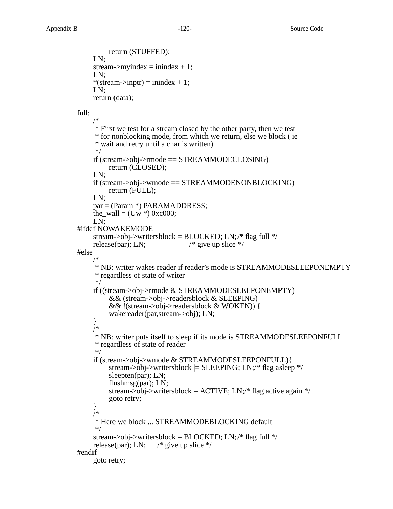```
return (STUFFED);
LN;
stream->myindex = inindex + 1;
LN;
*(stream->inptr) = inindex + 1;
LN;
return (data);
```
full:

```
/*
     * First we test for a stream closed by the other party, then we test
     * for nonblocking mode, from which we return, else we block ( ie
     * wait and retry until a char is written)
     */
    if (stream->obj->rmode == STREAMMODECLOSING)
         return (CLOSED);
    LN;
    if (stream->obj->wmode == STREAMMODENONBLOCKING)
         return (FULL);
    LN;
    par = (Param *) PARAMADDRESS;
    the_wall = (Uw * ) 0xc000;LN;
#ifdef NOWAKEMODE
    stream->obj->writersblock = BLOCKED; LN;/* flag full */
    release(par); LN; \frac{\partial^* g}{\partial x^*} /* give up slice */
#else
    /*
     * NB: writer wakes reader if reader's mode is STREAMMODESLEEPONEMPTY
     * reg ardless of state of writer
     */
    if ((stream->obj->rmode & STREAMMODESLEEPONEMPTY)
         && (stream->obj->readersblock & SLEEPING)
         && !(stream->obj->readersblock & WOKEN)) {
         wakereader(par,stream->obj); LN;
    }
    /*
     * NB: writer puts itself to sleep if its mode is STREAMMODESLEEPONFULL
     * reg ardless of state of reader
     */
    if (stream->obj->wmode & STREAMMODESLEEPONFULL){
         stream->obj->writersblock = SLEEPING; LN;/* flag asleep */sleepten(par); LN;
         flushmsg(par); LN;
         stream->obj->writersblock = ACTIVE; LN;/* flag active again */goto retry;
    }
    /*
     * Here we block ... STREAMMODEBLOCKING default
     */
    stream->obj->writersblock = BLOCKED; LN;/* flag full */release(par); LN; \frac{\pi}{3} give up slice */
#endif
    goto retry;
```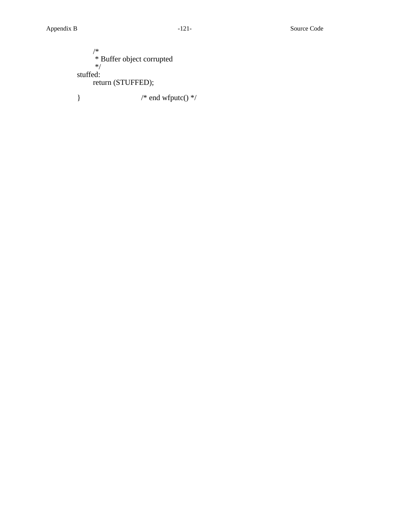```
/*
     * Buffer object corrupted
     */
stuffed:
    return (STUFFED);
} /* end wfputc() */
```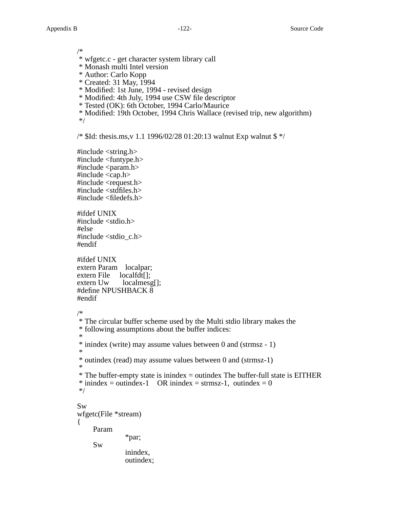/\*

- \* wfgetc.c get character system library call
- \* Monash multi Intel version
- \* Author: Carlo Kopp
- \* Created: 31 May, 1994
- \* Modified: 1st June, 1994 revised design
- \* Modified: 4th July, 1994 use CSW file descriptor
- \* Tested (OK): 6th October, 1994 Carlo/Maurice
- \* Modified: 19th October, 1994 Chris Wallace (revised trip, new algorithm) \*/

/\* \$Id: thesis.ms,v 1.1 1996/02/28 01:20:13 walnut Exp walnut \$ \*/

#include <string.h> #include <funtype.h>  $\#$ include  $\langle$ param.h $>$ #include <cap.h> #include <request.h>  $\#$ include  $\lt$ stdfiles.h $>$ #include <filedefs.h>

#ifdef UNIX #include <stdio.h> #else #include <stdio\_c.h> #endif

#ifdef UNIX extern Param localpar; extern File localfdt[];<br>extern Uw localmesg  $localmesg[];$ #define NPUSHBACK 8 #endif

outindex;

```
/*
```

```
* The circular buffer scheme used by the Multi stdio library makes the
* following assumptions about the buffer indices:
*
* inindex (write) may assume values between 0 and (strmsz - 1)
*
* outindex (read) may assume values between 0 and (strmsz-1)
*
* The buffer-empty state is inindex = outindex The buffer-full state is EITHER
* inindex = outindex-1 OR inindex = strmsz-1, outindex = 0
*/
Sw
wfgetc(File *stream)
{
    Param
               *par;
    Sw
               inindex,
```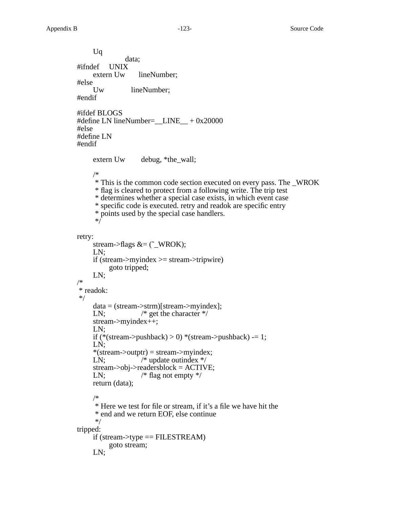Uq data; #ifndef UNIX extern Uw lineNumber; #else Uw lineNumber; #endif #ifdef BLOGS #define LN lineNumber=\_\_LINE\_\_ + 0x20000 #else #define LN #endif extern Uw debug, \*the\_wall; /\* \* This is the common code section executed on every pass. The \_WROK \* flag is cleared to protect from a following write. The trip test \* determines whether a special case exists, in which event case \* specific code is executed. retry and readok are specific entry \* points used by the special case handlers. \*/ retry: stream->flags  $&=(\tilde{\ }$  WROK); LN; if (stream->myindex >= stream->tripwire) goto tripped; LN; /\* \* readok: \*/ data = (stream->strm)[stream->myindex]; LN;  $/* get the character */$ stream->myindex++; LN; if (\*(stream->pushback) > 0) \*(stream->pushback) -= 1; LN;  $*(stream$ ->outptr $)$  = stream->myindex; LN;  $\sqrt{\frac{1}{2}}$  /\* update outindex \*/ stream->obj->readersblock = ACTIVE; LN;  $/* flag not empty */$ return (data); /\* \* Here we test for file or stream, if it's a file we have hit the \* end and we return EOF, else continue \*/ tripped: if (stream->type  $==$  FILESTREAM) goto stream; LN;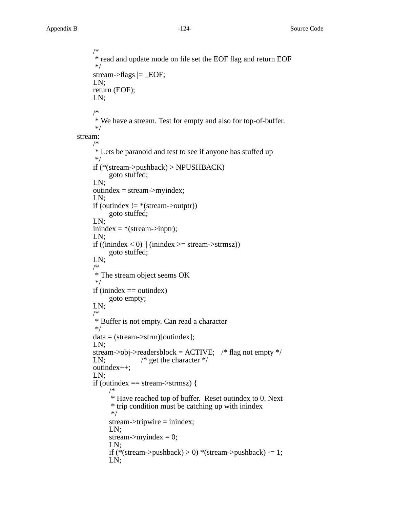```
/*
     * read and update mode on file set the EOF flag and return EOF
     */
     stream->flags \vert = _EOF;
     LN;
     return (EOF);
     LN;
     /*
     * We have a stream. Test for empty and also for top-of-buffer.
     */
stream:
     /*
     * Lets be paranoid and test to see if anyone has stuffed up
     */
     if (*(stream->pushback) > NPUSHBACK)
          goto stuffed;
     LN;
     outindex = stream->myindex;
     LN;
     if (outindex != *(stream->outptr))
          goto stuffed;
     LN;
     initex = * (stream > input);LN;
     if ((inindex < 0) \parallel (inindex > = stream->strmsz))
          goto stuffed;
     LN;
     /*
     * The stream object seems OK
     */
     if (inindex = outindex)
          goto empty;
     LN;
     /*
     * Buffer is not empty. Can read a character
     */
     data = (stream->strm)[outindex];
     LN;
     stream->obj->readersblock = ACTIVE; \frac{\pi}{3} flag not empty \frac{\pi}{3}LN; /* get the character */outindex++;
     LN;
     if (outindex == stream->strmsz) {
          /*
           * Have reached top of buffer. Reset outindex to 0. Next
           * trip condition must be catching up with inindex
           */
          stream->tripwire = inindex;
          LN;
          stream->myindex = 0;
          LN;
          if (*(stream->pushback) > 0) *(stream->pushback) -= 1;
          LN;
```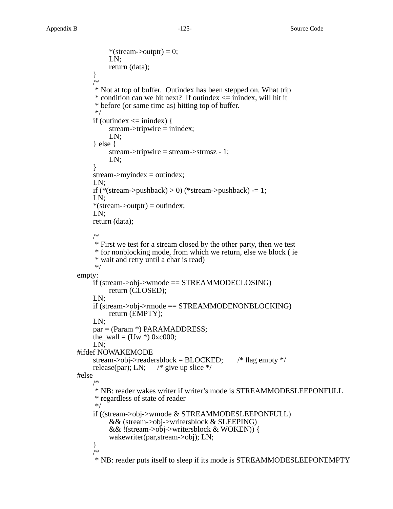```
*(stream->outptr) = 0;
          LN;
          return (data);
     }
     /*
     * Not at top of buffer. Outindex has been stepped on. What trip
     * condition can we hit next? If outindex \leq inindex, will hit it
      * before (or same time as) hitting top of buffer.
     */
     if (outindex \le inindex) {
          stream->tripwire = inindex;
          LN;
     } else {
          stream->tripwire = stream->strmsz - 1;
          LN;
     }
     stream \rightarrow myindex = outindex;LN;
     if (*(stream->pushback) > 0) (*stream->pushback) -= 1;
     LN;
     *(stream->outptr) = outindex;
     LN;
     return (data);
     /*
     * First we test for a stream closed by the other party, then we test
     * for nonblocking mode, from which we return, else we block ( ie
     * wait and retry until a char is read)
     */
empty:
     if (stream->obj->wmode == STREAMMODECLOSING)
          return (CLOSED);
     LN;
     if (stream->obj->rmode == STREAMMODENONBLOCKING)
          return (EMPTY);
     LN;
     par = (Param *) PARAMADDRESS;
     the wall = (Uw *) 0xc000;
     LN;
#ifdef NOWAKEMODE
     stream->obj->readersblock = BLOCKED; \frac{\text{# flag empty} \cdot \text{# flag}}{\text{# flag empty}}release(par); LN; \frac{\pi}{2} give up slice \frac{\pi}{4}#else
     /*
      * NB: reader wakes writer if writer's mode is STREAMMODESLEEPONFULL
     * reg ardless of state of reader
     */
     if ((stream->obj->wmode & STREAMMODESLEEPONFULL)
          && (stream->obj->writersblock & SLEEPING)
          && !(stream->obj->writersblock & WOKEN)) {
          wakewriter(par,stream->obj); LN;
     }
     /*
```
\* NB: reader puts itself to sleep if its mode is STREAMMODESLEEPONEMPTY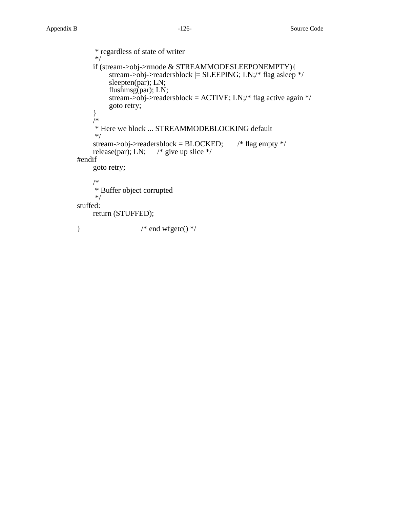```
* reg ardless of state of writer
     */
     if (stream->obj->rmode & STREAMMODESLEEPONEMPTY){
          stream->obj->readersblock |= SLEEPING; LN;/* flag asleep */
          sleepten(par); LN;
          flushmsg(par); LN;
          stream->obj->readersblock = ACTIVE; LN;/* flag active again */
          goto retry;
     }
     /*
     * Here we block ... STREAMMODEBLOCKING default
     */
     stream->obj->readersblock = BLOCKED; \frac{\text{# flag empty} \cdot \text{# flag}}{\text{# flag empty}}release(par); LN; \frac{\pi}{3} give up slice */
#endif
     goto retry;
     /*
     * Buffer object corrupted
     */
stuffed:
     return (STUFFED);
* end wfgetc() */
```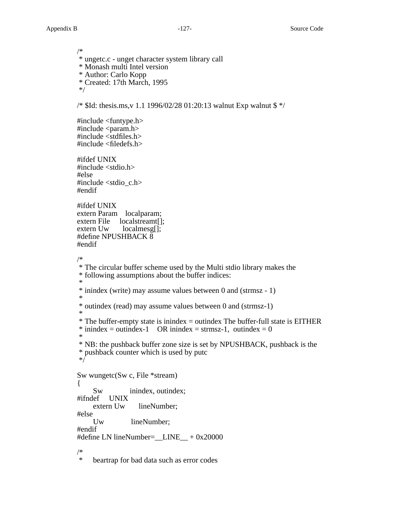/\* \* ungetc.c - unget character system library call \* Monash multi Intel version \* Author: Carlo Kopp \* Created: 17th March, 1995 \*/ /\* \$Id: thesis.ms,v 1.1 1996/02/28 01:20:13 walnut Exp walnut \$ \*/ #include <funtype.h>  $\#$ include  $\langle$ param.h $>$ #include <stdfiles.h>  $\#$ include  $\leq$ filedefs.h $>$ #ifdef UNIX #include <stdio.h> #else #include <stdio\_c.h> #endif #ifdef UNIX extern Param localparam; extern File localstreamt[]; extern Uw localmesg[]; #define NPUSHBACK 8 #endif /\* \* The circular buffer scheme used by the Multi stdio library makes the \* following assumptions about the buffer indices: \* \* inindex (write) may assume values between 0 and (strmsz - 1) \* \* outindex (read) may assume values between 0 and (strmsz-1) \* \* The buffer-empty state is inindex = outindex The buffer-full state is EITHER  $*$  inindex = outindex-1 OR inindex = strmsz-1, outindex = 0 \* \* NB: the pushback buffer zone size is set by NPUSHBACK, pushback is the \* pushback counter which is used by putc \*/ Sw wungetc(Sw c, File \*stream) { Sw inindex, outindex;<br>lef UNIX #ifndef UNIX lineNumber; #else lineNumber; #endif #define LN lineNumber=  $LINE + 0x20000$ /\* beartrap for bad data such as error codes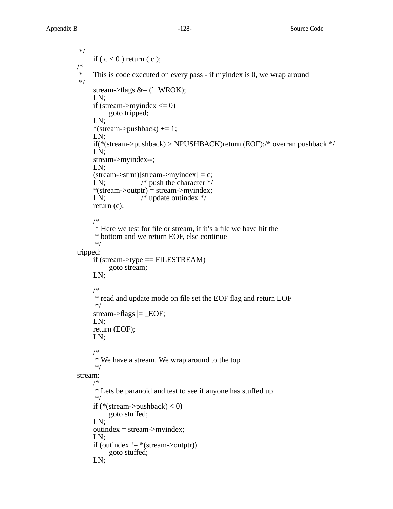```
*/
     if (c < 0) return (c);
/*
     This is code executed on every pass - if myindex is 0, we wrap around
*/
     stream->flags &=(\tilde{\ } WROK);
     LN;
     if (stream->myindex <= 0)
          goto tripped;
     LN;
     *(stream->pushback) += 1;
     LN;
     if(*(stream->pushback) > NPUSHBACK)return (EOF);/* overran pushback */
     LN;
     stream->myindex--;
     LN;
     (\text{stream}\text{-}\text{term})[\text{stream}\text{-}\text{myindex}] = c;LN; /* push the character */*(stream->outptr) = stream->myindex;
     LN; \sqrt{\frac{4}{\pi}} update outindex \frac{4}{\pi}return (c);
     /*
     * Here we test for file or stream, if it's a file we have hit the
     * bottom and we return EOF, else continue
     */
tripped:
     if (stream->type == FILESTREAM)
          goto stream;
     LN;
     /*
     * read and update mode on file set the EOF flag and return EOF
     */
     stream->flags \vert = _EOF;
     LN;
     return (EOF);
     LN;
     /*
     * We have a stream. We wrap around to the top
     */
stream:
     /*
     * Lets be paranoid and test to see if anyone has stuffed up
     */
     if (*(stream->pushback) < 0)
          goto stuffed;
     LN;
     outindex = stream \rightarrow myindex;LN;
     if (outindex != *(stream->outptr))
          goto stuffed;
     LN;
```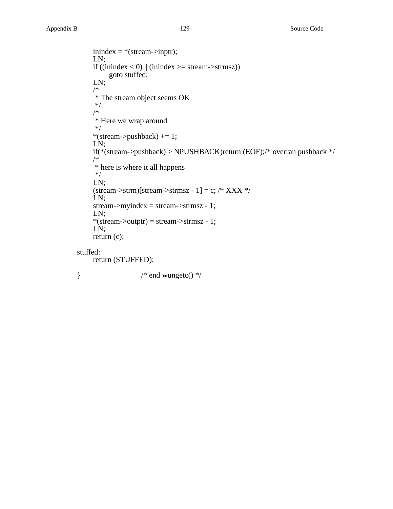```
inindex = * (stream-> input);LN;
     if ((inindex < 0) || (inindex > = stream->strmsz))
         goto stuffed;
     LN;
    /*
     * The stream object seems OK
     */
     /*
     * Here we wrap around
     */
     *(stream->pushback) += 1;
     LN;
     if(*(stream->pushback) > NPUSHBACK)return (EOF);/* overran pushback */
     /*
     * here is where it all happens
     */
     LN;
     (\text{stream->strm})[\text{stream->strmsz - 1}] = c; \frac{1}{1}LN;
     stream->myindex = stream->strmsz - 1;
     LN;
     *(stream > output) = stream > strings - 1;LN;
     return (c);
stuffed:
     return (STUFFED);
} /* end wungetc() */
```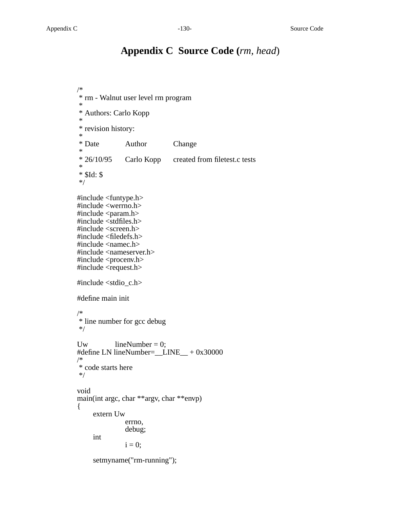# **Appendix C Source Code (***rm, head*)

```
/*
* rm - Walnut user level rm program
*
* Authors: Carlo Kopp
*
* revision history:
*<br>* Date
               Author Change
*<br>* 26/10/95
               Carlo Kopp created from filetest.c tests
*
* $Id: $
*/
#include <funtype.h>
#include <werrno.h>
#include <param.h>
#include <stdfiles.h>
#include <screen.h>
#include <filedefs.h>
#include <namec.h>
#include <nameserver.h>
#include <procenv.h>
#include <request.h>
#include <stdio_c.h>
#define main init
/*
* line number for gcc debug
*/
Uw \text{lineNumber} = 0;#define LN lineNumber=__LINE__ + 0x30000
/*
* code starts here
*/
void
main(int argc, char **argv, char **envp)
{
     extern Uw
               errno,
               debug;
     int
               i = 0;setmyname("rm-running");
```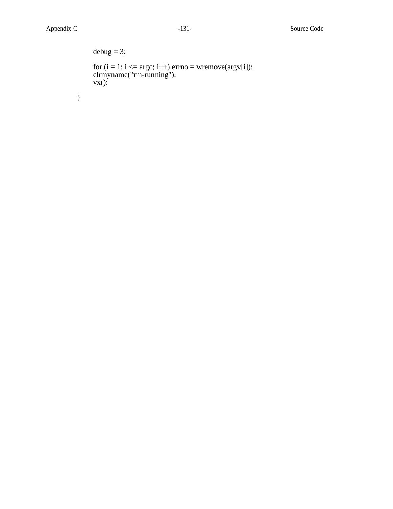}

```
debug = 3;for (i = 1; i \leq argc; i++) errno = wremove(argv[i]);
clrmyname("rm-running");
vx();
```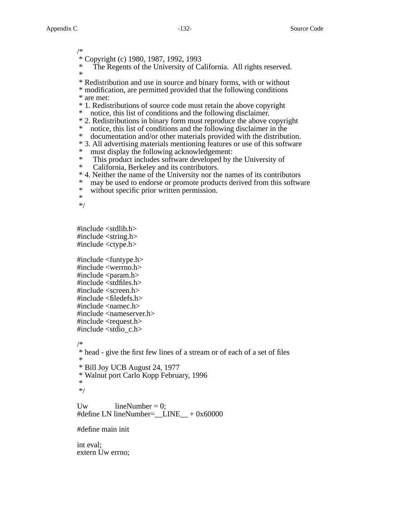/\* \* Copyright (c) 1980, 1987, 1992, 1993 The Regents of the University of California. All rights reserved. \* \* Redistribution and use in source and binary forms, with or without \* modification, are permitted provided that the following conditions \* are met: \* 1. Redistributions of source code must retain the above copyright \* notice, this list of conditions and the following disclaimer. \* 2. Redistributions in binary form must reproduce the above copyright \* notice, this list of conditions and the following disclaimer in the documentation and/or other materials provided with the distribution. \* 3. All advertising materials mentioning features or use of this software \* must display the following acknowledgement: \* This product includes software developed by the University of California, Berkeley and its contributors. \* 4. Neither the name of the University nor the names of its contributors \* may be used to endorse or promote products derived from this software<br>\* without specific prior written permission without specific prior written permission. \* \*/ #include <stdlib.h> #include <string.h> #include <ctype.h> #include <funtype.h> #include <werrno.h>  $\#$ include  $\langle$ param.h $>$ #include <stdfiles.h> #include <screen.h>  $\#$ include  $\leq$ filedefs.h $>$ #include <namec.h> #include <nameserver.h> #include <request.h> #include  $\lt$ stdio c.h $>$ /\* \* head - give the first few lines of a stream or of each of a set of files \* \* Bill Joy UCB August 24, 1977 \* Walnut port Carlo Kopp February, 1996 \* \*/

Uw  $\text{lineNumber} = 0;$ #define LN lineNumber=  $LINE + 0x60000$ 

#define main init

int eval; extern Uw errno;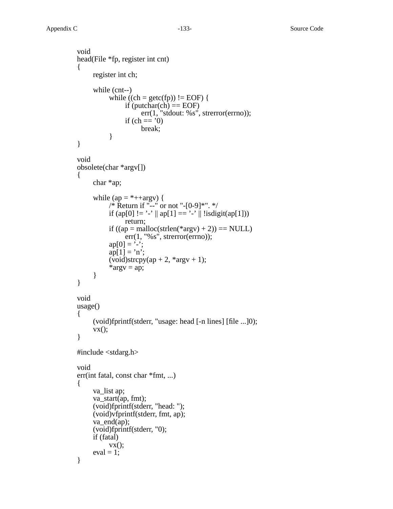```
void
head(File *fp, register int cnt)
{
     register int ch;
     while (cnt--)
           while ((ch = getc(fp)) := EOF} {
                 if (putchar(ch) == EOF)
                      err(1, "stdout: %s", strerror(errno));
                 if (ch == '0)break;
           }
}
void
obsolete(char *argv[])
{
     char *ap;
     while (ap = *++argv) {
           /* Return if "--" or not "-[0-9]*". */
           if (ap[0] != '-' || ap[1] == '-'|| !isdigit((ap[1]))
                 return;
           if ((ap = \text{malloc}(\text{strlen}(*\text{arg}v) + 2)) == \text{NULL})err(1, "%s", strerror(errno));
           ap[0] = '-';ap[1] = 'n';(void)strcpy(ap + 2, *argv + 1);
           *argv = ap;
     }
}
void
usage()
{
     (void)fprintf(stderr, "usage: head [-n lines] [file ...]0);
     vx();
}
#include <stdarg.h>
void
err(int fatal, const char *fmt, ...)
{
     va_list ap;
     va_start(ap, fmt);
     (void)fprintf(stderr, "head: ");
     (void)vfprintf(stderr, fmt, ap);
     va end(ap);
     (void)fprintf(stderr, "0);
     if (fatal)
           vx();
     eval = 1;}
```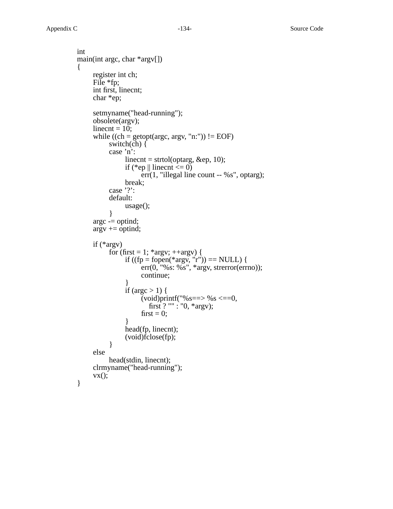```
int
main(int argc, char *argv[])
{
     register int ch;
     File *fp;
     int first, linecnt;
     char *ep;
     setmyname("head-running");
     obsolete(argv);
     linecnt = 10;
     while ((ch = getopt(arge, argv, "n:")) := EOF)switch(ch) \{case 'n':
                 linear = strtol(optarg, \&ep, 10);if (*ep \parallel linecnt \leq = 0)
                      err(1, "illegal line count -- %s", optarg);
                 break;
           case '?':
           default:
                 usage();
            }
     argc -= optind;
     \arg v == optind;
     if (*argv)
           for (first = 1; *argv; ++argv) {
                 if ((fp = fopen(*argv, "r")) == NULL) {
                      \text{err}(0, \text{``%s: %s''}, \text{``args', structerror(errno))};continue;
                 }
                 if (argc > 1) {
                       (void)printf("%s == > %s <= = 0,first ? "" : "0, *argv);
                      first = 0;
                 }
                 head(fp, linecnt);
                 (void)fclose(fp);
           }
     else
           head(stdin, linecnt);
     clrmyname("head-running");
     vx();
}
```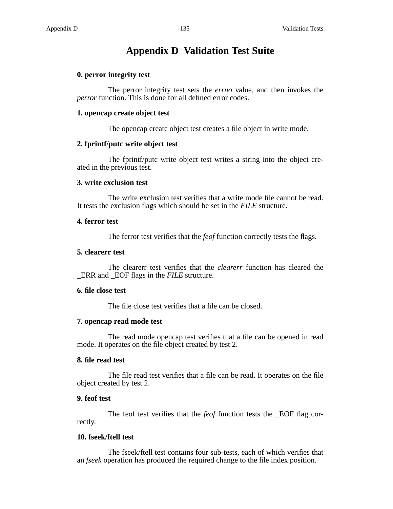## **Appendix D Validation Test Suite**

## **0. perror integrity test**

The perror integrity test sets the *errno* value, and then invokes the *perror* function. This is done for all defined error codes.

#### **1. opencap create object test**

The opencap create object test creates a file object in write mode.

#### **2. fprintf/putc write object test**

The fprintf/putc write object test writes a string into the object created in the previous test.

#### **3. write exclusion test**

The write exclusion test verifies that a write mode file cannot be read. It tests the exclusion flags which should be set in the *FILE* structure.

#### **4. ferror test**

The ferror test verifies that the *feof* function correctly tests the flags.

#### **5. clearerr test**

The clearerr test verifies that the *clearerr* function has cleared the \_ERR and \_EOF flags in the *FILE* structure.

#### **6. file close test**

The file close test verifies that a file can be closed.

#### **7. opencap read mode test**

The read mode opencap test verifies that a file can be opened in read mode. It operates on the file object created by test 2.

## **8. file read test**

The file read test verifies that a file can be read. It operates on the file object created by test 2.

#### **9. feof test**

The feof test verifies that the *feof* function tests the \_EOF flag correctly.

### **10. fseek/ftell test**

The fseek/ftell test contains four sub-tests, each of which verifies that an *fseek* operation has produced the required change to the file index position.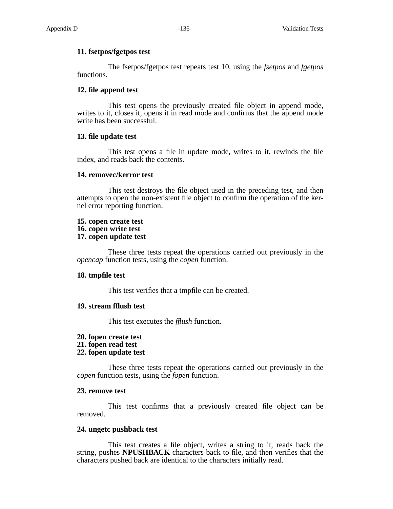## **11. fsetpos/fgetpos test**

The fsetpos/fgetpos test repeats test 10, using the *fsetpos* and *fgetpos* functions.

## **12. file append test**

This test opens the previously created file object in append mode, writes to it, closes it, opens it in read mode and confirms that the append mode write has been successful.

## **13. file update test**

This test opens a file in update mode, writes to it, rewinds the file index, and reads back the contents.

## **14. removec/kerror test**

This test destroys the file object used in the preceding test, and then attempts to open the non-existent file object to confirm the operation of the kernel error reporting function.

## **15. copen create test 16. copen write test 17. copen update test**

These three tests repeat the operations carried out previously in the *opencap* function tests, using the *copen* function.

## **18. tmpfile test**

This test verifies that a tmpfile can be created.

## **19. stream fflush test**

This test executes the *fflush* function.

- **20. fopen create test**
- **21. fopen read test**
- **22. fopen update test**

These three tests repeat the operations carried out previously in the *copen* function tests, using the *fopen* function.

## **23. remove test**

This test confirms that a previously created file object can be removed.

## **24. ungetc pushback test**

This test creates a file object, writes a string to it, reads back the string, pushes **NPUSHBACK** characters back to file, and then verifies that the characters pushed back are identical to the characters initially read.